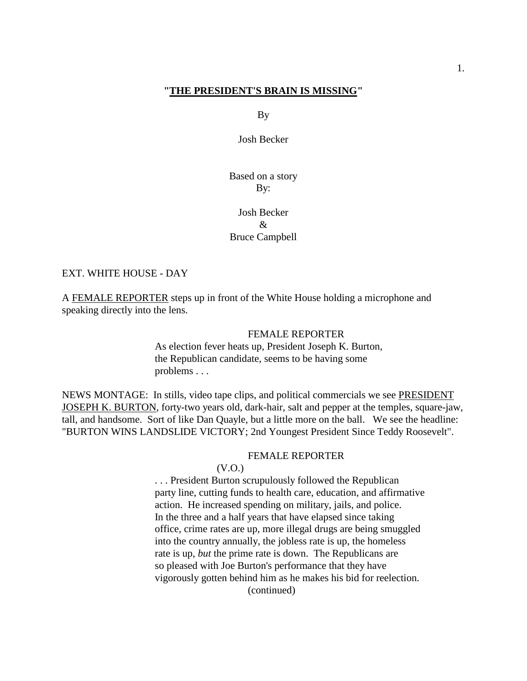#### **"THE PRESIDENT'S BRAIN IS MISSING"**

By

Josh Becker

## Based on a story By:

Josh Becker  $\mathcal{R}_{\mathcal{L}}$ Bruce Campbell

### EXT. WHITE HOUSE - DAY

A FEMALE REPORTER steps up in front of the White House holding a microphone and speaking directly into the lens.

## FEMALE REPORTER

As election fever heats up, President Joseph K. Burton, the Republican candidate, seems to be having some problems . . .

NEWS MONTAGE: In stills, video tape clips, and political commercials we see PRESIDENT JOSEPH K. BURTON, forty-two years old, dark-hair, salt and pepper at the temples, square-jaw, tall, and handsome. Sort of like Dan Quayle, but a little more on the ball. We see the headline: "BURTON WINS LANDSLIDE VICTORY; 2nd Youngest President Since Teddy Roosevelt".

## FEMALE REPORTER

## (V.O.)

. . . President Burton scrupulously followed the Republican party line, cutting funds to health care, education, and affirmative action. He increased spending on military, jails, and police. In the three and a half years that have elapsed since taking office, crime rates are up, more illegal drugs are being smuggled into the country annually, the jobless rate is up, the homeless rate is up, *but* the prime rate is down. The Republicans are so pleased with Joe Burton's performance that they have vigorously gotten behind him as he makes his bid for reelection. (continued)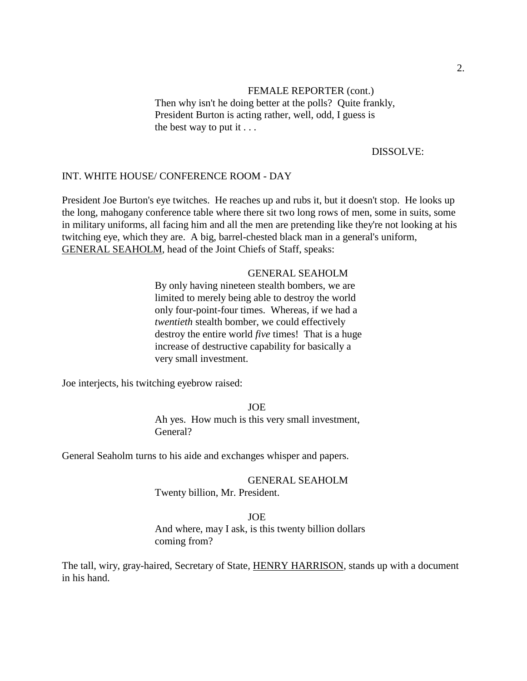## FEMALE REPORTER (cont.) Then why isn't he doing better at the polls? Quite frankly, President Burton is acting rather, well, odd, I guess is the best way to put it . . .

## DISSOLVE:

## INT. WHITE HOUSE/ CONFERENCE ROOM - DAY

President Joe Burton's eye twitches. He reaches up and rubs it, but it doesn't stop. He looks up the long, mahogany conference table where there sit two long rows of men, some in suits, some in military uniforms, all facing him and all the men are pretending like they're not looking at his twitching eye, which they are. A big, barrel-chested black man in a general's uniform, GENERAL SEAHOLM, head of the Joint Chiefs of Staff, speaks:

### GENERAL SEAHOLM

By only having nineteen stealth bombers, we are limited to merely being able to destroy the world only four-point-four times. Whereas, if we had a *twentieth* stealth bomber, we could effectively destroy the entire world *five* times! That is a huge increase of destructive capability for basically a very small investment.

Joe interjects, his twitching eyebrow raised:

JOE

Ah yes. How much is this very small investment, General?

General Seaholm turns to his aide and exchanges whisper and papers.

GENERAL SEAHOLM Twenty billion, Mr. President.

JOE

And where, may I ask, is this twenty billion dollars coming from?

The tall, wiry, gray-haired, Secretary of State, HENRY HARRISON, stands up with a document in his hand.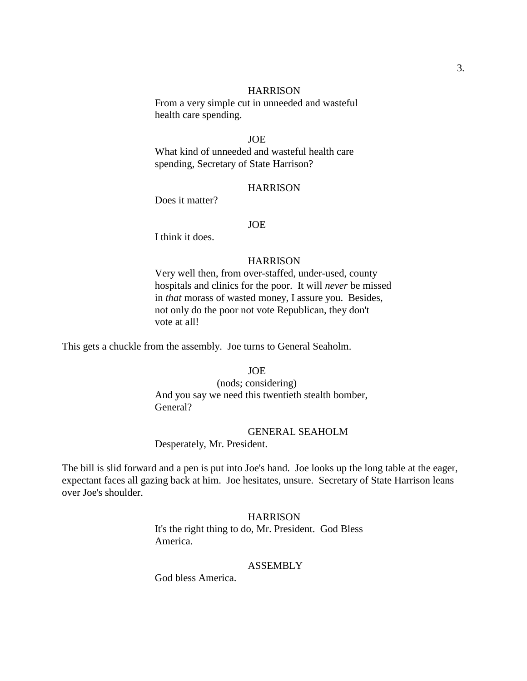### **HARRISON**

From a very simple cut in unneeded and wasteful health care spending.

#### **JOE**

What kind of unneeded and wasteful health care spending, Secretary of State Harrison?

### **HARRISON**

Does it matter?

### JOE

I think it does.

## **HARRISON**

Very well then, from over-staffed, under-used, county hospitals and clinics for the poor. It will *never* be missed in *that* morass of wasted money, I assure you. Besides, not only do the poor not vote Republican, they don't vote at all!

This gets a chuckle from the assembly. Joe turns to General Seaholm.

## JOE

(nods; considering) And you say we need this twentieth stealth bomber, General?

## GENERAL SEAHOLM Desperately, Mr. President.

The bill is slid forward and a pen is put into Joe's hand. Joe looks up the long table at the eager, expectant faces all gazing back at him. Joe hesitates, unsure. Secretary of State Harrison leans over Joe's shoulder.

# **HARRISON**

It's the right thing to do, Mr. President. God Bless America.

#### ASSEMBLY

God bless America.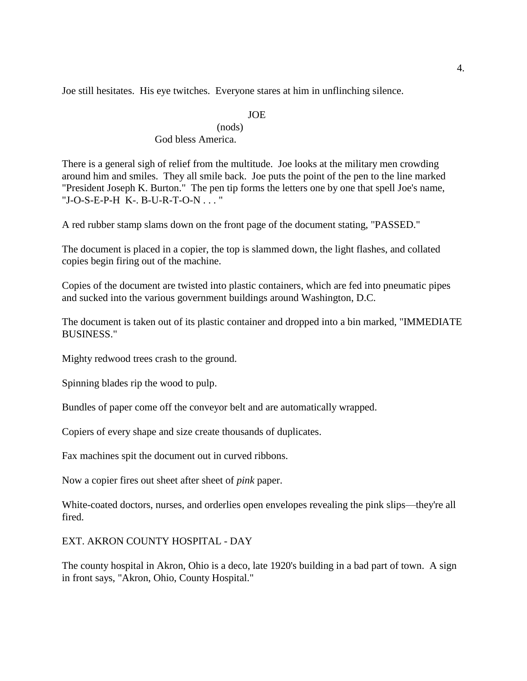Joe still hesitates. His eye twitches. Everyone stares at him in unflinching silence.

## JOE

## (nods) God bless America.

There is a general sigh of relief from the multitude. Joe looks at the military men crowding around him and smiles. They all smile back. Joe puts the point of the pen to the line marked "President Joseph K. Burton." The pen tip forms the letters one by one that spell Joe's name, "J-O-S-E-P-H K-. B-U-R-T-O-N . . . "

A red rubber stamp slams down on the front page of the document stating, "PASSED."

The document is placed in a copier, the top is slammed down, the light flashes, and collated copies begin firing out of the machine.

Copies of the document are twisted into plastic containers, which are fed into pneumatic pipes and sucked into the various government buildings around Washington, D.C.

The document is taken out of its plastic container and dropped into a bin marked, "IMMEDIATE BUSINESS."

Mighty redwood trees crash to the ground.

Spinning blades rip the wood to pulp.

Bundles of paper come off the conveyor belt and are automatically wrapped.

Copiers of every shape and size create thousands of duplicates.

Fax machines spit the document out in curved ribbons.

Now a copier fires out sheet after sheet of *pink* paper.

White-coated doctors, nurses, and orderlies open envelopes revealing the pink slips—they're all fired.

EXT. AKRON COUNTY HOSPITAL - DAY

The county hospital in Akron, Ohio is a deco, late 1920's building in a bad part of town. A sign in front says, "Akron, Ohio, County Hospital."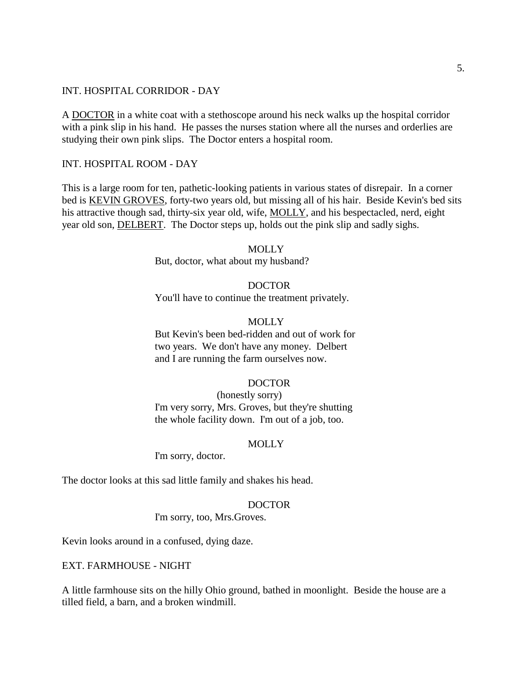## INT. HOSPITAL CORRIDOR - DAY

A DOCTOR in a white coat with a stethoscope around his neck walks up the hospital corridor with a pink slip in his hand. He passes the nurses station where all the nurses and orderlies are studying their own pink slips. The Doctor enters a hospital room.

### INT. HOSPITAL ROOM - DAY

This is a large room for ten, pathetic-looking patients in various states of disrepair. In a corner bed is KEVIN GROVES, forty-two years old, but missing all of his hair. Beside Kevin's bed sits his attractive though sad, thirty-six year old, wife, **MOLLY**, and his bespectacled, nerd, eight year old son, **DELBERT**. The Doctor steps up, holds out the pink slip and sadly sighs.

#### **MOLLY**

But, doctor, what about my husband?

### DOCTOR

You'll have to continue the treatment privately.

## **MOLLY**

But Kevin's been bed-ridden and out of work for two years. We don't have any money. Delbert and I are running the farm ourselves now.

## DOCTOR

(honestly sorry) I'm very sorry, Mrs. Groves, but they're shutting the whole facility down. I'm out of a job, too.

#### **MOLLY**

I'm sorry, doctor.

The doctor looks at this sad little family and shakes his head.

#### DOCTOR

I'm sorry, too, Mrs.Groves.

Kevin looks around in a confused, dying daze.

#### EXT. FARMHOUSE - NIGHT

A little farmhouse sits on the hilly Ohio ground, bathed in moonlight. Beside the house are a tilled field, a barn, and a broken windmill.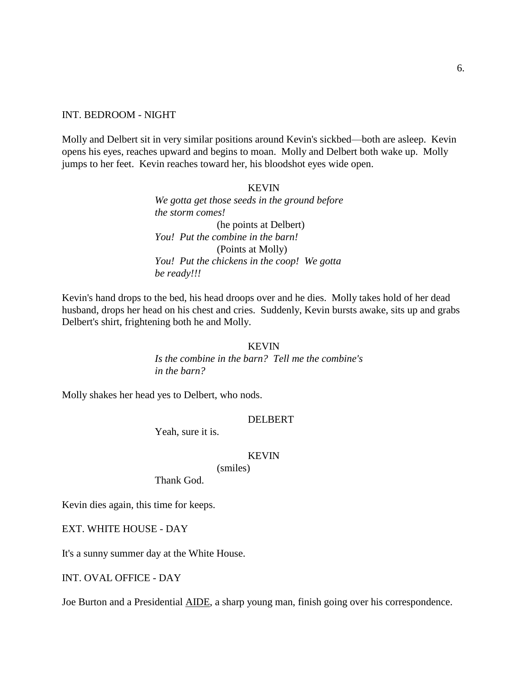#### INT. BEDROOM - NIGHT

Molly and Delbert sit in very similar positions around Kevin's sickbed—both are asleep. Kevin opens his eyes, reaches upward and begins to moan. Molly and Delbert both wake up. Molly jumps to her feet. Kevin reaches toward her, his bloodshot eyes wide open.

### KEVIN

*We gotta get those seeds in the ground before the storm comes!* (he points at Delbert) *You! Put the combine in the barn!* (Points at Molly) *You! Put the chickens in the coop! We gotta be ready!!!*

Kevin's hand drops to the bed, his head droops over and he dies. Molly takes hold of her dead husband, drops her head on his chest and cries. Suddenly, Kevin bursts awake, sits up and grabs Delbert's shirt, frightening both he and Molly.

## KEVIN

*Is the combine in the barn? Tell me the combine's in the barn?*

Molly shakes her head yes to Delbert, who nods.

#### DELBERT

Yeah, sure it is.

## KEVIN

(smiles)

Thank God.

Kevin dies again, this time for keeps.

EXT. WHITE HOUSE - DAY

It's a sunny summer day at the White House.

INT. OVAL OFFICE - DAY

Joe Burton and a Presidential AIDE, a sharp young man, finish going over his correspondence.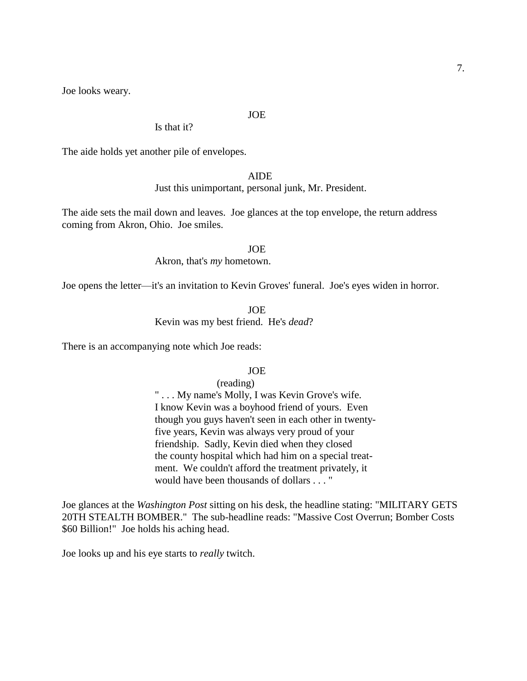Joe looks weary.

## JOE

Is that it?

The aide holds yet another pile of envelopes.

## AIDE

Just this unimportant, personal junk, Mr. President.

The aide sets the mail down and leaves. Joe glances at the top envelope, the return address coming from Akron, Ohio. Joe smiles.

#### JOE

Akron, that's *my* hometown.

Joe opens the letter—it's an invitation to Kevin Groves' funeral. Joe's eyes widen in horror.

JOE

Kevin was my best friend. He's *dead*?

There is an accompanying note which Joe reads:

## **JOE**

(reading) " . . . My name's Molly, I was Kevin Grove's wife. I know Kevin was a boyhood friend of yours. Even though you guys haven't seen in each other in twentyfive years, Kevin was always very proud of your friendship. Sadly, Kevin died when they closed the county hospital which had him on a special treatment. We couldn't afford the treatment privately, it would have been thousands of dollars . . . "

Joe glances at the *Washington Post* sitting on his desk, the headline stating: "MILITARY GETS 20TH STEALTH BOMBER." The sub-headline reads: "Massive Cost Overrun; Bomber Costs \$60 Billion!" Joe holds his aching head.

Joe looks up and his eye starts to *really* twitch.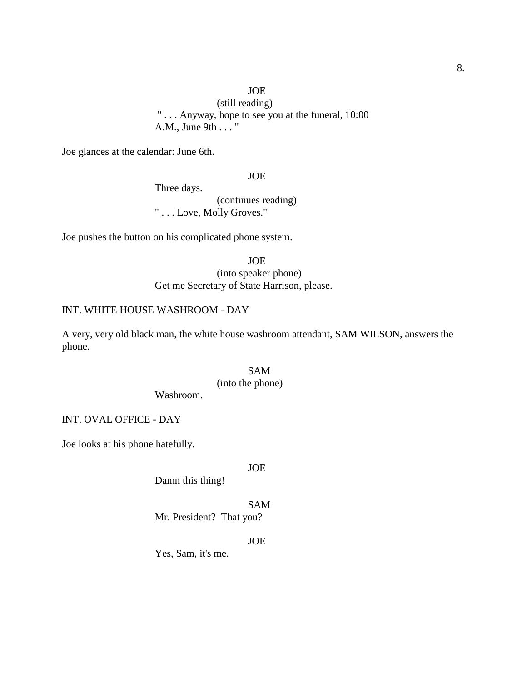(still reading)

" . . . Anyway, hope to see you at the funeral, 10:00 A.M., June 9th . . . "

Joe glances at the calendar: June 6th.

## JOE

Three days.

(continues reading) " . . . Love, Molly Groves."

Joe pushes the button on his complicated phone system.

JOE (into speaker phone) Get me Secretary of State Harrison, please.

## INT. WHITE HOUSE WASHROOM - DAY

A very, very old black man, the white house washroom attendant, SAM WILSON, answers the phone.

## SAM

(into the phone)

Washroom.

INT. OVAL OFFICE - DAY

Joe looks at his phone hatefully.

JOE

Damn this thing!

SAM

Mr. President? That you?

JOE

Yes, Sam, it's me.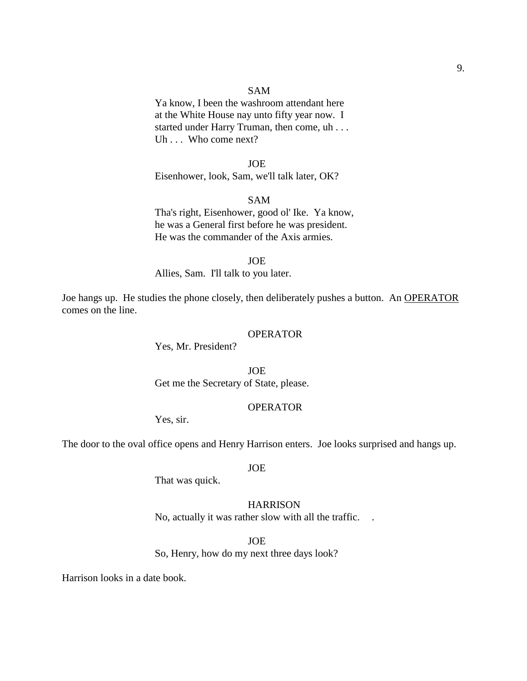## SAM

Ya know, I been the washroom attendant here at the White House nay unto fifty year now. I started under Harry Truman, then come, uh . . . Uh . . . Who come next?

#### JOE

Eisenhower, look, Sam, we'll talk later, OK?

## SAM

Tha's right, Eisenhower, good ol' Ike. Ya know, he was a General first before he was president. He was the commander of the Axis armies.

JOE

#### Allies, Sam. I'll talk to you later.

Joe hangs up. He studies the phone closely, then deliberately pushes a button. An OPERATOR comes on the line.

#### **OPERATOR**

Yes, Mr. President?

## **JOE**

Get me the Secretary of State, please.

## OPERATOR

Yes, sir.

The door to the oval office opens and Henry Harrison enters. Joe looks surprised and hangs up.

## JOE

That was quick.

### **HARRISON**

No, actually it was rather slow with all the traffic. .

JOE

So, Henry, how do my next three days look?

Harrison looks in a date book.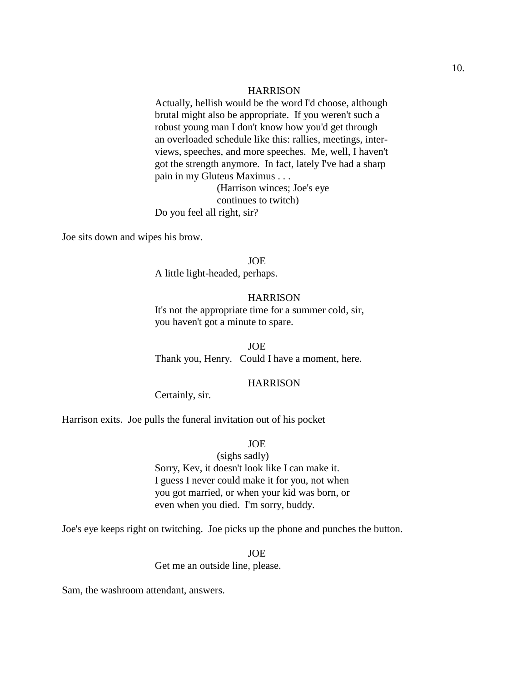### **HARRISON**

Actually, hellish would be the word I'd choose, although brutal might also be appropriate. If you weren't such a robust young man I don't know how you'd get through an overloaded schedule like this: rallies, meetings, interviews, speeches, and more speeches. Me, well, I haven't got the strength anymore. In fact, lately I've had a sharp pain in my Gluteus Maximus . . .

(Harrison winces; Joe's eye continues to twitch) Do you feel all right, sir?

Joe sits down and wipes his brow.

#### JOE

A little light-headed, perhaps.

## **HARRISON**

It's not the appropriate time for a summer cold, sir, you haven't got a minute to spare.

JOE Thank you, Henry. Could I have a moment, here.

## **HARRISON**

Certainly, sir.

Harrison exits. Joe pulls the funeral invitation out of his pocket

JOE

(sighs sadly) Sorry, Kev, it doesn't look like I can make it. I guess I never could make it for you, not when you got married, or when your kid was born, or even when you died. I'm sorry, buddy.

Joe's eye keeps right on twitching. Joe picks up the phone and punches the button.

JOE

Get me an outside line, please.

Sam, the washroom attendant, answers.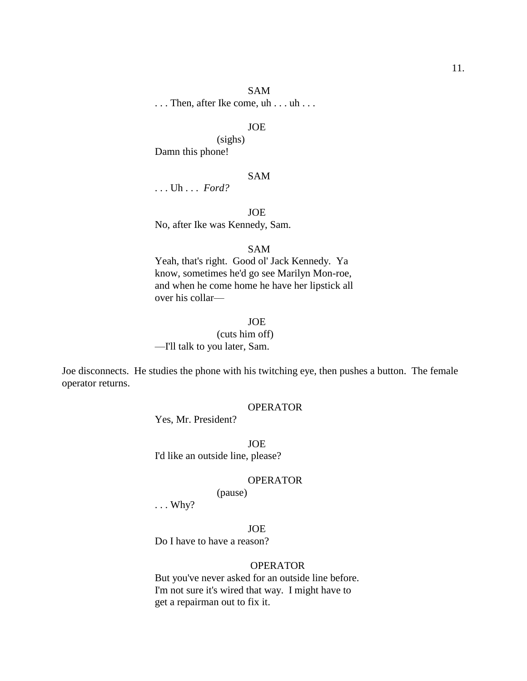# SAM

. . . Then, after Ike come, uh . . . uh . . .

## JOE

(sighs) Damn this phone!

## SAM

. . . Uh . . . *Ford?*

JOE

No, after Ike was Kennedy, Sam.

#### SAM

Yeah, that's right. Good ol' Jack Kennedy. Ya know, sometimes he'd go see Marilyn Mon-roe, and when he come home he have her lipstick all over his collar—

## JOE

(cuts him off) —I'll talk to you later, Sam.

Joe disconnects. He studies the phone with his twitching eye, then pushes a button. The female operator returns.

## OPERATOR

Yes, Mr. President?

JOE I'd like an outside line, please?

#### OPERATOR

(pause)

. . . Why?

JOE Do I have to have a reason?

#### OPERATOR

But you've never asked for an outside line before. I'm not sure it's wired that way. I might have to get a repairman out to fix it.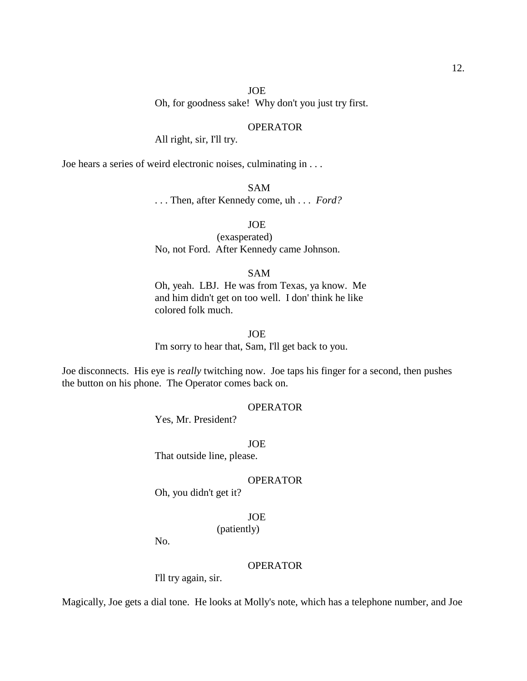Oh, for goodness sake! Why don't you just try first.

## OPERATOR

All right, sir, I'll try.

Joe hears a series of weird electronic noises, culminating in . . .

SAM . . . Then, after Kennedy come, uh . . . *Ford?*

JOE

(exasperated) No, not Ford. After Kennedy came Johnson.

## SAM

Oh, yeah. LBJ. He was from Texas, ya know. Me and him didn't get on too well. I don' think he like colored folk much.

JOE

I'm sorry to hear that, Sam, I'll get back to you.

Joe disconnects. His eye is *really* twitching now. Joe taps his finger for a second, then pushes the button on his phone. The Operator comes back on.

## OPERATOR

Yes, Mr. President?

JOE

That outside line, please.

#### OPERATOR

Oh, you didn't get it?

JOE

(patiently)

No.

## **OPERATOR**

I'll try again, sir.

Magically, Joe gets a dial tone. He looks at Molly's note, which has a telephone number, and Joe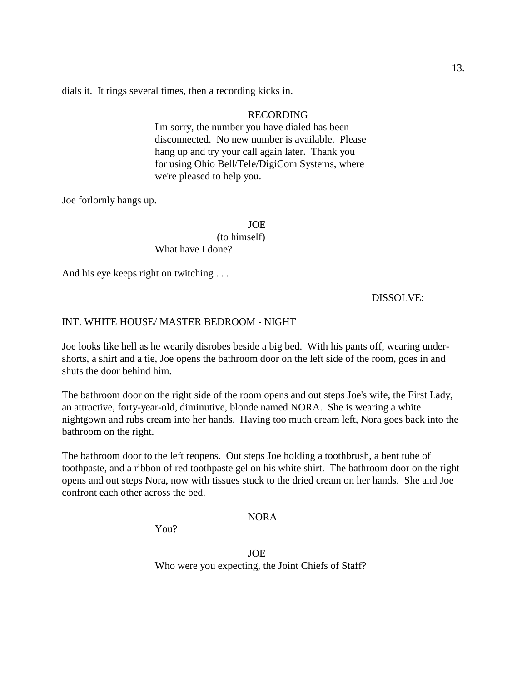dials it. It rings several times, then a recording kicks in.

## RECORDING

I'm sorry, the number you have dialed has been disconnected. No new number is available. Please hang up and try your call again later. Thank you for using Ohio Bell/Tele/DigiCom Systems, where we're pleased to help you.

Joe forlornly hangs up.

JOE (to himself) What have I done?

And his eye keeps right on twitching . . .

DISSOLVE:

## INT. WHITE HOUSE/ MASTER BEDROOM - NIGHT

Joe looks like hell as he wearily disrobes beside a big bed. With his pants off, wearing undershorts, a shirt and a tie, Joe opens the bathroom door on the left side of the room, goes in and shuts the door behind him.

The bathroom door on the right side of the room opens and out steps Joe's wife, the First Lady, an attractive, forty-year-old, diminutive, blonde named NORA. She is wearing a white nightgown and rubs cream into her hands. Having too much cream left, Nora goes back into the bathroom on the right.

The bathroom door to the left reopens. Out steps Joe holding a toothbrush, a bent tube of toothpaste, and a ribbon of red toothpaste gel on his white shirt. The bathroom door on the right opens and out steps Nora, now with tissues stuck to the dried cream on her hands. She and Joe confront each other across the bed.

### NORA

You?

JOE Who were you expecting, the Joint Chiefs of Staff?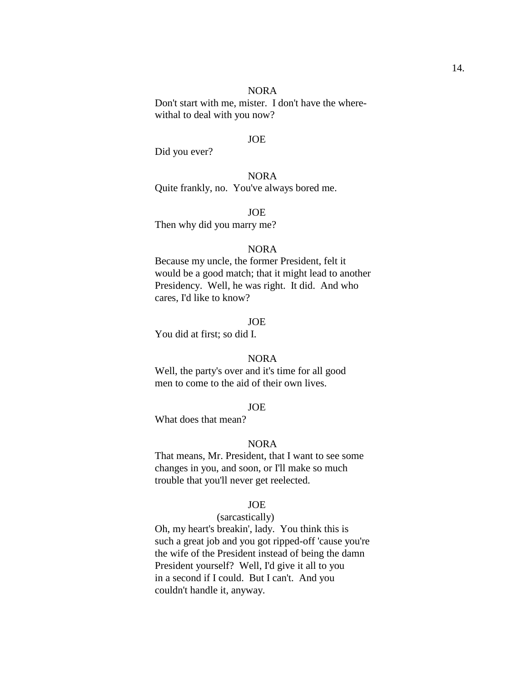## NORA

Don't start with me, mister. I don't have the wherewithal to deal with you now?

## JOE

Did you ever?

NORA Quite frankly, no. You've always bored me.

JOE

Then why did you marry me?

### NORA

Because my uncle, the former President, felt it would be a good match; that it might lead to another Presidency. Well, he was right. It did. And who cares, I'd like to know?

#### JOE

You did at first; so did I.

#### NORA

Well, the party's over and it's time for all good men to come to the aid of their own lives.

## JOE

What does that mean?

### NORA

That means, Mr. President, that I want to see some changes in you, and soon, or I'll make so much trouble that you'll never get reelected.

### JOE

### (sarcastically)

Oh, my heart's breakin', lady. You think this is such a great job and you got ripped-off 'cause you're the wife of the President instead of being the damn President yourself? Well, I'd give it all to you in a second if I could. But I can't. And you couldn't handle it, anyway.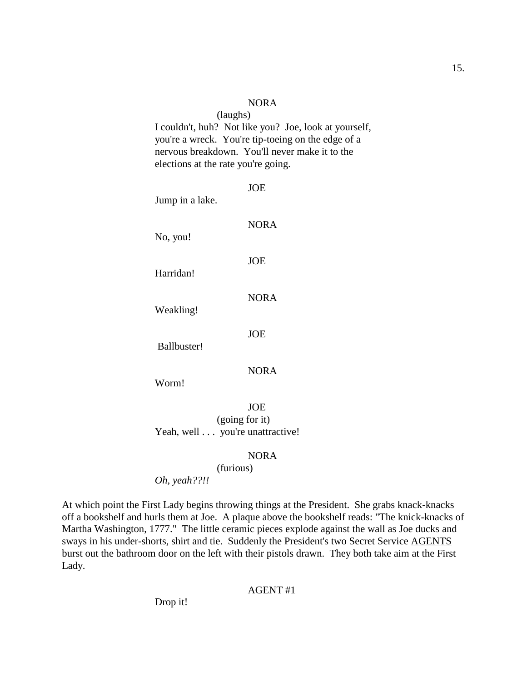#### NORA

(laughs) I couldn't, huh? Not like you? Joe, look at yourself, you're a wreck. You're tip-toeing on the edge of a nervous breakdown. You'll never make it to the elections at the rate you're going.

| Jump in a lake.    | <b>JOE</b>  |
|--------------------|-------------|
| No, you!           | <b>NORA</b> |
| Harridan!          | <b>JOE</b>  |
| Weakling!          | <b>NORA</b> |
| <b>Ballbuster!</b> | <b>JOE</b>  |
| Worm!              | <b>NORA</b> |

JOE (going for it) Yeah, well . . . you're unattractive!

### NORA

### (furious)

*Oh, yeah??!!*

At which point the First Lady begins throwing things at the President. She grabs knack-knacks off a bookshelf and hurls them at Joe. A plaque above the bookshelf reads: "The knick-knacks of Martha Washington, 1777." The little ceramic pieces explode against the wall as Joe ducks and sways in his under-shorts, shirt and tie. Suddenly the President's two Secret Service AGENTS burst out the bathroom door on the left with their pistols drawn. They both take aim at the First Lady.

#### AGENT #1

Drop it!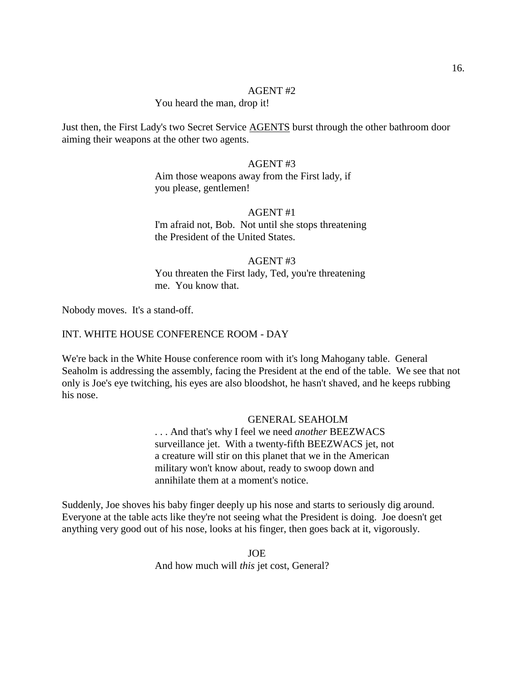### AGENT #2

#### You heard the man, drop it!

Just then, the First Lady's two Secret Service **AGENTS** burst through the other bathroom door aiming their weapons at the other two agents.

## AGENT #3

Aim those weapons away from the First lady, if you please, gentlemen!

## AGENT #1

I'm afraid not, Bob. Not until she stops threatening the President of the United States.

## AGENT #3 You threaten the First lady, Ted, you're threatening me. You know that.

Nobody moves. It's a stand-off.

#### INT. WHITE HOUSE CONFERENCE ROOM - DAY

We're back in the White House conference room with it's long Mahogany table. General Seaholm is addressing the assembly, facing the President at the end of the table. We see that not only is Joe's eye twitching, his eyes are also bloodshot, he hasn't shaved, and he keeps rubbing his nose.

#### GENERAL SEAHOLM

. . . And that's why I feel we need *another* BEEZWACS surveillance jet. With a twenty-fifth BEEZWACS jet, not a creature will stir on this planet that we in the American military won't know about, ready to swoop down and annihilate them at a moment's notice.

Suddenly, Joe shoves his baby finger deeply up his nose and starts to seriously dig around. Everyone at the table acts like they're not seeing what the President is doing. Joe doesn't get anything very good out of his nose, looks at his finger, then goes back at it, vigorously.

> JOE And how much will *this* jet cost, General?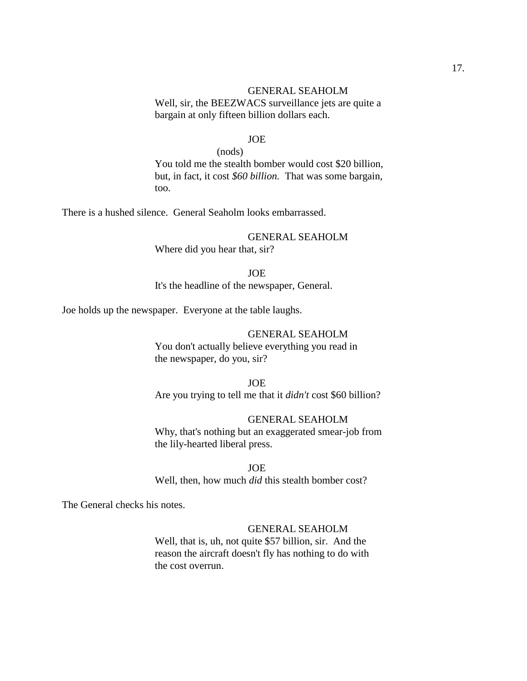### GENERAL SEAHOLM

Well, sir, the BEEZWACS surveillance jets are quite a bargain at only fifteen billion dollars each.

#### JOE

(nods)

You told me the stealth bomber would cost \$20 billion, but, in fact, it cost *\$60 billion.* That was some bargain, too.

There is a hushed silence. General Seaholm looks embarrassed.

GENERAL SEAHOLM Where did you hear that, sir?

JOE

It's the headline of the newspaper, General.

Joe holds up the newspaper. Everyone at the table laughs.

#### GENERAL SEAHOLM

You don't actually believe everything you read in the newspaper, do you, sir?

## JOE

Are you trying to tell me that it *didn't* cost \$60 billion?

#### GENERAL SEAHOLM

Why, that's nothing but an exaggerated smear-job from the lily-hearted liberal press.

JOE Well, then, how much *did* this stealth bomber cost?

The General checks his notes.

#### GENERAL SEAHOLM

Well, that is, uh, not quite \$57 billion, sir. And the reason the aircraft doesn't fly has nothing to do with the cost overrun.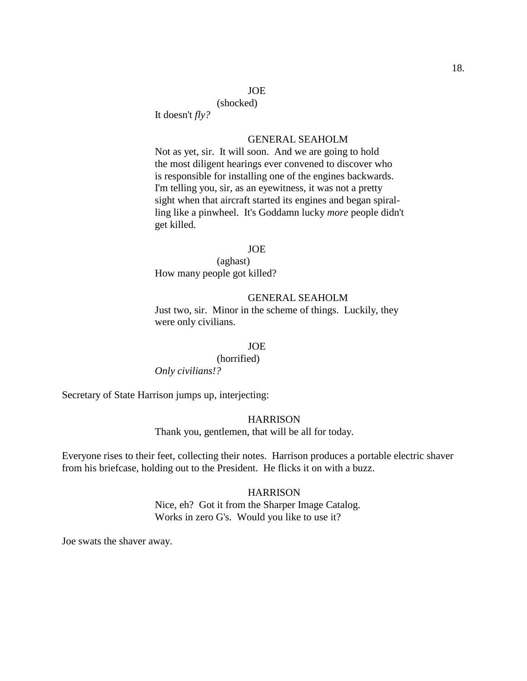#### (shocked)

It doesn't *fly?*

## GENERAL SEAHOLM

Not as yet, sir. It will soon. And we are going to hold the most diligent hearings ever convened to discover who is responsible for installing one of the engines backwards. I'm telling you, sir, as an eyewitness, it was not a pretty sight when that aircraft started its engines and began spiralling like a pinwheel. It's Goddamn lucky *more* people didn't get killed.

#### JOE

(aghast) How many people got killed?

## GENERAL SEAHOLM

Just two, sir. Minor in the scheme of things. Luckily, they were only civilians.

## JOE

(horrified)

*Only civilians!?*

Secretary of State Harrison jumps up, interjecting:

### **HARRISON**

Thank you, gentlemen, that will be all for today.

Everyone rises to their feet, collecting their notes. Harrison produces a portable electric shaver from his briefcase, holding out to the President. He flicks it on with a buzz.

## **HARRISON**

Nice, eh? Got it from the Sharper Image Catalog. Works in zero G's. Would you like to use it?

Joe swats the shaver away.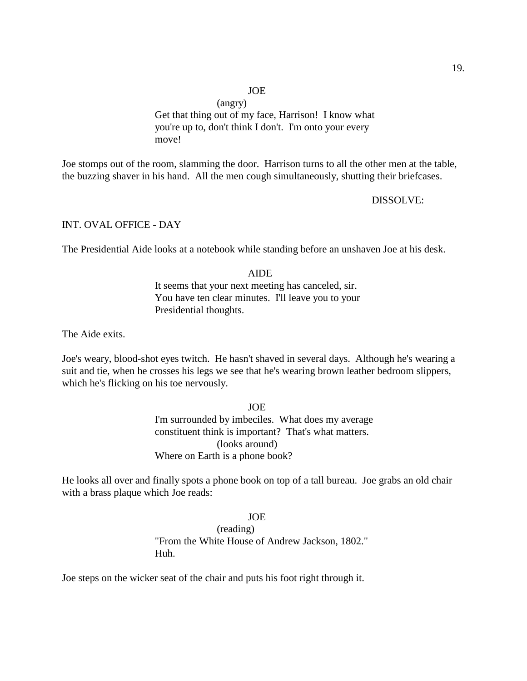(angry) Get that thing out of my face, Harrison! I know what you're up to, don't think I don't. I'm onto your every move!

Joe stomps out of the room, slamming the door. Harrison turns to all the other men at the table, the buzzing shaver in his hand. All the men cough simultaneously, shutting their briefcases.

DISSOLVE:

## INT. OVAL OFFICE - DAY

The Presidential Aide looks at a notebook while standing before an unshaven Joe at his desk.

### AIDE

It seems that your next meeting has canceled, sir. You have ten clear minutes. I'll leave you to your Presidential thoughts.

The Aide exits.

Joe's weary, blood-shot eyes twitch. He hasn't shaved in several days. Although he's wearing a suit and tie, when he crosses his legs we see that he's wearing brown leather bedroom slippers, which he's flicking on his toe nervously.

> JOE I'm surrounded by imbeciles. What does my average constituent think is important? That's what matters. (looks around) Where on Earth is a phone book?

He looks all over and finally spots a phone book on top of a tall bureau. Joe grabs an old chair with a brass plaque which Joe reads:

> JOE (reading) "From the White House of Andrew Jackson, 1802." Huh.

Joe steps on the wicker seat of the chair and puts his foot right through it.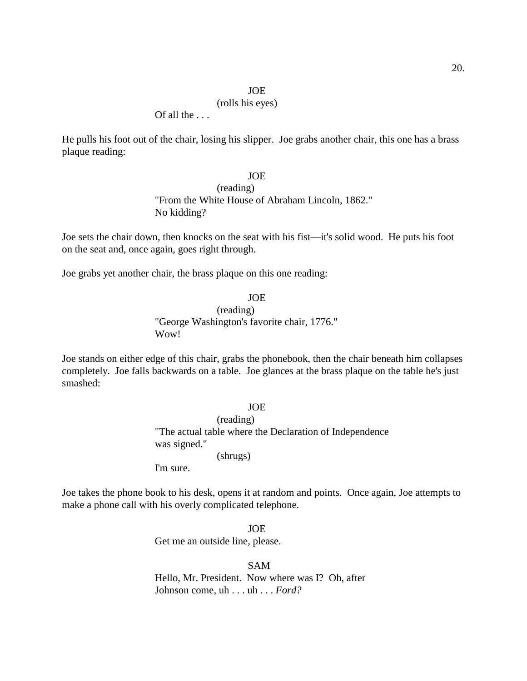#### (rolls his eyes)

Of all the . . .

He pulls his foot out of the chair, losing his slipper. Joe grabs another chair, this one has a brass plaque reading:

JOE

(reading) "From the White House of Abraham Lincoln, 1862." No kidding?

Joe sets the chair down, then knocks on the seat with his fist—it's solid wood. He puts his foot on the seat and, once again, goes right through.

Joe grabs yet another chair, the brass plaque on this one reading:

JOE

(reading) "George Washington's favorite chair, 1776." Wow!

Joe stands on either edge of this chair, grabs the phonebook, then the chair beneath him collapses completely. Joe falls backwards on a table. Joe glances at the brass plaque on the table he's just smashed:

> JOE (reading) "The actual table where the Declaration of Independence was signed." (shrugs) I'm sure.

Joe takes the phone book to his desk, opens it at random and points. Once again, Joe attempts to make a phone call with his overly complicated telephone.

> JOE Get me an outside line, please.

SAM Hello, Mr. President. Now where was I? Oh, after Johnson come, uh . . . uh . . . *Ford?*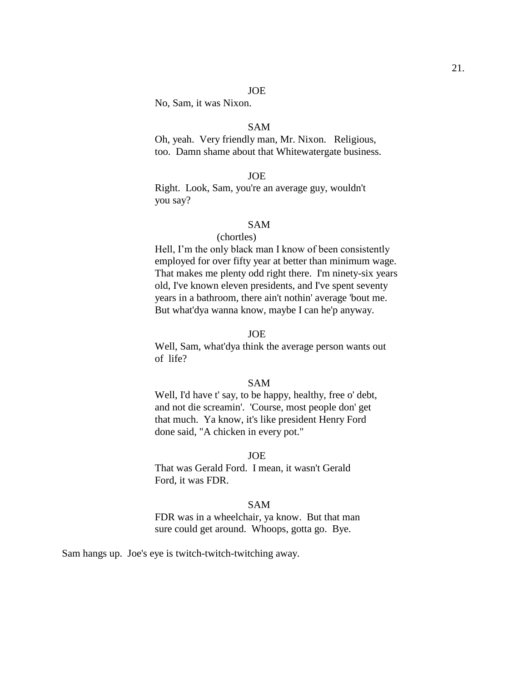No, Sam, it was Nixon.

## SAM

Oh, yeah. Very friendly man, Mr. Nixon. Religious, too. Damn shame about that Whitewatergate business.

### JOE

Right. Look, Sam, you're an average guy, wouldn't you say?

### SAM

## (chortles)

Hell, I'm the only black man I know of been consistently employed for over fifty year at better than minimum wage. That makes me plenty odd right there. I'm ninety-six years old, I've known eleven presidents, and I've spent seventy years in a bathroom, there ain't nothin' average 'bout me. But what'dya wanna know, maybe I can he'p anyway.

#### JOE

Well, Sam, what'dya think the average person wants out of life?

### SAM

Well, I'd have t' say, to be happy, healthy, free o' debt, and not die screamin'. 'Course, most people don' get that much. Ya know, it's like president Henry Ford done said, "A chicken in every pot."

#### JOE

That was Gerald Ford. I mean, it wasn't Gerald Ford, it was FDR.

#### SAM

FDR was in a wheelchair, ya know. But that man sure could get around. Whoops, gotta go. Bye.

Sam hangs up. Joe's eye is twitch-twitch-twitching away.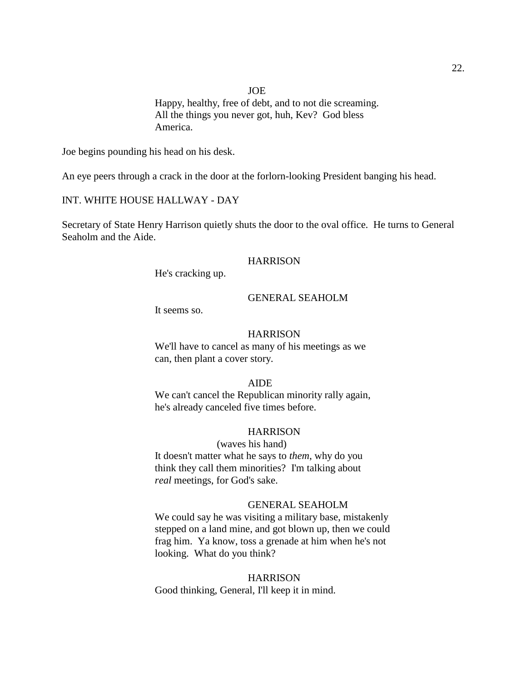JOE Happy, healthy, free of debt, and to not die screaming. All the things you never got, huh, Kev? God bless America.

Joe begins pounding his head on his desk.

An eye peers through a crack in the door at the forlorn-looking President banging his head.

## INT. WHITE HOUSE HALLWAY - DAY

Secretary of State Henry Harrison quietly shuts the door to the oval office. He turns to General Seaholm and the Aide.

## **HARRISON**

He's cracking up.

## GENERAL SEAHOLM

It seems so.

#### **HARRISON**

We'll have to cancel as many of his meetings as we can, then plant a cover story.

## AIDE

We can't cancel the Republican minority rally again, he's already canceled five times before.

## **HARRISON**

(waves his hand) It doesn't matter what he says to *them*, why do you think they call them minorities? I'm talking about *real* meetings, for God's sake.

### GENERAL SEAHOLM

We could say he was visiting a military base, mistakenly stepped on a land mine, and got blown up, then we could frag him. Ya know, toss a grenade at him when he's not looking. What do you think?

### **HARRISON**

Good thinking, General, I'll keep it in mind.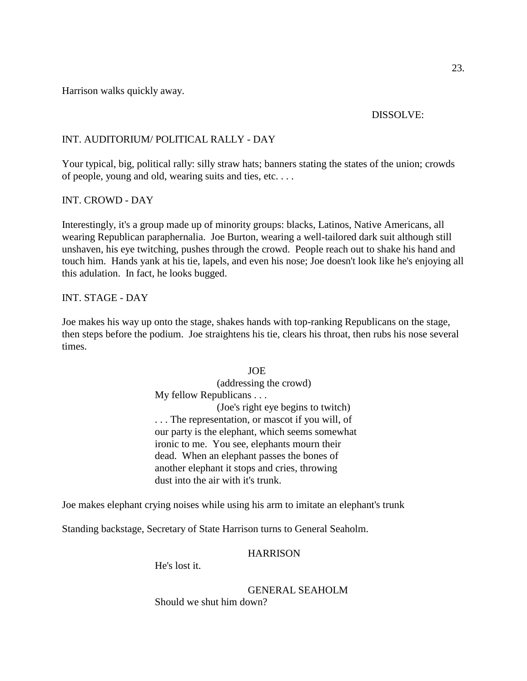Harrison walks quickly away.

## DISSOLVE:

## INT. AUDITORIUM/ POLITICAL RALLY - DAY

Your typical, big, political rally: silly straw hats; banners stating the states of the union; crowds of people, young and old, wearing suits and ties, etc. . . .

## INT. CROWD - DAY

Interestingly, it's a group made up of minority groups: blacks, Latinos, Native Americans, all wearing Republican paraphernalia. Joe Burton, wearing a well-tailored dark suit although still unshaven, his eye twitching, pushes through the crowd. People reach out to shake his hand and touch him. Hands yank at his tie, lapels, and even his nose; Joe doesn't look like he's enjoying all this adulation. In fact, he looks bugged.

## INT. STAGE - DAY

Joe makes his way up onto the stage, shakes hands with top-ranking Republicans on the stage, then steps before the podium. Joe straightens his tie, clears his throat, then rubs his nose several times.

# JOE

(addressing the crowd) My fellow Republicans . . . (Joe's right eye begins to twitch) . . . The representation, or mascot if you will, of our party is the elephant, which seems somewhat ironic to me. You see, elephants mourn their dead. When an elephant passes the bones of another elephant it stops and cries, throwing dust into the air with it's trunk.

Joe makes elephant crying noises while using his arm to imitate an elephant's trunk

Standing backstage, Secretary of State Harrison turns to General Seaholm.

## **HARRISON**

He's lost it.

GENERAL SEAHOLM Should we shut him down?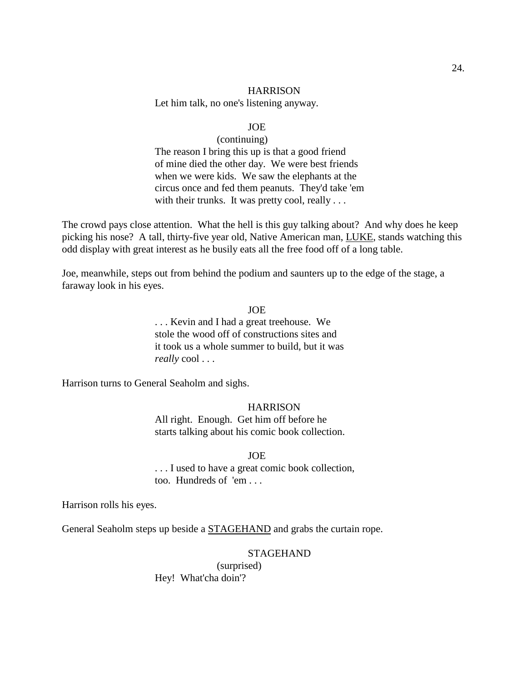### **HARRISON**

Let him talk, no one's listening anyway.

## JOE

## (continuing)

The reason I bring this up is that a good friend of mine died the other day. We were best friends when we were kids. We saw the elephants at the circus once and fed them peanuts. They'd take 'em with their trunks. It was pretty cool, really . . .

The crowd pays close attention. What the hell is this guy talking about? And why does he keep picking his nose? A tall, thirty-five year old, Native American man, LUKE, stands watching this odd display with great interest as he busily eats all the free food off of a long table.

Joe, meanwhile, steps out from behind the podium and saunters up to the edge of the stage, a faraway look in his eyes.

JOE

. . . Kevin and I had a great treehouse. We stole the wood off of constructions sites and it took us a whole summer to build, but it was *really* cool . . .

Harrison turns to General Seaholm and sighs.

## **HARRISON**

All right. Enough. Get him off before he starts talking about his comic book collection.

#### JOE

. . . I used to have a great comic book collection, too. Hundreds of 'em . . .

Harrison rolls his eyes.

General Seaholm steps up beside a STAGEHAND and grabs the curtain rope.

## STAGEHAND

(surprised) Hey! What'cha doin'?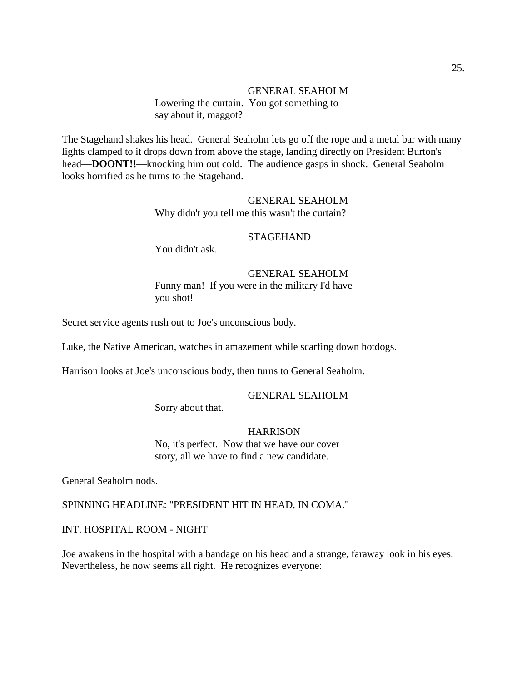## GENERAL SEAHOLM Lowering the curtain. You got something to say about it, maggot?

The Stagehand shakes his head. General Seaholm lets go off the rope and a metal bar with many lights clamped to it drops down from above the stage, landing directly on President Burton's head—**DOONT!!**—knocking him out cold. The audience gasps in shock. General Seaholm looks horrified as he turns to the Stagehand.

#### GENERAL SEAHOLM

Why didn't you tell me this wasn't the curtain?

## STAGEHAND

You didn't ask.

## GENERAL SEAHOLM Funny man! If you were in the military I'd have you shot!

Secret service agents rush out to Joe's unconscious body.

Luke, the Native American, watches in amazement while scarfing down hotdogs.

Harrison looks at Joe's unconscious body, then turns to General Seaholm.

#### GENERAL SEAHOLM

Sorry about that.

### **HARRISON**

No, it's perfect. Now that we have our cover story, all we have to find a new candidate.

General Seaholm nods.

SPINNING HEADLINE: "PRESIDENT HIT IN HEAD, IN COMA."

INT. HOSPITAL ROOM - NIGHT

Joe awakens in the hospital with a bandage on his head and a strange, faraway look in his eyes. Nevertheless, he now seems all right. He recognizes everyone: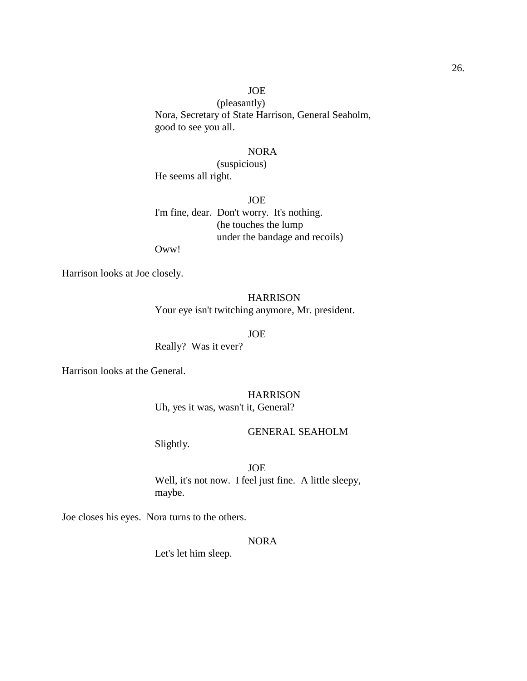(pleasantly)

Nora, Secretary of State Harrison, General Seaholm, good to see you all.

## NORA

(suspicious) He seems all right.

JOE

I'm fine, dear. Don't worry. It's nothing. (he touches the lump under the bandage and recoils)

Oww!

Harrison looks at Joe closely.

## **HARRISON**

Your eye isn't twitching anymore, Mr. president.

JOE

Really? Was it ever?

Harrison looks at the General.

HARRISON Uh, yes it was, wasn't it, General?

## GENERAL SEAHOLM

Slightly.

JOE Well, it's not now. I feel just fine. A little sleepy, maybe.

Joe closes his eyes. Nora turns to the others.

## NORA

Let's let him sleep.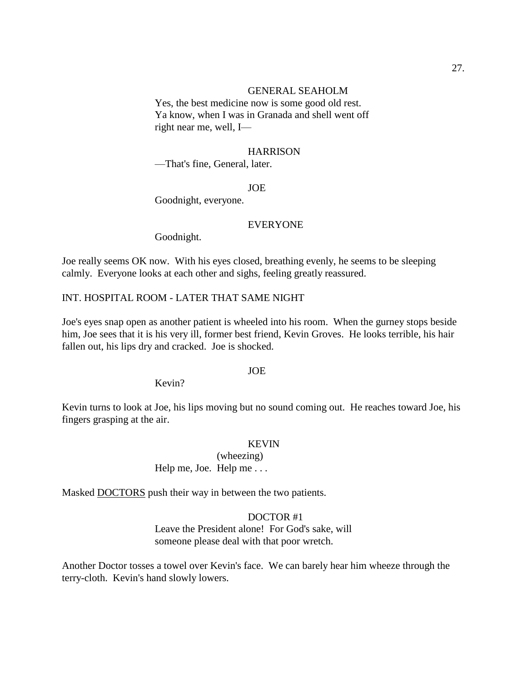#### GENERAL SEAHOLM

Yes, the best medicine now is some good old rest. Ya know, when I was in Granada and shell went off right near me, well, I—

### **HARRISON**

—That's fine, General, later.

JOE

Goodnight, everyone.

#### EVERYONE

Goodnight.

Joe really seems OK now. With his eyes closed, breathing evenly, he seems to be sleeping calmly. Everyone looks at each other and sighs, feeling greatly reassured.

## INT. HOSPITAL ROOM - LATER THAT SAME NIGHT

Joe's eyes snap open as another patient is wheeled into his room. When the gurney stops beside him, Joe sees that it is his very ill, former best friend, Kevin Groves. He looks terrible, his hair fallen out, his lips dry and cracked. Joe is shocked.

## JOE

Kevin?

Kevin turns to look at Joe, his lips moving but no sound coming out. He reaches toward Joe, his fingers grasping at the air.

### KEVIN

(wheezing) Help me, Joe. Help me . . .

Masked DOCTORS push their way in between the two patients.

## DOCTOR #1

Leave the President alone! For God's sake, will someone please deal with that poor wretch.

Another Doctor tosses a towel over Kevin's face. We can barely hear him wheeze through the terry-cloth. Kevin's hand slowly lowers.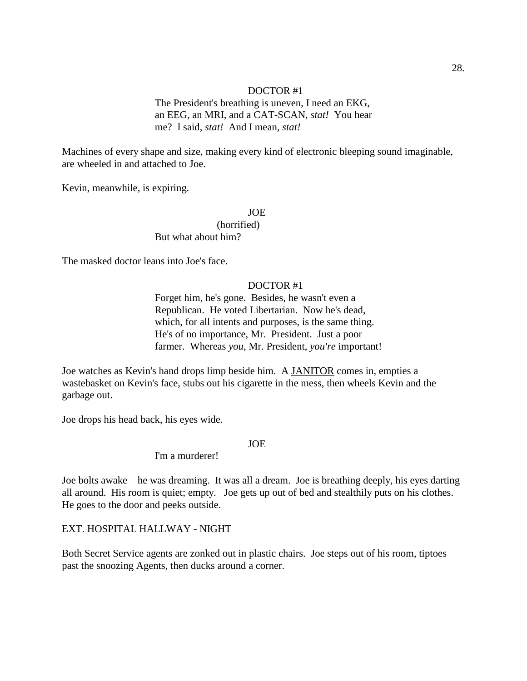## DOCTOR #1

The President's breathing is uneven, I need an EKG, an EEG, an MRI, and a CAT-SCAN, *stat!* You hear me? I said, *stat!* And I mean, *stat!*

Machines of every shape and size, making every kind of electronic bleeping sound imaginable, are wheeled in and attached to Joe.

Kevin, meanwhile, is expiring.

## JOE

(horrified) But what about him?

The masked doctor leans into Joe's face.

## DOCTOR #1

Forget him, he's gone. Besides, he wasn't even a Republican. He voted Libertarian. Now he's dead, which, for all intents and purposes, is the same thing. He's of no importance, Mr. President. Just a poor farmer. Whereas *you*, Mr. President, *you're* important!

Joe watches as Kevin's hand drops limp beside him. A JANITOR comes in, empties a wastebasket on Kevin's face, stubs out his cigarette in the mess, then wheels Kevin and the garbage out.

Joe drops his head back, his eyes wide.

## JOE

I'm a murderer!

Joe bolts awake—he was dreaming. It was all a dream. Joe is breathing deeply, his eyes darting all around. His room is quiet; empty. Joe gets up out of bed and stealthily puts on his clothes. He goes to the door and peeks outside.

## EXT. HOSPITAL HALLWAY - NIGHT

Both Secret Service agents are zonked out in plastic chairs. Joe steps out of his room, tiptoes past the snoozing Agents, then ducks around a corner.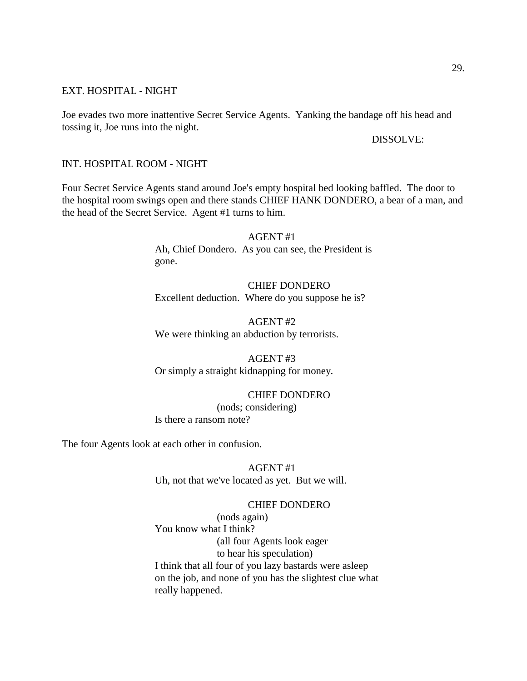## EXT. HOSPITAL - NIGHT

Joe evades two more inattentive Secret Service Agents. Yanking the bandage off his head and tossing it, Joe runs into the night.

DISSOLVE:

### INT. HOSPITAL ROOM - NIGHT

Four Secret Service Agents stand around Joe's empty hospital bed looking baffled. The door to the hospital room swings open and there stands CHIEF HANK DONDERO, a bear of a man, and the head of the Secret Service. Agent #1 turns to him.

> AGENT #1 Ah, Chief Dondero. As you can see, the President is gone.

CHIEF DONDERO Excellent deduction. Where do you suppose he is?

AGENT #2 We were thinking an abduction by terrorists.

AGENT #3 Or simply a straight kidnapping for money.

CHIEF DONDERO (nods; considering) Is there a ransom note?

The four Agents look at each other in confusion.

AGENT #1 Uh, not that we've located as yet. But we will.

### CHIEF DONDERO

(nods again) You know what I think? (all four Agents look eager to hear his speculation) I think that all four of you lazy bastards were asleep on the job, and none of you has the slightest clue what really happened.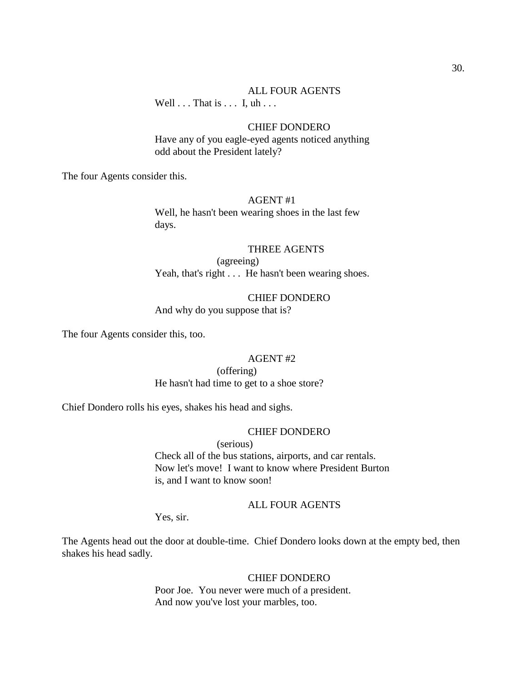## ALL FOUR AGENTS

Well  $\ldots$  That is  $\ldots$  I, uh  $\ldots$ 

## CHIEF DONDERO

Have any of you eagle-eyed agents noticed anything odd about the President lately?

The four Agents consider this.

## AGENT #1

Well, he hasn't been wearing shoes in the last few days.

### THREE AGENTS

(agreeing) Yeah, that's right . . . He hasn't been wearing shoes.

## CHIEF DONDERO

And why do you suppose that is?

The four Agents consider this, too.

#### AGENT #2

(offering) He hasn't had time to get to a shoe store?

Chief Dondero rolls his eyes, shakes his head and sighs.

## CHIEF DONDERO

(serious) Check all of the bus stations, airports, and car rentals. Now let's move! I want to know where President Burton is, and I want to know soon!

#### ALL FOUR AGENTS

Yes, sir.

The Agents head out the door at double-time. Chief Dondero looks down at the empty bed, then shakes his head sadly.

## CHIEF DONDERO

Poor Joe. You never were much of a president. And now you've lost your marbles, too.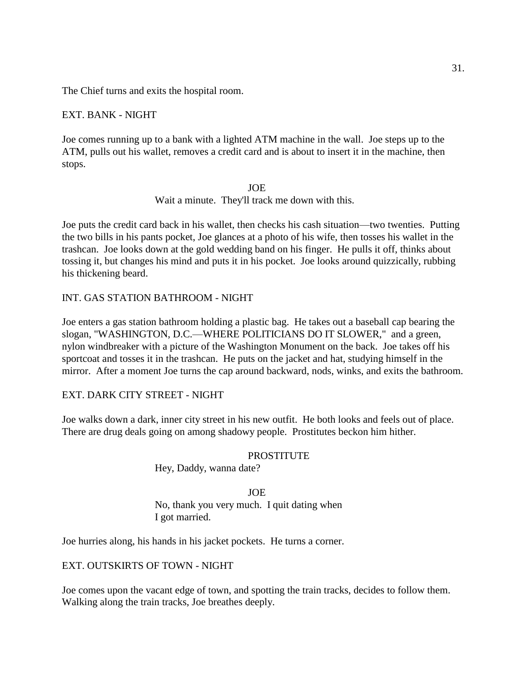The Chief turns and exits the hospital room.

## EXT. BANK - NIGHT

Joe comes running up to a bank with a lighted ATM machine in the wall. Joe steps up to the ATM, pulls out his wallet, removes a credit card and is about to insert it in the machine, then stops.

> JOE Wait a minute. They'll track me down with this.

Joe puts the credit card back in his wallet, then checks his cash situation—two twenties. Putting the two bills in his pants pocket, Joe glances at a photo of his wife, then tosses his wallet in the trashcan. Joe looks down at the gold wedding band on his finger. He pulls it off, thinks about tossing it, but changes his mind and puts it in his pocket. Joe looks around quizzically, rubbing his thickening beard.

## INT. GAS STATION BATHROOM - NIGHT

Joe enters a gas station bathroom holding a plastic bag. He takes out a baseball cap bearing the slogan, "WASHINGTON, D.C.—WHERE POLITICIANS DO IT SLOWER," and a green, nylon windbreaker with a picture of the Washington Monument on the back. Joe takes off his sportcoat and tosses it in the trashcan. He puts on the jacket and hat, studying himself in the mirror. After a moment Joe turns the cap around backward, nods, winks, and exits the bathroom.

## EXT. DARK CITY STREET - NIGHT

Joe walks down a dark, inner city street in his new outfit. He both looks and feels out of place. There are drug deals going on among shadowy people. Prostitutes beckon him hither.

#### **PROSTITUTE**

Hey, Daddy, wanna date?

## JOE No, thank you very much. I quit dating when I got married.

Joe hurries along, his hands in his jacket pockets. He turns a corner.

## EXT. OUTSKIRTS OF TOWN - NIGHT

Joe comes upon the vacant edge of town, and spotting the train tracks, decides to follow them. Walking along the train tracks, Joe breathes deeply.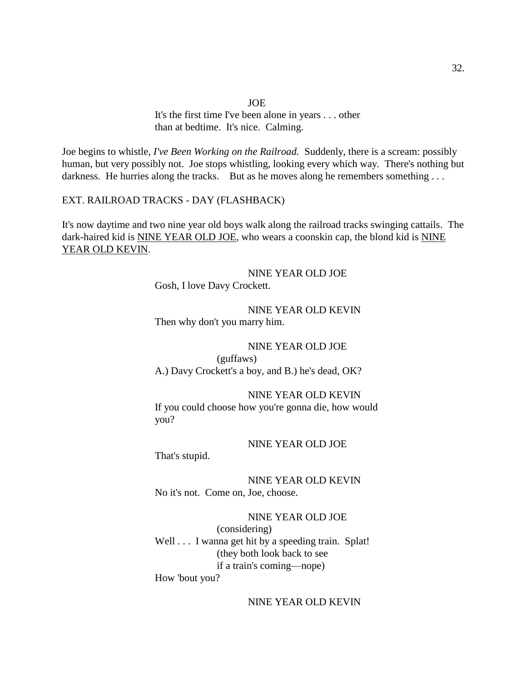It's the first time I've been alone in years . . . other than at bedtime. It's nice. Calming.

Joe begins to whistle, *I've Been Working on the Railroad.* Suddenly, there is a scream: possibly human, but very possibly not. Joe stops whistling, looking every which way. There's nothing but darkness. He hurries along the tracks. But as he moves along he remembers something ...

## EXT. RAILROAD TRACKS - DAY (FLASHBACK)

It's now daytime and two nine year old boys walk along the railroad tracks swinging cattails. The dark-haired kid is NINE YEAR OLD JOE, who wears a coonskin cap, the blond kid is NINE YEAR OLD KEVIN.

> NINE YEAR OLD JOE Gosh, I love Davy Crockett.

NINE YEAR OLD KEVIN Then why don't you marry him.

## NINE YEAR OLD JOE

(guffaws) A.) Davy Crockett's a boy, and B.) he's dead, OK?

NINE YEAR OLD KEVIN

If you could choose how you're gonna die, how would you?

## NINE YEAR OLD JOE

That's stupid.

NINE YEAR OLD KEVIN No it's not. Come on, Joe, choose.

NINE YEAR OLD JOE (considering) Well . . . I wanna get hit by a speeding train. Splat! (they both look back to see if a train's coming—nope) How 'bout you?

NINE YEAR OLD KEVIN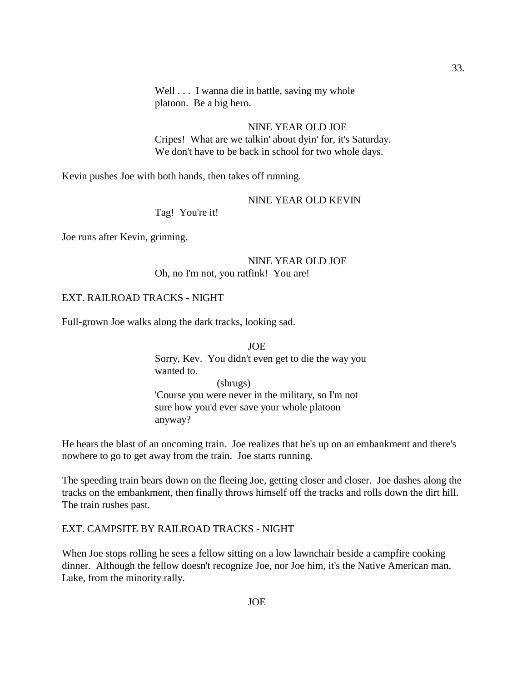Well . . . I wanna die in battle, saving my whole platoon. Be a big hero.

# NINE YEAR OLD JOE

Cripes! What are we talkin' about dyin' for, it's Saturday. We don't have to be back in school for two whole days.

Kevin pushes Joe with both hands, then takes off running.

### NINE YEAR OLD KEVIN

Tag! You're it!

Joe runs after Kevin, grinning.

## NINE YEAR OLD JOE Oh, no I'm not, you ratfink! You are!

### EXT. RAILROAD TRACKS - NIGHT

Full-grown Joe walks along the dark tracks, looking sad.

JOE Sorry, Kev. You didn't even get to die the way you wanted to. (shrugs) 'Course you were never in the military, so I'm not sure how you'd ever save your whole platoon anyway?

He hears the blast of an oncoming train. Joe realizes that he's up on an embankment and there's nowhere to go to get away from the train. Joe starts running.

The speeding train bears down on the fleeing Joe, getting closer and closer. Joe dashes along the tracks on the embankment, then finally throws himself off the tracks and rolls down the dirt hill. The train rushes past.

### EXT. CAMPSITE BY RAILROAD TRACKS - NIGHT

When Joe stops rolling he sees a fellow sitting on a low lawnchair beside a campfire cooking dinner. Although the fellow doesn't recognize Joe, nor Joe him, it's the Native American man, Luke, from the minority rally.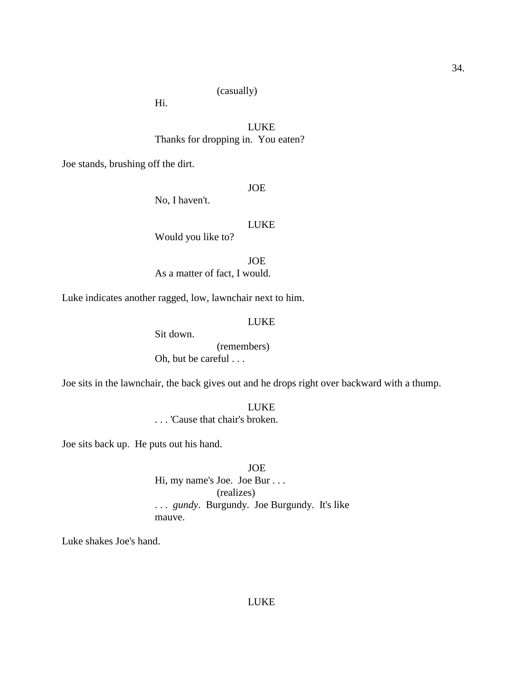## (casually)

Hi.

## LUKE Thanks for dropping in. You eaten?

Joe stands, brushing off the dirt.

### JOE

No, I haven't.

## LUKE

Would you like to?

JOE As a matter of fact, I would.

Luke indicates another ragged, low, lawnchair next to him.

## LUKE

Sit down. (remembers) Oh, but be careful . . .

Joe sits in the lawnchair, the back gives out and he drops right over backward with a thump.

LUKE

. . . 'Cause that chair's broken.

Joe sits back up. He puts out his hand.

JOE Hi, my name's Joe. Joe Bur . . . (realizes) . . . *gundy*. Burgundy. Joe Burgundy. It's like mauve.

Luke shakes Joe's hand.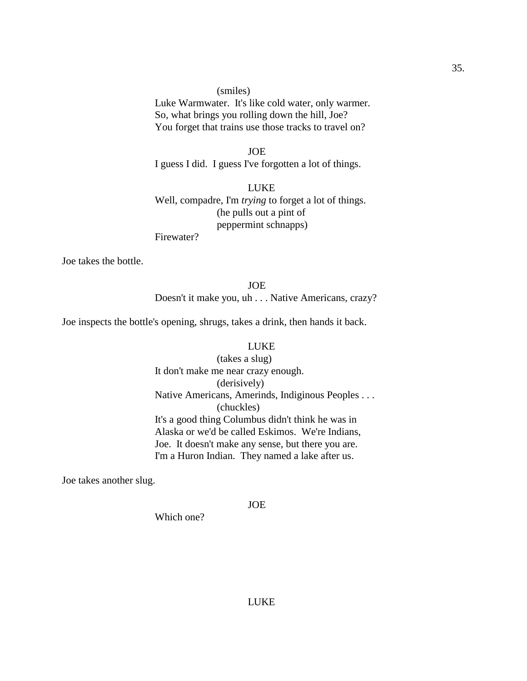Luke Warmwater. It's like cold water, only warmer. So, what brings you rolling down the hill, Joe? You forget that trains use those tracks to travel on?

JOE I guess I did. I guess I've forgotten a lot of things.

LUKE Well, compadre, I'm *trying* to forget a lot of things. (he pulls out a pint of peppermint schnapps)

Firewater?

Joe takes the bottle.

JOE Doesn't it make you, uh . . . Native Americans, crazy?

Joe inspects the bottle's opening, shrugs, takes a drink, then hands it back.

## LUKE

(takes a slug) It don't make me near crazy enough. (derisively) Native Americans, Amerinds, Indiginous Peoples . . . (chuckles) It's a good thing Columbus didn't think he was in Alaska or we'd be called Eskimos. We're Indians, Joe. It doesn't make any sense, but there you are. I'm a Huron Indian. They named a lake after us.

Joe takes another slug.

JOE

Which one?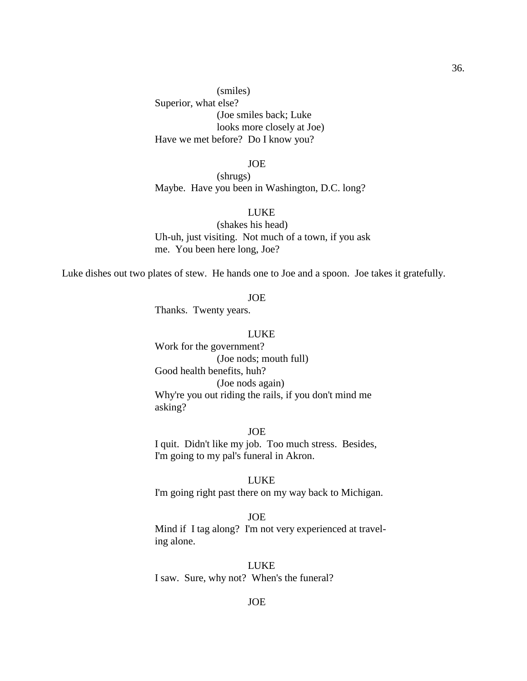(smiles) Superior, what else? (Joe smiles back; Luke looks more closely at Joe) Have we met before? Do I know you?

#### JOE

(shrugs) Maybe. Have you been in Washington, D.C. long?

## LUKE

(shakes his head) Uh-uh, just visiting. Not much of a town, if you ask me. You been here long, Joe?

Luke dishes out two plates of stew. He hands one to Joe and a spoon. Joe takes it gratefully.

### JOE

Thanks. Twenty years.

#### LUKE

Work for the government? (Joe nods; mouth full) Good health benefits, huh? (Joe nods again) Why're you out riding the rails, if you don't mind me asking?

JOE I quit. Didn't like my job. Too much stress. Besides, I'm going to my pal's funeral in Akron.

#### LUKE

I'm going right past there on my way back to Michigan.

## JOE

Mind if I tag along? I'm not very experienced at traveling alone.

LUKE I saw. Sure, why not? When's the funeral?

#### JOE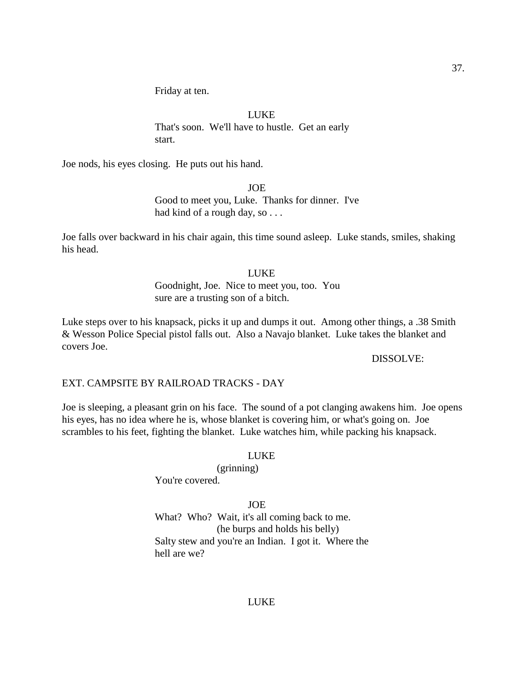Friday at ten.

LUKE That's soon. We'll have to hustle. Get an early start.

Joe nods, his eyes closing. He puts out his hand.

JOE Good to meet you, Luke. Thanks for dinner. I've had kind of a rough day, so . . .

Joe falls over backward in his chair again, this time sound asleep. Luke stands, smiles, shaking his head.

# LUKE

Goodnight, Joe. Nice to meet you, too. You sure are a trusting son of a bitch.

Luke steps over to his knapsack, picks it up and dumps it out. Among other things, a .38 Smith & Wesson Police Special pistol falls out. Also a Navajo blanket. Luke takes the blanket and covers Joe.

#### DISSOLVE:

# EXT. CAMPSITE BY RAILROAD TRACKS - DAY

Joe is sleeping, a pleasant grin on his face. The sound of a pot clanging awakens him. Joe opens his eyes, has no idea where he is, whose blanket is covering him, or what's going on. Joe scrambles to his feet, fighting the blanket. Luke watches him, while packing his knapsack.

# **LUKE**

(grinning)

You're covered.

JOE

What? Who? Wait, it's all coming back to me. (he burps and holds his belly) Salty stew and you're an Indian. I got it. Where the hell are we?

### **LUKE**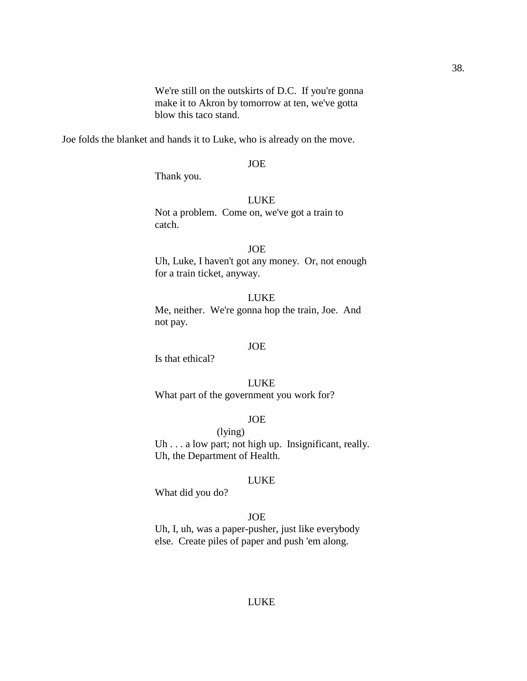We're still on the outskirts of D.C. If you're gonna make it to Akron by tomorrow at ten, we've gotta blow this taco stand.

Joe folds the blanket and hands it to Luke, who is already on the move.

#### JOE

Thank you.

# LUKE

Not a problem. Come on, we've got a train to catch.

#### JOE

Uh, Luke, I haven't got any money. Or, not enough for a train ticket, anyway.

# LUKE

Me, neither. We're gonna hop the train, Joe. And not pay.

### JOE

Is that ethical?

# LUKE

What part of the government you work for?

### JOE

(lying) Uh . . . a low part; not high up. Insignificant, really. Uh, the Department of Health.

### LUKE

What did you do?

# JOE

Uh, I, uh, was a paper-pusher, just like everybody else. Create piles of paper and push 'em along.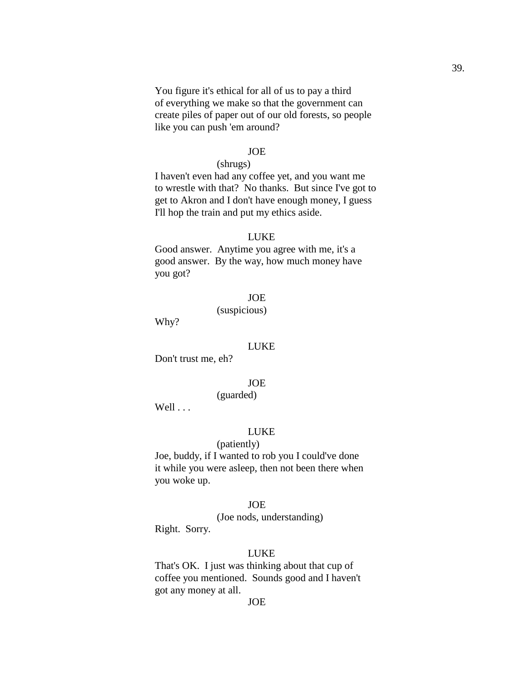You figure it's ethical for all of us to pay a third of everything we make so that the government can create piles of paper out of our old forests, so people like you can push 'em around?

# JOE

(shrugs)

I haven't even had any coffee yet, and you want me to wrestle with that? No thanks. But since I've got to get to Akron and I don't have enough money, I guess I'll hop the train and put my ethics aside.

# LUKE

Good answer. Anytime you agree with me, it's a good answer. By the way, how much money have you got?

# JOE

(suspicious)

Why?

#### LUKE

Don't trust me, eh?

# JOE

(guarded)

Well . . .

### LUKE

#### (patiently)

Joe, buddy, if I wanted to rob you I could've done it while you were asleep, then not been there when you woke up.

#### JOE

(Joe nods, understanding)

Right. Sorry.

# LUKE

That's OK. I just was thinking about that cup of coffee you mentioned. Sounds good and I haven't got any money at all.

JOE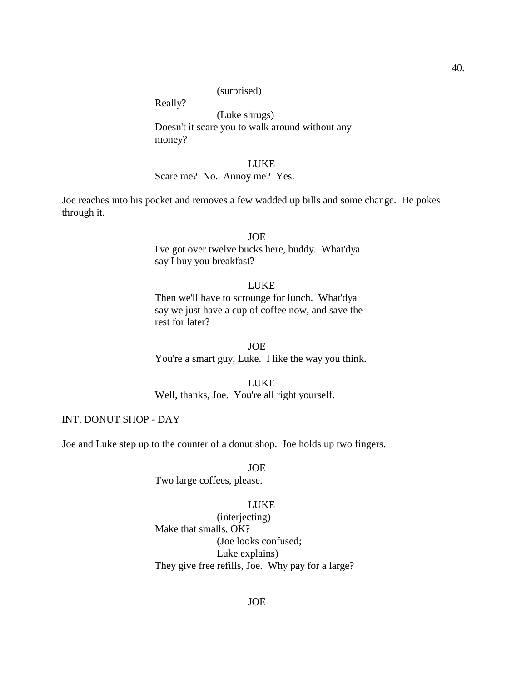40.

### (surprised)

Really?

(Luke shrugs) Doesn't it scare you to walk around without any money?

#### **LUKE**

Scare me? No. Annoy me? Yes.

Joe reaches into his pocket and removes a few wadded up bills and some change. He pokes through it.

> JOE I've got over twelve bucks here, buddy. What'dya say I buy you breakfast?

# LUKE

Then we'll have to scrounge for lunch. What'dya say we just have a cup of coffee now, and save the rest for later?

JOE You're a smart guy, Luke. I like the way you think.

# LUKE

Well, thanks, Joe. You're all right yourself.

### INT. DONUT SHOP - DAY

Joe and Luke step up to the counter of a donut shop. Joe holds up two fingers.

JOE

Two large coffees, please.

### LUKE

(interjecting) Make that smalls, OK? (Joe looks confused; Luke explains) They give free refills, Joe. Why pay for a large?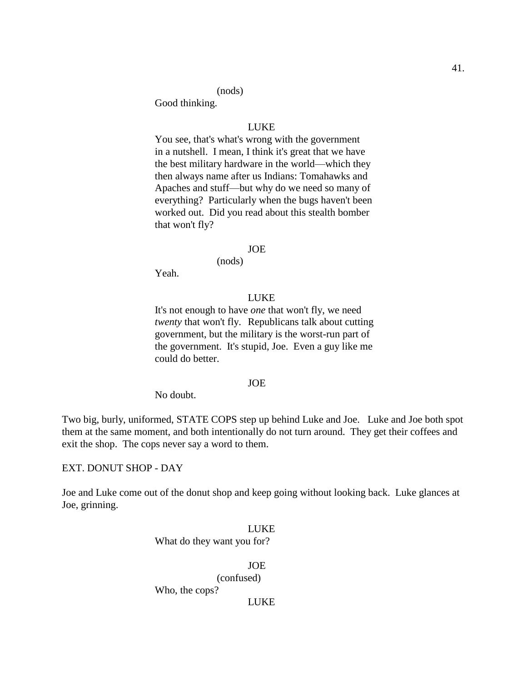### (nods)

Good thinking.

### LUKE

You see, that's what's wrong with the government in a nutshell. I mean, I think it's great that we have the best military hardware in the world—which they then always name after us Indians: Tomahawks and Apaches and stuff—but why do we need so many of everything? Particularly when the bugs haven't been worked out. Did you read about this stealth bomber that won't fly?

#### JOE

(nods)

Yeah.

# LUKE

It's not enough to have *one* that won't fly, we need *twenty* that won't fly. Republicans talk about cutting government, but the military is the worst-run part of the government. It's stupid, Joe. Even a guy like me could do better.

# JOE

No doubt.

Two big, burly, uniformed, STATE COPS step up behind Luke and Joe. Luke and Joe both spot them at the same moment, and both intentionally do not turn around. They get their coffees and exit the shop. The cops never say a word to them.

EXT. DONUT SHOP - DAY

Joe and Luke come out of the donut shop and keep going without looking back. Luke glances at Joe, grinning.

# LUKE What do they want you for?

JOE (confused) Who, the cops? LUKE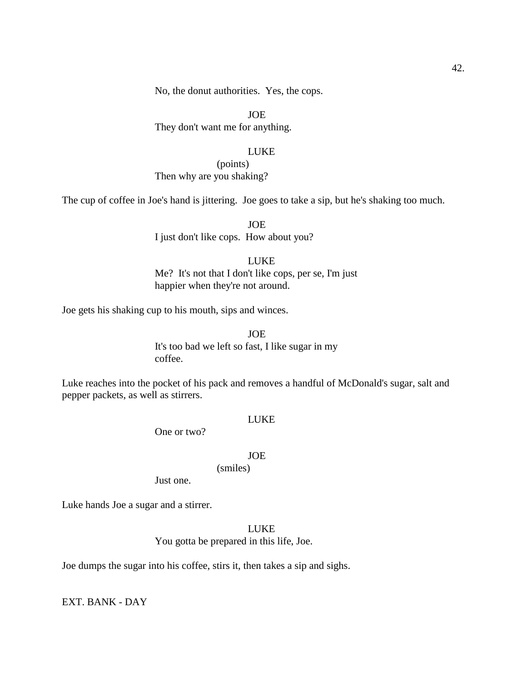No, the donut authorities. Yes, the cops.

JOE They don't want me for anything.

# LUKE

(points) Then why are you shaking?

The cup of coffee in Joe's hand is jittering. Joe goes to take a sip, but he's shaking too much.

JOE I just don't like cops. How about you?

# LUKE

Me? It's not that I don't like cops, per se, I'm just happier when they're not around.

Joe gets his shaking cup to his mouth, sips and winces.

JOE It's too bad we left so fast, I like sugar in my coffee.

Luke reaches into the pocket of his pack and removes a handful of McDonald's sugar, salt and pepper packets, as well as stirrers.

### LUKE

One or two?

#### **JOE**

(smiles)

Just one.

Luke hands Joe a sugar and a stirrer.

LUKE

You gotta be prepared in this life, Joe.

Joe dumps the sugar into his coffee, stirs it, then takes a sip and sighs.

EXT. BANK - DAY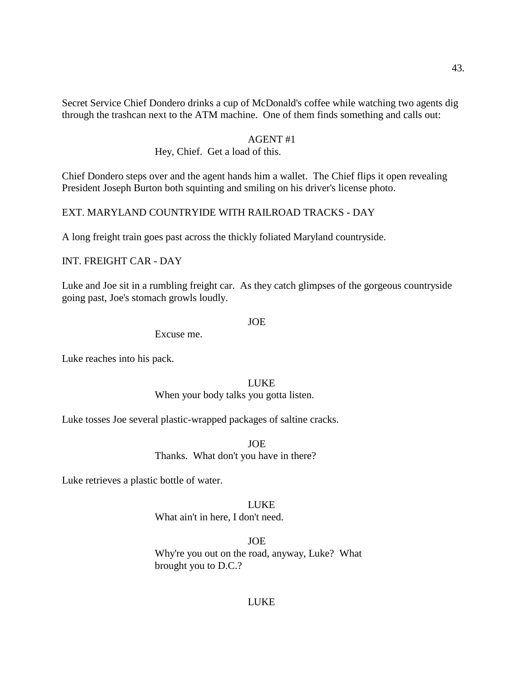Secret Service Chief Dondero drinks a cup of McDonald's coffee while watching two agents dig through the trashcan next to the ATM machine. One of them finds something and calls out:

### AGENT #1

Hey, Chief. Get a load of this.

Chief Dondero steps over and the agent hands him a wallet. The Chief flips it open revealing President Joseph Burton both squinting and smiling on his driver's license photo.

# EXT. MARYLAND COUNTRYIDE WITH RAILROAD TRACKS - DAY

A long freight train goes past across the thickly foliated Maryland countryside.

# INT. FREIGHT CAR - DAY

Luke and Joe sit in a rumbling freight car. As they catch glimpses of the gorgeous countryside going past, Joe's stomach growls loudly.

#### JOE

Excuse me.

Luke reaches into his pack.

#### LUKE

### When your body talks you gotta listen.

Luke tosses Joe several plastic-wrapped packages of saltine cracks.

JOE Thanks. What don't you have in there?

Luke retrieves a plastic bottle of water.

#### **LUKE**

#### What ain't in here, I don't need.

JOE Why're you out on the road, anyway, Luke? What brought you to D.C.?

### **LUKE**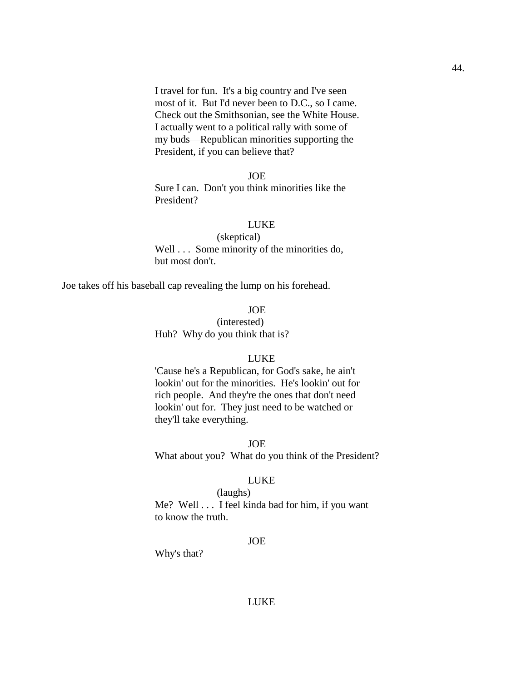I travel for fun. It's a big country and I've seen most of it. But I'd never been to D.C., so I came. Check out the Smithsonian, see the White House. I actually went to a political rally with some of my buds—Republican minorities supporting the President, if you can believe that?

### JOE

Sure I can. Don't you think minorities like the President?

#### LUKE

(skeptical) Well . . . Some minority of the minorities do, but most don't.

Joe takes off his baseball cap revealing the lump on his forehead.

#### JOE

(interested) Huh? Why do you think that is?

#### LUKE

'Cause he's a Republican, for God's sake, he ain't lookin' out for the minorities. He's lookin' out for rich people. And they're the ones that don't need lookin' out for. They just need to be watched or they'll take everything.

JOE

What about you? What do you think of the President?

### LUKE

#### (laughs)

Me? Well . . . I feel kinda bad for him, if you want to know the truth.

#### JOE

Why's that?

#### LUKE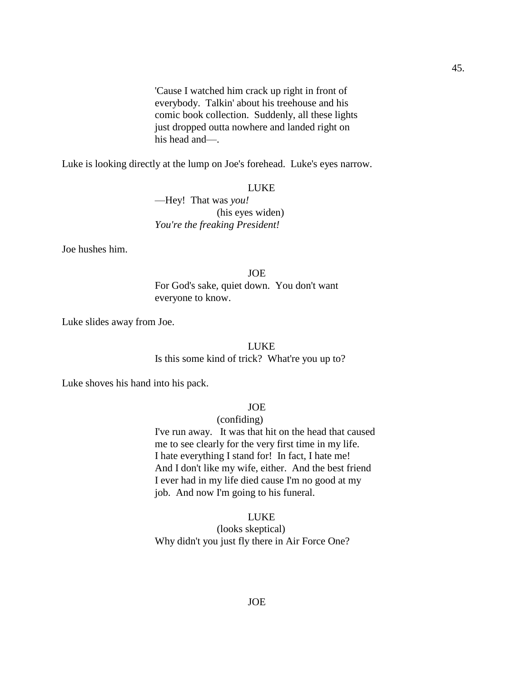'Cause I watched him crack up right in front of everybody. Talkin' about his treehouse and his comic book collection. Suddenly, all these lights just dropped outta nowhere and landed right on his head and—.

Luke is looking directly at the lump on Joe's forehead. Luke's eyes narrow.

#### LUKE

—Hey! That was *you!* (his eyes widen) *You're the freaking President!*

Joe hushes him.

JOE For God's sake, quiet down. You don't want everyone to know.

Luke slides away from Joe.

### LUKE

Is this some kind of trick? What're you up to?

Luke shoves his hand into his pack.

# JOE

# (confiding)

I've run away. It was that hit on the head that caused me to see clearly for the very first time in my life. I hate everything I stand for! In fact, I hate me! And I don't like my wife, either. And the best friend I ever had in my life died cause I'm no good at my job. And now I'm going to his funeral.

# LUKE

(looks skeptical) Why didn't you just fly there in Air Force One?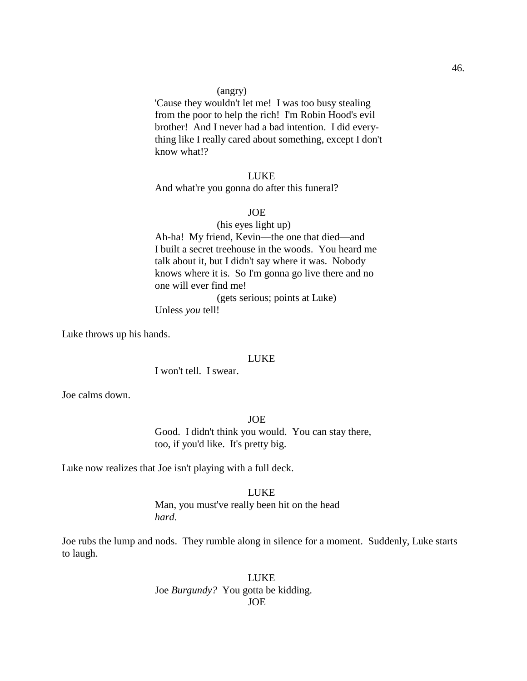#### (angry)

'Cause they wouldn't let me! I was too busy stealing from the poor to help the rich! I'm Robin Hood's evil brother! And I never had a bad intention. I did everything like I really cared about something, except I don't know what!?

### LUKE

And what're you gonna do after this funeral?

### JOE

# (his eyes light up)

Ah-ha! My friend, Kevin—the one that died—and I built a secret treehouse in the woods. You heard me talk about it, but I didn't say where it was. Nobody knows where it is. So I'm gonna go live there and no one will ever find me!

(gets serious; points at Luke)

Unless *you* tell!

Luke throws up his hands.

#### LUKE

I won't tell. I swear.

Joe calms down.

#### JOE

Good. I didn't think you would. You can stay there, too, if you'd like. It's pretty big.

Luke now realizes that Joe isn't playing with a full deck.

#### LUKE

Man, you must've really been hit on the head *hard*.

Joe rubs the lump and nods. They rumble along in silence for a moment. Suddenly, Luke starts to laugh.

> LUKE Joe *Burgundy?* You gotta be kidding. JOE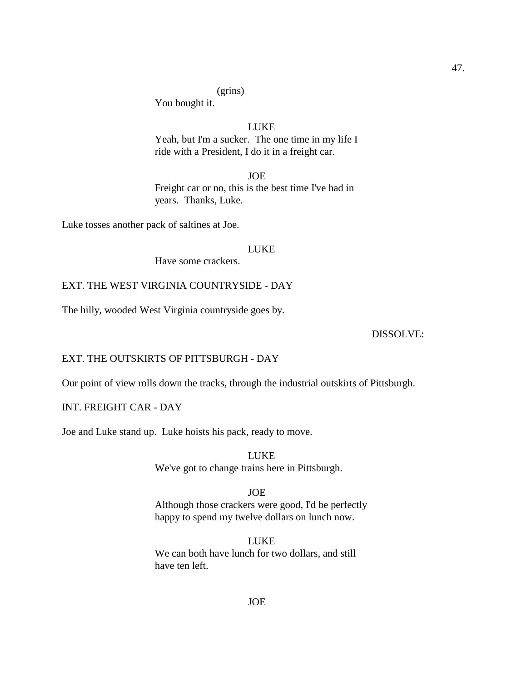(grins)

You bought it.

LUKE Yeah, but I'm a sucker. The one time in my life I ride with a President, I do it in a freight car.

JOE Freight car or no, this is the best time I've had in years. Thanks, Luke.

Luke tosses another pack of saltines at Joe.

### LUKE

Have some crackers.

# EXT. THE WEST VIRGINIA COUNTRYSIDE - DAY

The hilly, wooded West Virginia countryside goes by.

### DISSOLVE:

# EXT. THE OUTSKIRTS OF PITTSBURGH - DAY

Our point of view rolls down the tracks, through the industrial outskirts of Pittsburgh.

INT. FREIGHT CAR - DAY

Joe and Luke stand up. Luke hoists his pack, ready to move.

LUKE We've got to change trains here in Pittsburgh.

JOE Although those crackers were good, I'd be perfectly happy to spend my twelve dollars on lunch now.

LUKE We can both have lunch for two dollars, and still have ten left.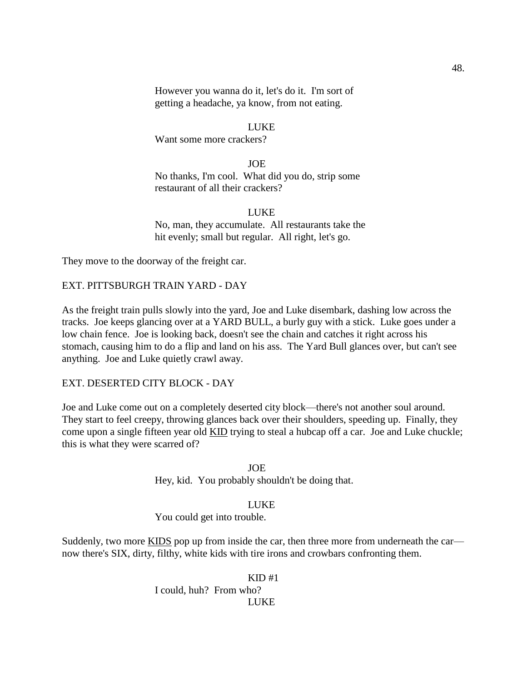However you wanna do it, let's do it. I'm sort of getting a headache, ya know, from not eating.

# LUKE

Want some more crackers?

#### JOE

No thanks, I'm cool. What did you do, strip some restaurant of all their crackers?

# **LUKE**

No, man, they accumulate. All restaurants take the hit evenly; small but regular. All right, let's go.

They move to the doorway of the freight car.

# EXT. PITTSBURGH TRAIN YARD - DAY

As the freight train pulls slowly into the yard, Joe and Luke disembark, dashing low across the tracks. Joe keeps glancing over at a YARD BULL, a burly guy with a stick. Luke goes under a low chain fence. Joe is looking back, doesn't see the chain and catches it right across his stomach, causing him to do a flip and land on his ass. The Yard Bull glances over, but can't see anything. Joe and Luke quietly crawl away.

# EXT. DESERTED CITY BLOCK - DAY

Joe and Luke come out on a completely deserted city block—there's not another soul around. They start to feel creepy, throwing glances back over their shoulders, speeding up. Finally, they come upon a single fifteen year old **KID** trying to steal a hubcap off a car. Joe and Luke chuckle; this is what they were scarred of?

JOE

Hey, kid. You probably shouldn't be doing that.

#### LUKE

You could get into trouble.

Suddenly, two more KIDS pop up from inside the car, then three more from underneath the car now there's SIX, dirty, filthy, white kids with tire irons and crowbars confronting them.

> $KID$ #1 I could, huh? From who? **LUKE**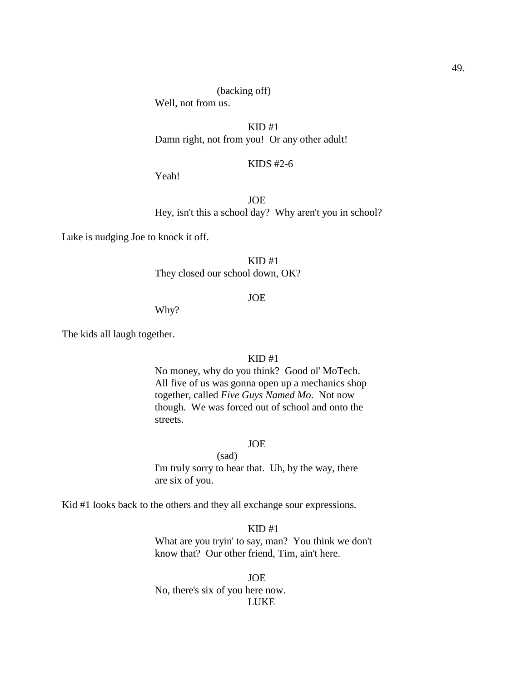Well, not from us.

KID #1 Damn right, not from you! Or any other adult!

#### KIDS #2-6

Yeah!

JOE Hey, isn't this a school day? Why aren't you in school?

Luke is nudging Joe to knock it off.

# $KID#1$ They closed our school down, OK?

# JOE

Why?

The kids all laugh together.

# KID #1

No money, why do you think? Good ol' MoTech. All five of us was gonna open up a mechanics shop together, called *Five Guys Named Mo*. Not now though. We was forced out of school and onto the streets.

### JOE

(sad) I'm truly sorry to hear that. Uh, by the way, there are six of you.

Kid #1 looks back to the others and they all exchange sour expressions.

# KID #1

What are you tryin' to say, man? You think we don't know that? Our other friend, Tim, ain't here.

JOE No, there's six of you here now. LUKE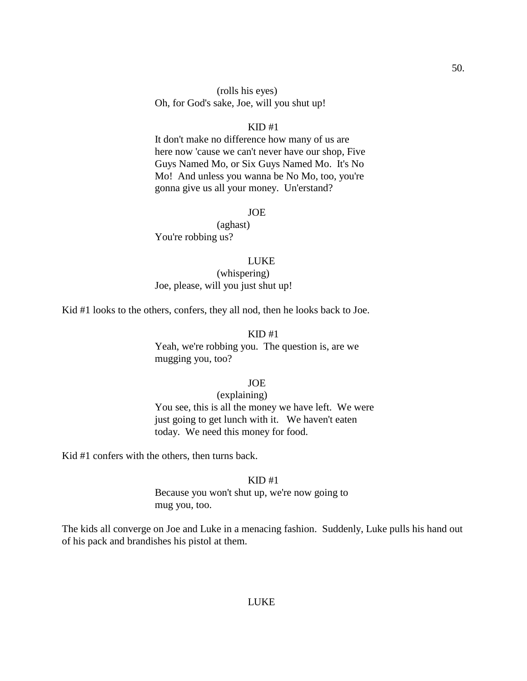# (rolls his eyes) Oh, for God's sake, Joe, will you shut up!

# KID #1

It don't make no difference how many of us are here now 'cause we can't never have our shop, Five Guys Named Mo, or Six Guys Named Mo. It's No Mo! And unless you wanna be No Mo, too, you're gonna give us all your money. Un'erstand?

### JOE

(aghast) You're robbing us?

### LUKE

(whispering) Joe, please, will you just shut up!

Kid #1 looks to the others, confers, they all nod, then he looks back to Joe.

#### $KID#1$

Yeah, we're robbing you. The question is, are we mugging you, too?

# JOE

# (explaining)

You see, this is all the money we have left. We were just going to get lunch with it. We haven't eaten today. We need this money for food.

Kid #1 confers with the others, then turns back.

#### $KID#1$

Because you won't shut up, we're now going to mug you, too.

The kids all converge on Joe and Luke in a menacing fashion. Suddenly, Luke pulls his hand out of his pack and brandishes his pistol at them.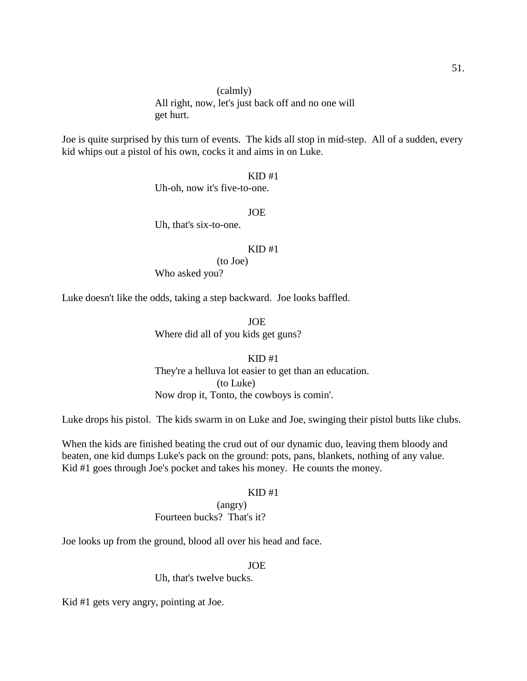(calmly) All right, now, let's just back off and no one will get hurt.

Joe is quite surprised by this turn of events. The kids all stop in mid-step. All of a sudden, every kid whips out a pistol of his own, cocks it and aims in on Luke.

### $KID$ #1

Uh-oh, now it's five-to-one.

#### JOE

Uh, that's six-to-one.

#### KID #1

(to Joe)

Who asked you?

Luke doesn't like the odds, taking a step backward. Joe looks baffled.

JOE Where did all of you kids get guns?

#### KID #1

# They're a helluva lot easier to get than an education. (to Luke) Now drop it, Tonto, the cowboys is comin'.

Luke drops his pistol. The kids swarm in on Luke and Joe, swinging their pistol butts like clubs.

When the kids are finished beating the crud out of our dynamic duo, leaving them bloody and beaten, one kid dumps Luke's pack on the ground: pots, pans, blankets, nothing of any value. Kid #1 goes through Joe's pocket and takes his money. He counts the money.

#### KID #1

# (angry) Fourteen bucks? That's it?

Joe looks up from the ground, blood all over his head and face.

#### JOE

Uh, that's twelve bucks.

Kid #1 gets very angry, pointing at Joe.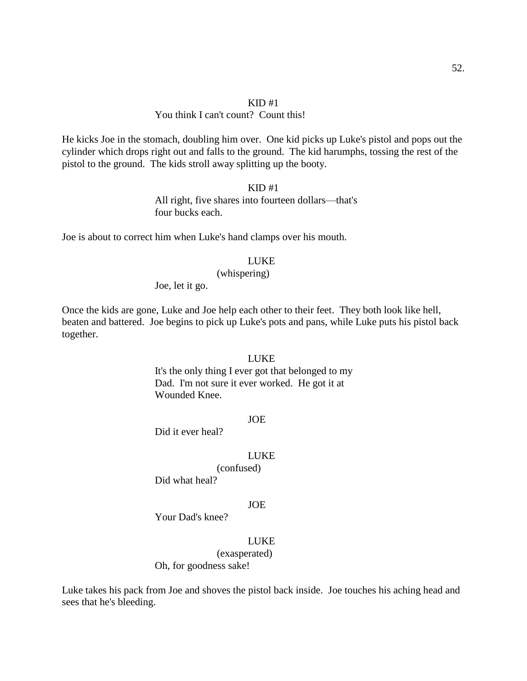#### $KID$ #1

# You think I can't count? Count this!

He kicks Joe in the stomach, doubling him over. One kid picks up Luke's pistol and pops out the cylinder which drops right out and falls to the ground. The kid harumphs, tossing the rest of the pistol to the ground. The kids stroll away splitting up the booty.

> KID #1 All right, five shares into fourteen dollars—that's four bucks each.

Joe is about to correct him when Luke's hand clamps over his mouth.

#### LUKE

(whispering)

Joe, let it go.

Once the kids are gone, Luke and Joe help each other to their feet. They both look like hell, beaten and battered. Joe begins to pick up Luke's pots and pans, while Luke puts his pistol back together.

#### LUKE

It's the only thing I ever got that belonged to my Dad. I'm not sure it ever worked. He got it at Wounded Knee.

#### JOE

Did it ever heal?

#### **LUKE**

(confused)

Did what heal?

#### JOE

Your Dad's knee?

# LUKE

(exasperated)

Oh, for goodness sake!

Luke takes his pack from Joe and shoves the pistol back inside. Joe touches his aching head and sees that he's bleeding.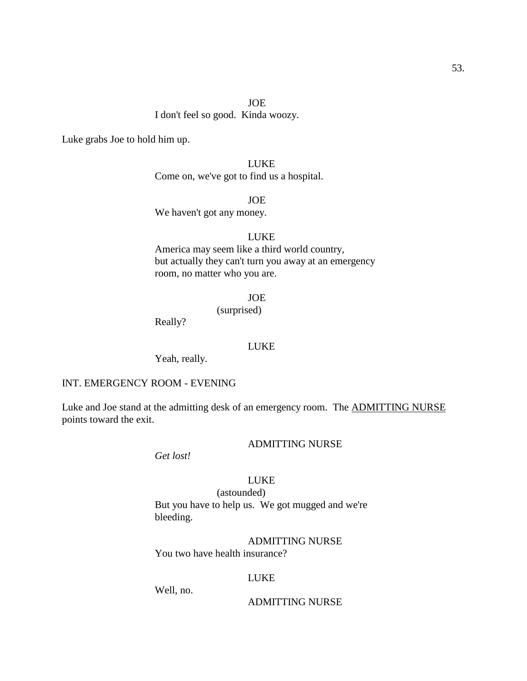# JOE I don't feel so good. Kinda woozy.

Luke grabs Joe to hold him up.

LUKE Come on, we've got to find us a hospital.

JOE We haven't got any money.

#### LUKE

America may seem like a third world country, but actually they can't turn you away at an emergency room, no matter who you are.

JOE

(surprised)

Really?

### LUKE

Yeah, really.

# INT. EMERGENCY ROOM - EVENING

Luke and Joe stand at the admitting desk of an emergency room. The ADMITTING NURSE points toward the exit.

### ADMITTING NURSE

*Get lost!*

# LUKE

(astounded) But you have to help us. We got mugged and we're bleeding.

ADMITTING NURSE You two have health insurance?

### LUKE

Well, no.

#### ADMITTING NURSE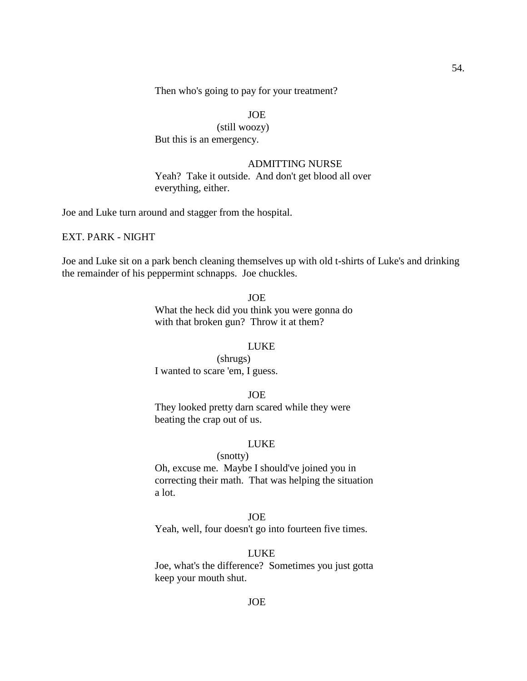Then who's going to pay for your treatment?

JOE

(still woozy) But this is an emergency.

### ADMITTING NURSE Yeah? Take it outside. And don't get blood all over

everything, either.

Joe and Luke turn around and stagger from the hospital.

EXT. PARK - NIGHT

Joe and Luke sit on a park bench cleaning themselves up with old t-shirts of Luke's and drinking the remainder of his peppermint schnapps. Joe chuckles.

JOE

What the heck did you think you were gonna do with that broken gun? Throw it at them?

### LUKE

(shrugs) I wanted to scare 'em, I guess.

JOE

They looked pretty darn scared while they were beating the crap out of us.

# LUKE

### (snotty)

Oh, excuse me. Maybe I should've joined you in correcting their math. That was helping the situation a lot.

# JOE

Yeah, well, four doesn't go into fourteen five times.

# LUKE

Joe, what's the difference? Sometimes you just gotta keep your mouth shut.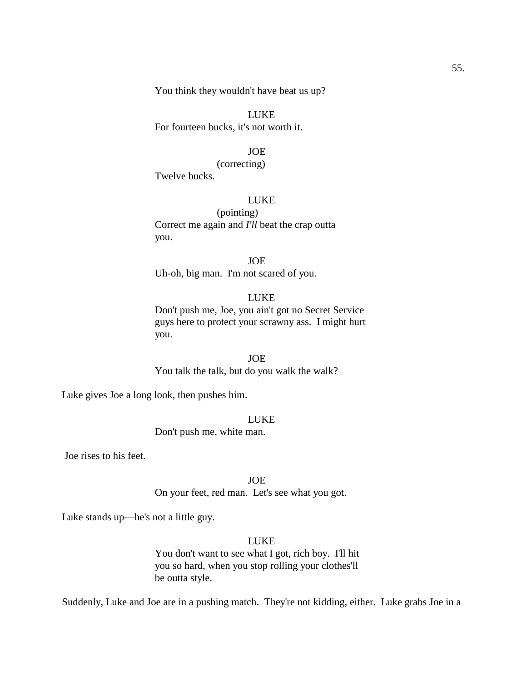You think they wouldn't have beat us up?

LUKE For fourteen bucks, it's not worth it.

# JOE

(correcting)

Twelve bucks.

# LUKE

(pointing) Correct me again and *I'll* beat the crap outta you.

JOE Uh-oh, big man. I'm not scared of you.

# LUKE

Don't push me, Joe, you ain't got no Secret Service guys here to protect your scrawny ass. I might hurt you.

JOE You talk the talk, but do you walk the walk?

Luke gives Joe a long look, then pushes him.

### LUKE

Don't push me, white man.

Joe rises to his feet.

JOE

On your feet, red man. Let's see what you got.

Luke stands up—he's not a little guy.

# LUKE

You don't want to see what I got, rich boy. I'll hit you so hard, when you stop rolling your clothes'll be outta style.

Suddenly, Luke and Joe are in a pushing match. They're not kidding, either. Luke grabs Joe in a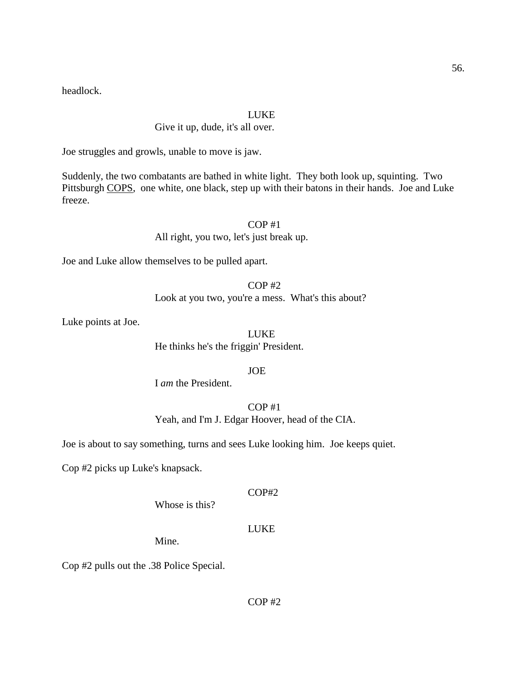headlock.

### LUKE

# Give it up, dude, it's all over.

Joe struggles and growls, unable to move is jaw.

Suddenly, the two combatants are bathed in white light. They both look up, squinting. Two Pittsburgh COPS, one white, one black, step up with their batons in their hands. Joe and Luke freeze.

> COP #1 All right, you two, let's just break up.

Joe and Luke allow themselves to be pulled apart.

COP #2 Look at you two, you're a mess. What's this about?

Luke points at Joe.

LUKE He thinks he's the friggin' President.

JOE

I *am* the President.

COP #1 Yeah, and I'm J. Edgar Hoover, head of the CIA.

Joe is about to say something, turns and sees Luke looking him. Joe keeps quiet.

Cop #2 picks up Luke's knapsack.

#### COP#2

Whose is this?

### LUKE

Mine.

Cop #2 pulls out the .38 Police Special.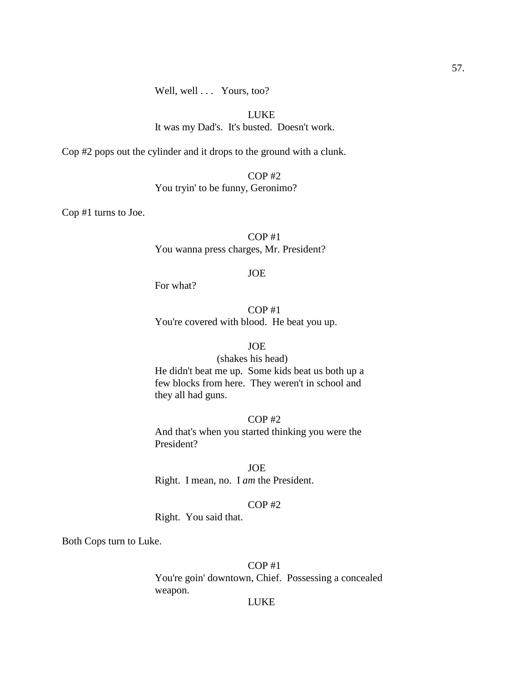Well, well . . . Yours, too?

# LUKE

It was my Dad's. It's busted. Doesn't work.

Cop #2 pops out the cylinder and it drops to the ground with a clunk.

COP #2 You tryin' to be funny, Geronimo?

Cop #1 turns to Joe.

COP #1 You wanna press charges, Mr. President?

#### JOE

For what?

COP #1 You're covered with blood. He beat you up.

# JOE

(shakes his head) He didn't beat me up. Some kids beat us both up a few blocks from here. They weren't in school and they all had guns.

### COP #2

And that's when you started thinking you were the President?

JOE

Right. I mean, no. I *am* the President.

### COP #2

Right. You said that.

Both Cops turn to Luke.

#### COP #1

You're goin' downtown, Chief. Possessing a concealed weapon.

#### LUKE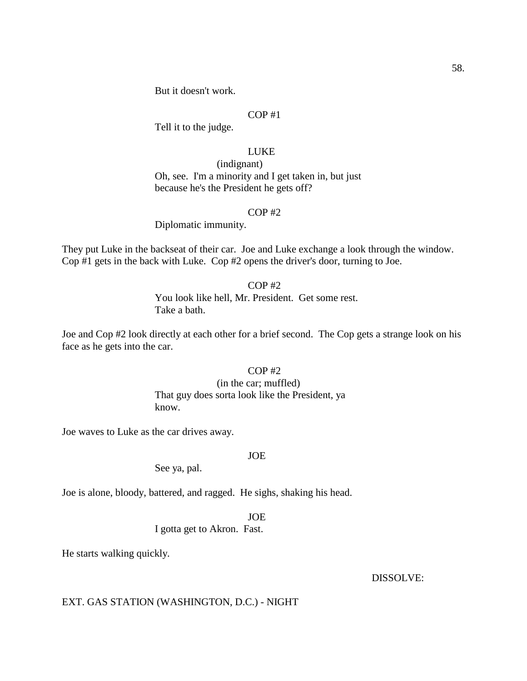# COP #1

Tell it to the judge.

# LUKE

(indignant) Oh, see. I'm a minority and I get taken in, but just because he's the President he gets off?

# COP #2

Diplomatic immunity.

They put Luke in the backseat of their car. Joe and Luke exchange a look through the window. Cop #1 gets in the back with Luke. Cop #2 opens the driver's door, turning to Joe.

# $COP$ #2

You look like hell, Mr. President. Get some rest. Take a bath.

Joe and Cop #2 look directly at each other for a brief second. The Cop gets a strange look on his face as he gets into the car.

# $COP$ #2

(in the car; muffled) That guy does sorta look like the President, ya know.

Joe waves to Luke as the car drives away.

# JOE

See ya, pal.

Joe is alone, bloody, battered, and ragged. He sighs, shaking his head.

JOE

I gotta get to Akron. Fast.

He starts walking quickly.

DISSOLVE:

### EXT. GAS STATION (WASHINGTON, D.C.) - NIGHT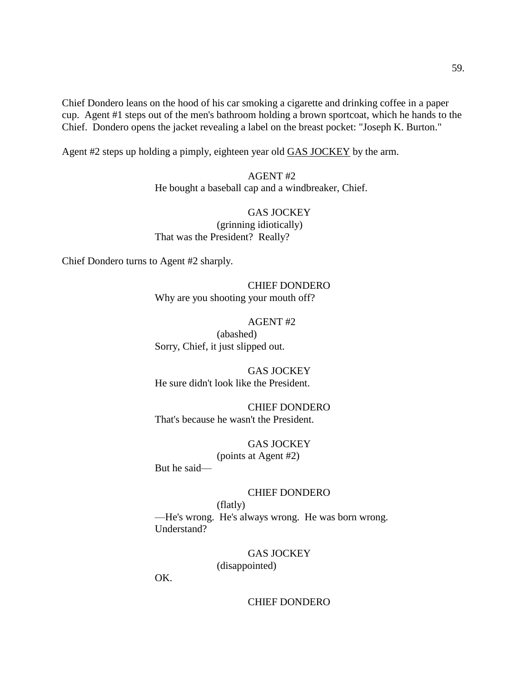Chief Dondero leans on the hood of his car smoking a cigarette and drinking coffee in a paper cup. Agent #1 steps out of the men's bathroom holding a brown sportcoat, which he hands to the Chief. Dondero opens the jacket revealing a label on the breast pocket: "Joseph K. Burton."

Agent #2 steps up holding a pimply, eighteen year old GAS JOCKEY by the arm.

AGENT #2 He bought a baseball cap and a windbreaker, Chief.

GAS JOCKEY (grinning idiotically) That was the President? Really?

Chief Dondero turns to Agent #2 sharply.

CHIEF DONDERO Why are you shooting your mouth off?

AGENT #2 (abashed) Sorry, Chief, it just slipped out.

GAS JOCKEY He sure didn't look like the President.

CHIEF DONDERO That's because he wasn't the President.

> GAS JOCKEY (points at Agent #2)

But he said—

### CHIEF DONDERO

(flatly)

—He's wrong. He's always wrong. He was born wrong. Understand?

GAS JOCKEY

(disappointed)

OK.

CHIEF DONDERO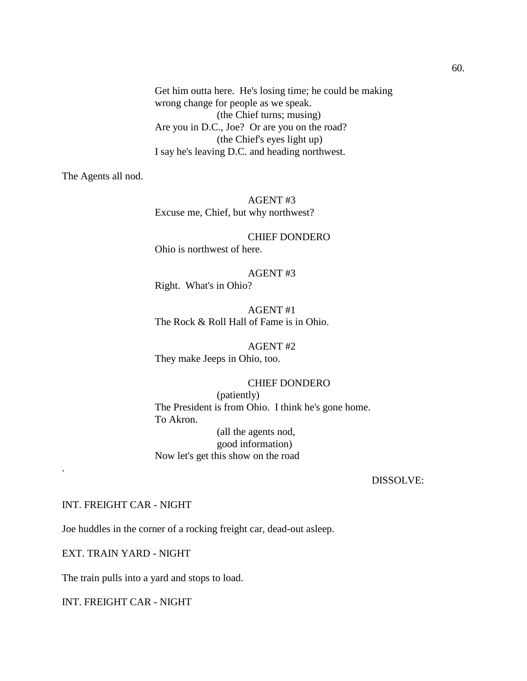Get him outta here. He's losing time; he could be making wrong change for people as we speak. (the Chief turns; musing) Are you in D.C., Joe? Or are you on the road? (the Chief's eyes light up) I say he's leaving D.C. and heading northwest.

The Agents all nod.

AGENT #3 Excuse me, Chief, but why northwest?

CHIEF DONDERO Ohio is northwest of here.

AGENT #3 Right. What's in Ohio?

AGENT #1 The Rock & Roll Hall of Fame is in Ohio.

AGENT #2

They make Jeeps in Ohio, too.

# CHIEF DONDERO

(patiently) The President is from Ohio. I think he's gone home. To Akron. (all the agents nod,

good information) Now let's get this show on the road

DISSOLVE:

# INT. FREIGHT CAR - NIGHT

.

Joe huddles in the corner of a rocking freight car, dead-out asleep.

EXT. TRAIN YARD - NIGHT

The train pulls into a yard and stops to load.

INT. FREIGHT CAR - NIGHT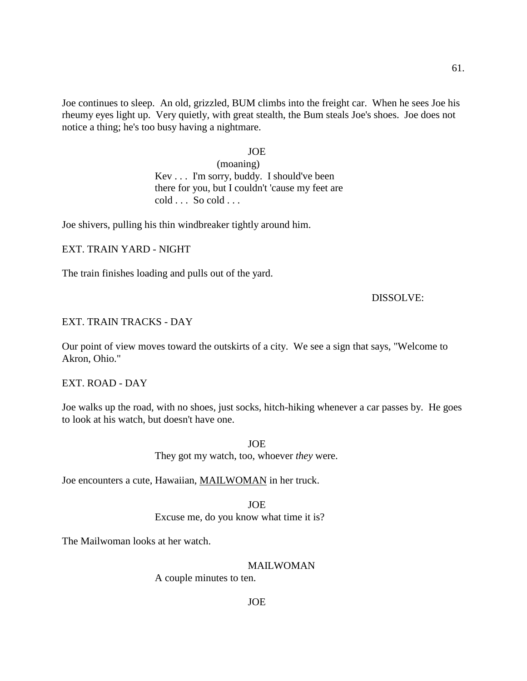Joe continues to sleep. An old, grizzled, BUM climbs into the freight car. When he sees Joe his rheumy eyes light up. Very quietly, with great stealth, the Bum steals Joe's shoes. Joe does not notice a thing; he's too busy having a nightmare.

### JOE

(moaning) Kev . . . I'm sorry, buddy. I should've been there for you, but I couldn't 'cause my feet are  $cold \ldots$  So  $cold \ldots$ 

Joe shivers, pulling his thin windbreaker tightly around him.

EXT. TRAIN YARD - NIGHT

The train finishes loading and pulls out of the yard.

### DISSOLVE:

# EXT. TRAIN TRACKS - DAY

Our point of view moves toward the outskirts of a city. We see a sign that says, "Welcome to Akron, Ohio."

# EXT. ROAD - DAY

Joe walks up the road, with no shoes, just socks, hitch-hiking whenever a car passes by. He goes to look at his watch, but doesn't have one.

> JOE They got my watch, too, whoever *they* were.

Joe encounters a cute, Hawaiian, MAILWOMAN in her truck.

JOE

Excuse me, do you know what time it is?

The Mailwoman looks at her watch.

#### MAILWOMAN

A couple minutes to ten.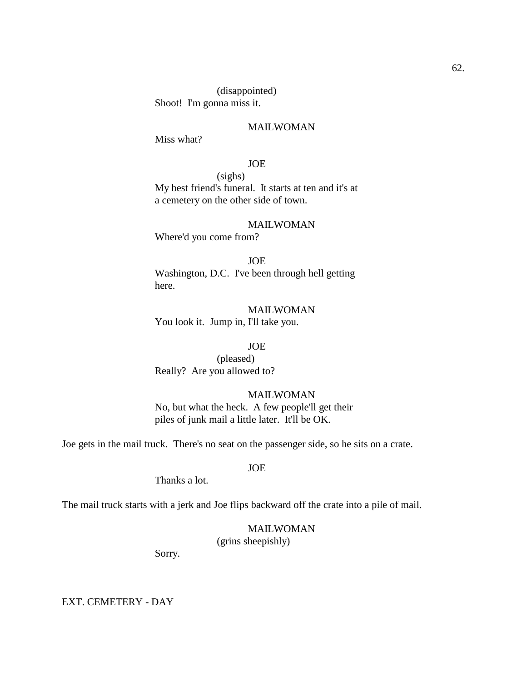(disappointed) Shoot! I'm gonna miss it.

# MAILWOMAN

Miss what?

# JOE

(sighs) My best friend's funeral. It starts at ten and it's at a cemetery on the other side of town.

#### MAILWOMAN

Where'd you come from?

JOE Washington, D.C. I've been through hell getting here.

MAILWOMAN You look it. Jump in, I'll take you.

# JOE

(pleased) Really? Are you allowed to?

### MAILWOMAN

No, but what the heck. A few people'll get their piles of junk mail a little later. It'll be OK.

Joe gets in the mail truck. There's no seat on the passenger side, so he sits on a crate.

JOE

Thanks a lot.

The mail truck starts with a jerk and Joe flips backward off the crate into a pile of mail.

# MAILWOMAN

(grins sheepishly)

Sorry.

EXT. CEMETERY - DAY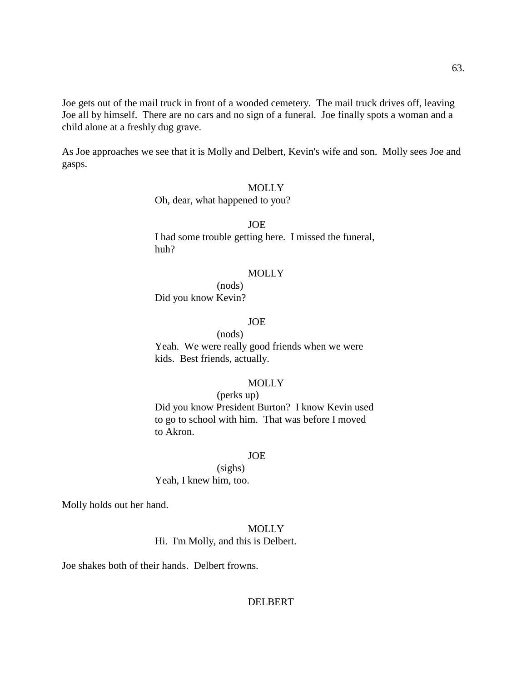Joe gets out of the mail truck in front of a wooded cemetery. The mail truck drives off, leaving Joe all by himself. There are no cars and no sign of a funeral. Joe finally spots a woman and a child alone at a freshly dug grave.

As Joe approaches we see that it is Molly and Delbert, Kevin's wife and son. Molly sees Joe and gasps.

### **MOLLY**

Oh, dear, what happened to you?

JOE I had some trouble getting here. I missed the funeral, huh?

#### **MOLLY**

(nods) Did you know Kevin?

#### JOE

(nods) Yeah. We were really good friends when we were kids. Best friends, actually.

# **MOLLY**

(perks up) Did you know President Burton? I know Kevin used to go to school with him. That was before I moved to Akron.

# JOE

(sighs) Yeah, I knew him, too.

Molly holds out her hand.

# **MOLLY**

### Hi. I'm Molly, and this is Delbert.

Joe shakes both of their hands. Delbert frowns.

### DELBERT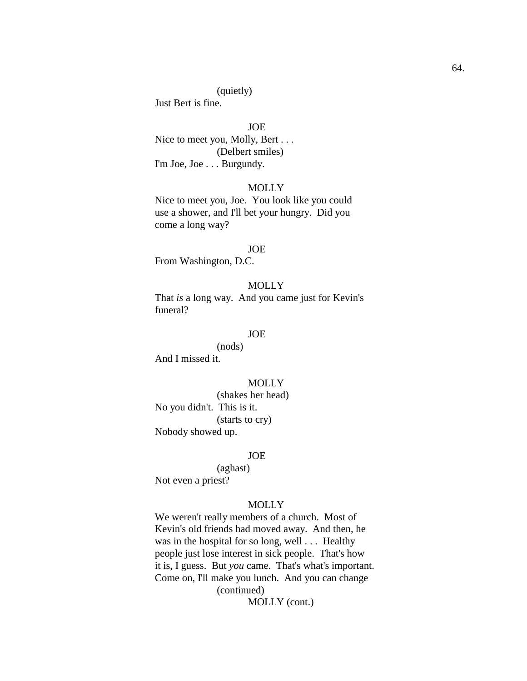### (quietly)

Just Bert is fine.

JOE Nice to meet you, Molly, Bert . . . (Delbert smiles) I'm Joe, Joe . . . Burgundy.

#### **MOLLY**

Nice to meet you, Joe. You look like you could use a shower, and I'll bet your hungry. Did you come a long way?

#### JOE

From Washington, D.C.

# **MOLLY**

That *is* a long way. And you came just for Kevin's funeral?

#### JOE

(nods)

And I missed it.

# **MOLLY**

(shakes her head) No you didn't. This is it. (starts to cry) Nobody showed up.

### JOE

(aghast) Not even a priest?

### **MOLLY**

We weren't really members of a church. Most of Kevin's old friends had moved away. And then, he was in the hospital for so long, well . . . Healthy people just lose interest in sick people. That's how it is, I guess. But *you* came. That's what's important. Come on, I'll make you lunch. And you can change (continued)

MOLLY (cont.)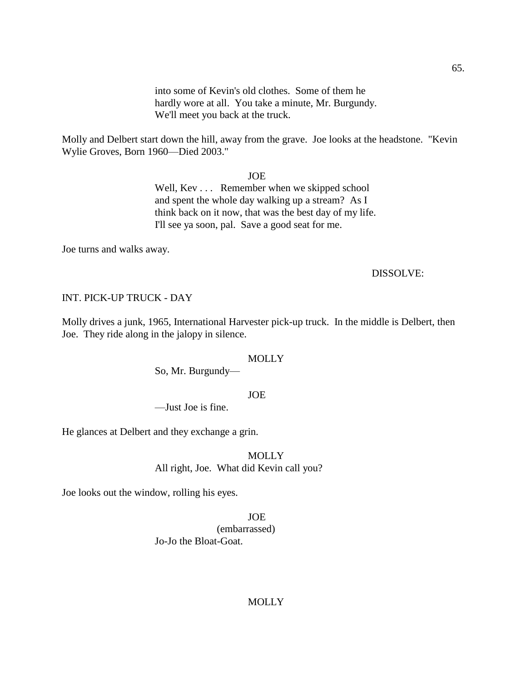into some of Kevin's old clothes. Some of them he hardly wore at all. You take a minute, Mr. Burgundy. We'll meet you back at the truck.

Molly and Delbert start down the hill, away from the grave. Joe looks at the headstone. "Kevin Wylie Groves, Born 1960—Died 2003."

#### JOE

Well, Kev . . . Remember when we skipped school and spent the whole day walking up a stream? As I think back on it now, that was the best day of my life. I'll see ya soon, pal. Save a good seat for me.

Joe turns and walks away.

#### DISSOLVE:

### INT. PICK-UP TRUCK - DAY

Molly drives a junk, 1965, International Harvester pick-up truck. In the middle is Delbert, then Joe. They ride along in the jalopy in silence.

#### **MOLLY**

So, Mr. Burgundy—

#### JOE

—Just Joe is fine.

He glances at Delbert and they exchange a grin.

MOLLY All right, Joe. What did Kevin call you?

Joe looks out the window, rolling his eyes.

JOE

(embarrassed) Jo-Jo the Bloat-Goat.

# MOLLY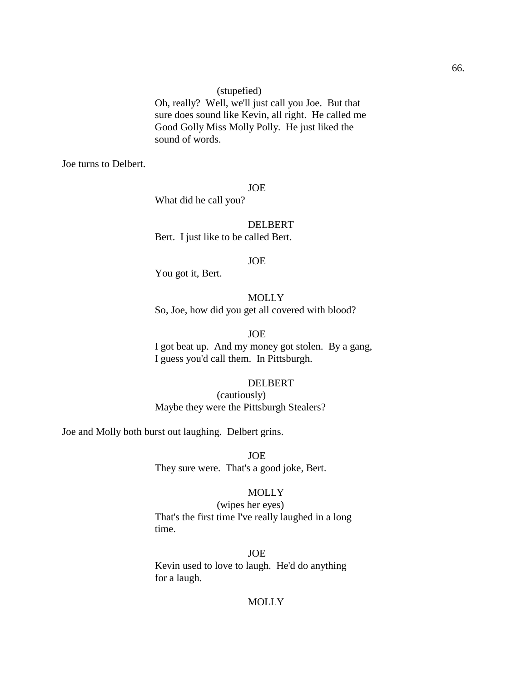Oh, really? Well, we'll just call you Joe. But that sure does sound like Kevin, all right. He called me Good Golly Miss Molly Polly. He just liked the sound of words.

Joe turns to Delbert.

JOE

What did he call you?

DELBERT Bert. I just like to be called Bert.

#### JOE

You got it, Bert.

# **MOLLY** So, Joe, how did you get all covered with blood?

JOE I got beat up. And my money got stolen. By a gang, I guess you'd call them. In Pittsburgh.

# DELBERT

(cautiously) Maybe they were the Pittsburgh Stealers?

Joe and Molly both burst out laughing. Delbert grins.

JOE They sure were. That's a good joke, Bert.

### **MOLLY**

(wipes her eyes) That's the first time I've really laughed in a long time.

# JOE

Kevin used to love to laugh. He'd do anything for a laugh.

### **MOLLY**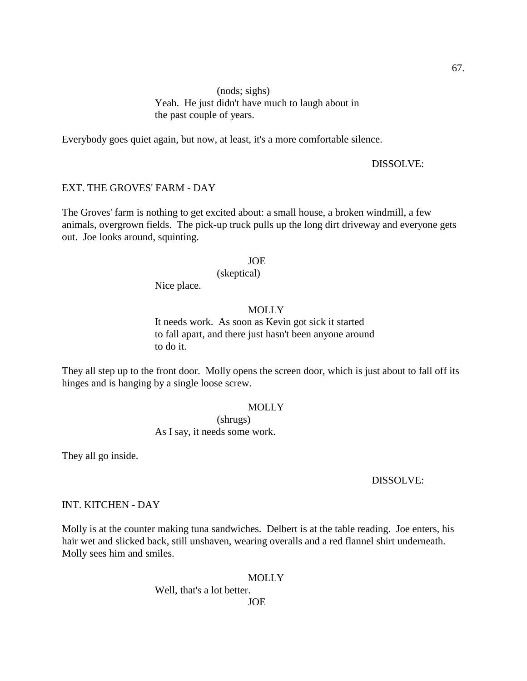# (nods; sighs) Yeah. He just didn't have much to laugh about in the past couple of years.

Everybody goes quiet again, but now, at least, it's a more comfortable silence.

#### DISSOLVE:

#### EXT. THE GROVES' FARM - DAY

The Groves' farm is nothing to get excited about: a small house, a broken windmill, a few animals, overgrown fields. The pick-up truck pulls up the long dirt driveway and everyone gets out. Joe looks around, squinting.

# JOE

### (skeptical)

Nice place.

# **MOLLY**

It needs work. As soon as Kevin got sick it started to fall apart, and there just hasn't been anyone around to do it.

They all step up to the front door. Molly opens the screen door, which is just about to fall off its hinges and is hanging by a single loose screw.

#### **MOLLY**

(shrugs) As I say, it needs some work.

They all go inside.

#### DISSOLVE:

#### INT. KITCHEN - DAY

Molly is at the counter making tuna sandwiches. Delbert is at the table reading. Joe enters, his hair wet and slicked back, still unshaven, wearing overalls and a red flannel shirt underneath. Molly sees him and smiles.

### MOLLY

# Well, that's a lot better.

# JOE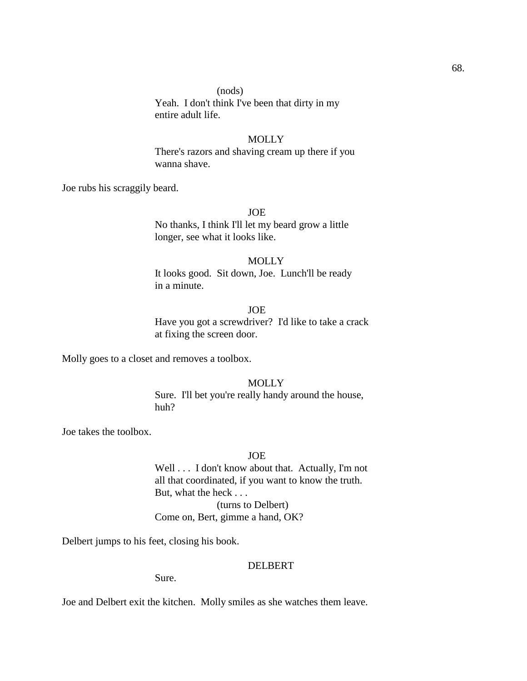# (nods)

Yeah. I don't think I've been that dirty in my entire adult life.

### **MOLLY**

There's razors and shaving cream up there if you wanna shave.

Joe rubs his scraggily beard.

# JOE

No thanks, I think I'll let my beard grow a little longer, see what it looks like.

### **MOLLY**

It looks good. Sit down, Joe. Lunch'll be ready in a minute.

#### JOE

Have you got a screwdriver? I'd like to take a crack at fixing the screen door.

Molly goes to a closet and removes a toolbox.

# **MOLLY**

Sure. I'll bet you're really handy around the house, huh?

Joe takes the toolbox.

# JOE

Well . . . I don't know about that. Actually, I'm not all that coordinated, if you want to know the truth. But, what the heck . . .

(turns to Delbert) Come on, Bert, gimme a hand, OK?

Delbert jumps to his feet, closing his book.

### DELBERT

Sure.

Joe and Delbert exit the kitchen. Molly smiles as she watches them leave.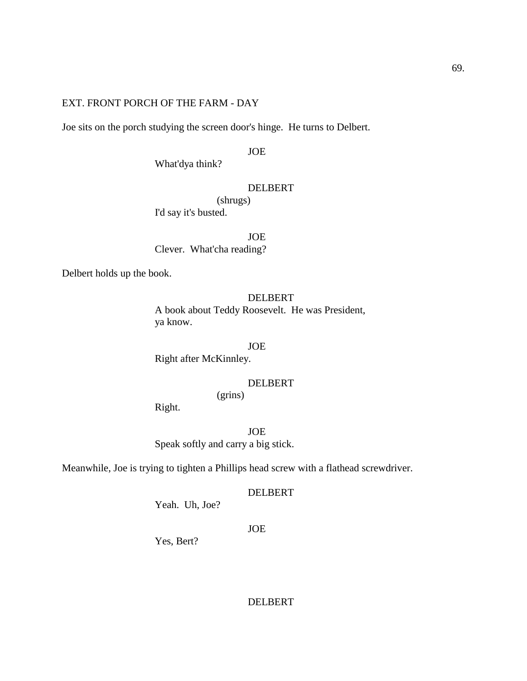### EXT. FRONT PORCH OF THE FARM - DAY

Joe sits on the porch studying the screen door's hinge. He turns to Delbert.

JOE

What'dya think?

### DELBERT

(shrugs)

I'd say it's busted.

JOE Clever. What'cha reading?

Delbert holds up the book.

### DELBERT

A book about Teddy Roosevelt. He was President, ya know.

JOE Right after McKinnley.

# DELBERT

(grins)

Right.

JOE Speak softly and carry a big stick.

Meanwhile, Joe is trying to tighten a Phillips head screw with a flathead screwdriver.

# DELBERT

Yeah. Uh, Joe?

#### JOE

Yes, Bert?

DELBERT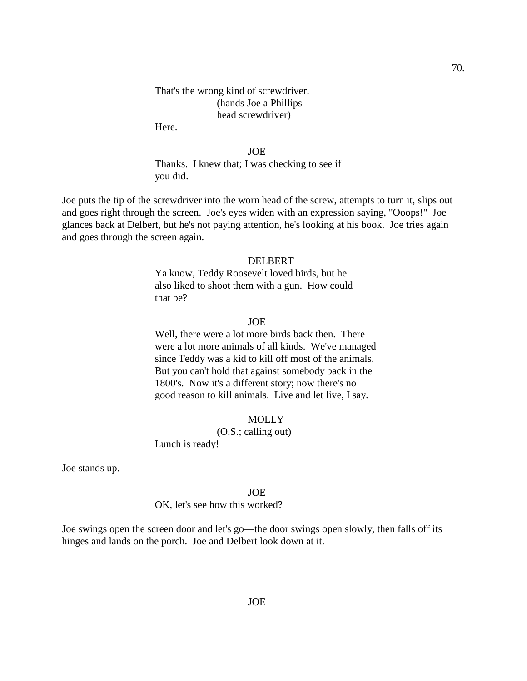That's the wrong kind of screwdriver. (hands Joe a Phillips head screwdriver)

Here.

JOE Thanks. I knew that; I was checking to see if you did.

Joe puts the tip of the screwdriver into the worn head of the screw, attempts to turn it, slips out and goes right through the screen. Joe's eyes widen with an expression saying, "Ooops!" Joe glances back at Delbert, but he's not paying attention, he's looking at his book. Joe tries again and goes through the screen again.

### DELBERT

Ya know, Teddy Roosevelt loved birds, but he also liked to shoot them with a gun. How could that be?

#### JOE

Well, there were a lot more birds back then. There were a lot more animals of all kinds. We've managed since Teddy was a kid to kill off most of the animals. But you can't hold that against somebody back in the 1800's. Now it's a different story; now there's no good reason to kill animals. Live and let live, I say.

### **MOLLY**

(O.S.; calling out)

Lunch is ready!

Joe stands up.

#### JOE

OK, let's see how this worked?

Joe swings open the screen door and let's go—the door swings open slowly, then falls off its hinges and lands on the porch. Joe and Delbert look down at it.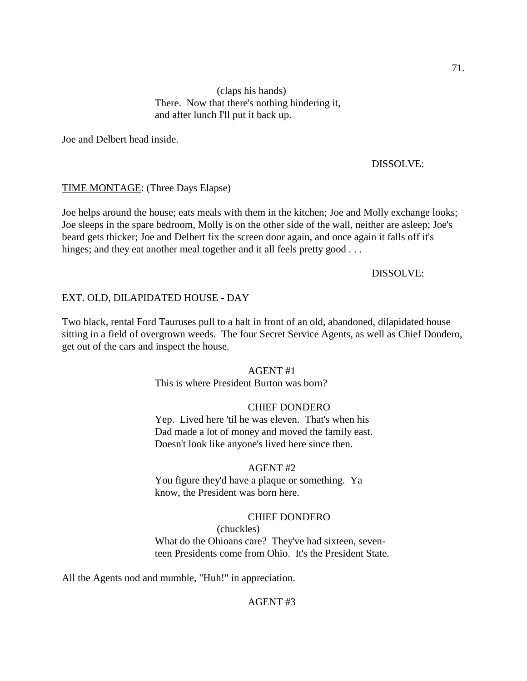# (claps his hands) There. Now that there's nothing hindering it, and after lunch I'll put it back up.

Joe and Delbert head inside.

# DISSOLVE:

# TIME MONTAGE: (Three Days Elapse)

Joe helps around the house; eats meals with them in the kitchen; Joe and Molly exchange looks; Joe sleeps in the spare bedroom, Molly is on the other side of the wall, neither are asleep; Joe's beard gets thicker; Joe and Delbert fix the screen door again, and once again it falls off it's hinges; and they eat another meal together and it all feels pretty good . . .

### DISSOLVE:

# EXT. OLD, DILAPIDATED HOUSE - DAY

Two black, rental Ford Tauruses pull to a halt in front of an old, abandoned, dilapidated house sitting in a field of overgrown weeds. The four Secret Service Agents, as well as Chief Dondero, get out of the cars and inspect the house.

# AGENT #1

This is where President Burton was born?

# CHIEF DONDERO

Yep. Lived here 'til he was eleven. That's when his Dad made a lot of money and moved the family east. Doesn't look like anyone's lived here since then.

### AGENT #2

You figure they'd have a plaque or something. Ya know, the President was born here.

# CHIEF DONDERO

(chuckles) What do the Ohioans care? They've had sixteen, seventeen Presidents come from Ohio. It's the President State.

All the Agents nod and mumble, "Huh!" in appreciation.

### AGENT #3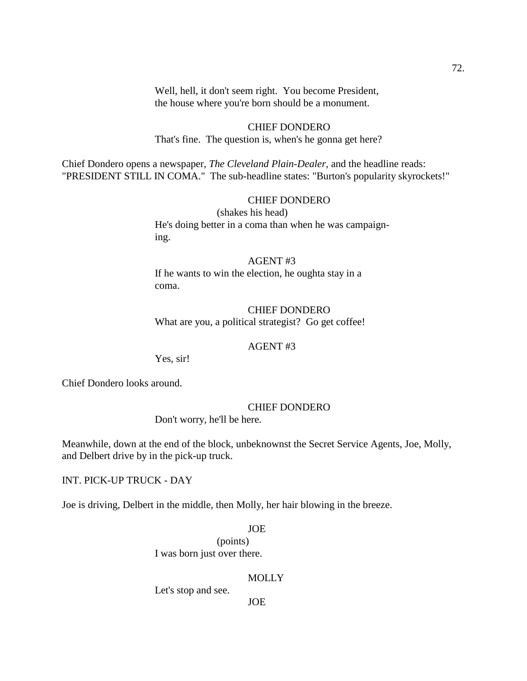Well, hell, it don't seem right. You become President, the house where you're born should be a monument.

# CHIEF DONDERO

That's fine. The question is, when's he gonna get here?

Chief Dondero opens a newspaper, *The Cleveland Plain-Dealer,* and the headline reads: "PRESIDENT STILL IN COMA." The sub-headline states: "Burton's popularity skyrockets!"

### CHIEF DONDERO

(shakes his head) He's doing better in a coma than when he was campaigning.

# AGENT #3

If he wants to win the election, he oughta stay in a coma.

#### CHIEF DONDERO

What are you, a political strategist? Go get coffee!

### AGENT #3

Yes, sir!

Chief Dondero looks around.

### CHIEF DONDERO

Don't worry, he'll be here.

Meanwhile, down at the end of the block, unbeknownst the Secret Service Agents, Joe, Molly, and Delbert drive by in the pick-up truck.

INT. PICK-UP TRUCK - DAY

Joe is driving, Delbert in the middle, then Molly, her hair blowing in the breeze.

JOE

(points) I was born just over there.

### **MOLLY**

Let's stop and see.

JOE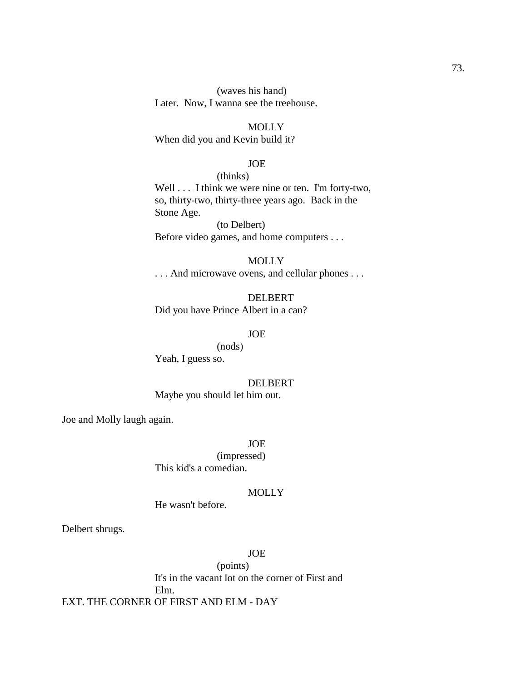(waves his hand) Later. Now, I wanna see the treehouse.

**MOLLY** When did you and Kevin build it?

## JOE

# (thinks)

Well . . . I think we were nine or ten. I'm forty-two, so, thirty-two, thirty-three years ago. Back in the Stone Age.

(to Delbert) Before video games, and home computers . . .

#### **MOLLY**

. . . And microwave ovens, and cellular phones . . .

DELBERT Did you have Prince Albert in a can?

#### JOE

(nods)

Yeah, I guess so.

## DELBERT

Maybe you should let him out.

Joe and Molly laugh again.

JOE

(impressed) This kid's a comedian.

## **MOLLY**

He wasn't before.

Delbert shrugs.

# JOE

(points) It's in the vacant lot on the corner of First and Elm. EXT. THE CORNER OF FIRST AND ELM - DAY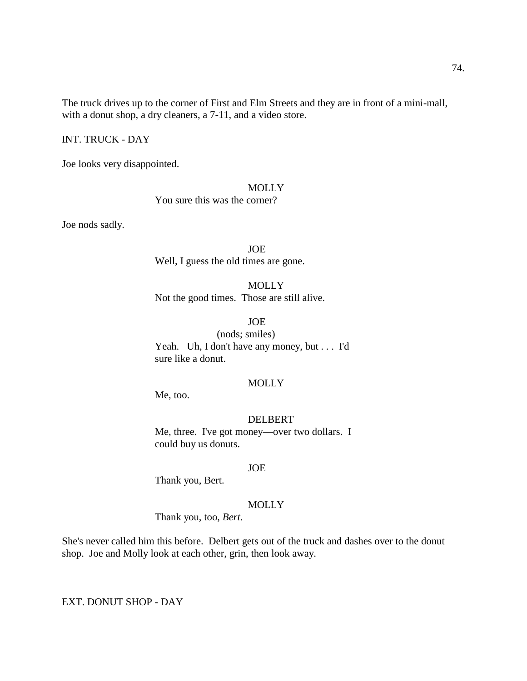The truck drives up to the corner of First and Elm Streets and they are in front of a mini-mall, with a donut shop, a dry cleaners, a 7-11, and a video store.

INT. TRUCK - DAY

Joe looks very disappointed.

### **MOLLY**

You sure this was the corner?

Joe nods sadly.

JOE Well, I guess the old times are gone.

**MOLLY** Not the good times. Those are still alive.

## JOE

(nods; smiles) Yeah. Uh, I don't have any money, but . . . I'd sure like a donut.

# **MOLLY**

Me, too.

#### DELBERT

Me, three. I've got money—over two dollars. I could buy us donuts.

#### JOE

Thank you, Bert.

### **MOLLY**

Thank you, too, *Bert*.

She's never called him this before. Delbert gets out of the truck and dashes over to the donut shop. Joe and Molly look at each other, grin, then look away.

EXT. DONUT SHOP - DAY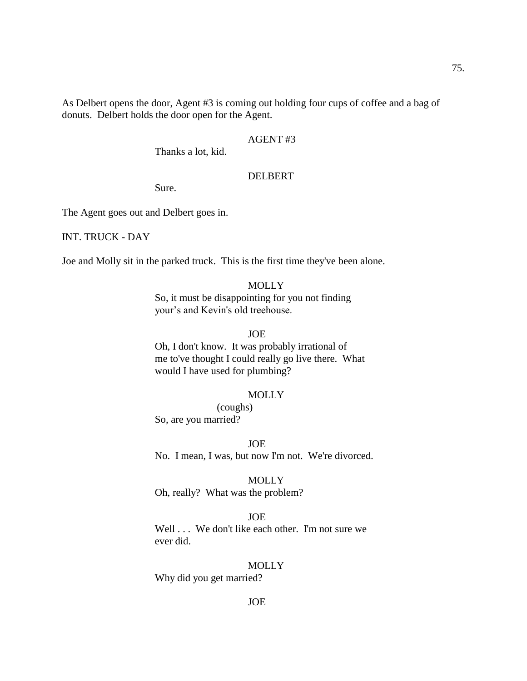As Delbert opens the door, Agent #3 is coming out holding four cups of coffee and a bag of donuts. Delbert holds the door open for the Agent.

## AGENT #3

Thanks a lot, kid.

## DELBERT

Sure.

The Agent goes out and Delbert goes in.

## INT. TRUCK - DAY

Joe and Molly sit in the parked truck. This is the first time they've been alone.

# **MOLLY**

So, it must be disappointing for you not finding your's and Kevin's old treehouse.

#### JOE

Oh, I don't know. It was probably irrational of me to've thought I could really go live there. What would I have used for plumbing?

#### **MOLLY**

(coughs) So, are you married?

JOE No. I mean, I was, but now I'm not. We're divorced.

#### **MOLLY**

Oh, really? What was the problem?

# JOE

Well . . . We don't like each other. I'm not sure we ever did.

#### **MOLLY**

Why did you get married?

### JOE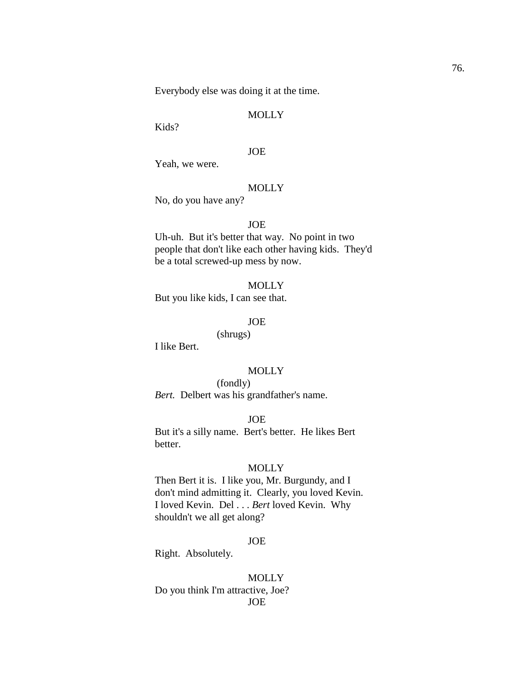Everybody else was doing it at the time.

## **MOLLY**

Kids?

## JOE

Yeah, we were.

#### **MOLLY**

No, do you have any?

#### JOE

Uh-uh. But it's better that way. No point in two people that don't like each other having kids. They'd be a total screwed-up mess by now.

## **MOLLY**

But you like kids, I can see that.

#### JOE

(shrugs)

I like Bert.

### **MOLLY**

(fondly) *Bert.* Delbert was his grandfather's name.

### JOE

But it's a silly name. Bert's better. He likes Bert better.

# **MOLLY**

Then Bert it is. I like you, Mr. Burgundy, and I don't mind admitting it. Clearly, you loved Kevin. I loved Kevin. Del . . . *Bert* loved Kevin. Why shouldn't we all get along?

### JOE

Right. Absolutely.

# **MOLLY** Do you think I'm attractive, Joe? JOE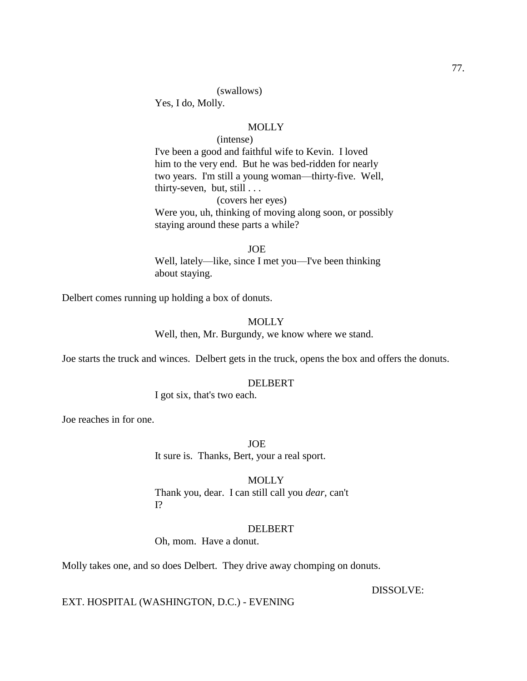#### (swallows)

Yes, I do, Molly.

# **MOLLY**

(intense)

I've been a good and faithful wife to Kevin. I loved him to the very end. But he was bed-ridden for nearly two years. I'm still a young woman—thirty-five. Well, thirty-seven, but, still . . .

(covers her eyes) Were you, uh, thinking of moving along soon, or possibly staying around these parts a while?

JOE

Well, lately—like, since I met you—I've been thinking about staying.

Delbert comes running up holding a box of donuts.

#### **MOLLY**

Well, then, Mr. Burgundy, we know where we stand.

Joe starts the truck and winces. Delbert gets in the truck, opens the box and offers the donuts.

## DELBERT

I got six, that's two each.

Joe reaches in for one.

JOE It sure is. Thanks, Bert, your a real sport.

**MOLLY** 

Thank you, dear. I can still call you *dear,* can't I?

### DELBERT

Oh, mom. Have a donut.

Molly takes one, and so does Delbert. They drive away chomping on donuts.

DISSOLVE:

EXT. HOSPITAL (WASHINGTON, D.C.) - EVENING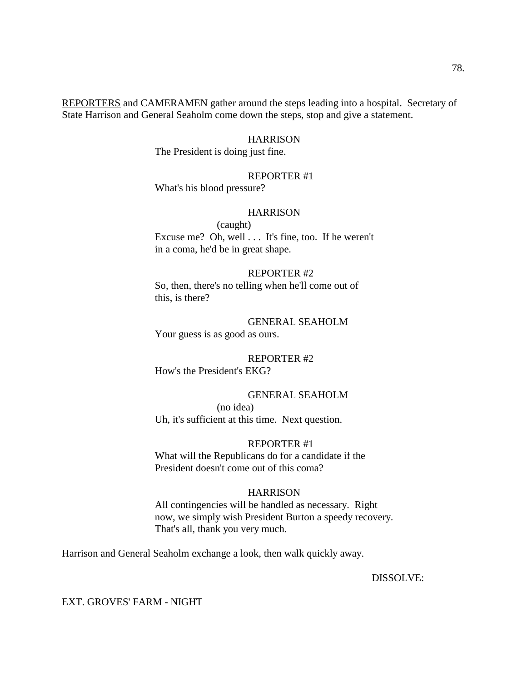REPORTERS and CAMERAMEN gather around the steps leading into a hospital. Secretary of State Harrison and General Seaholm come down the steps, stop and give a statement.

#### **HARRISON**

The President is doing just fine.

# REPORTER #1

What's his blood pressure?

# **HARRISON**

(caught) Excuse me? Oh, well . . . It's fine, too. If he weren't in a coma, he'd be in great shape.

### REPORTER #2

So, then, there's no telling when he'll come out of this, is there?

#### GENERAL SEAHOLM

Your guess is as good as ours.

## REPORTER #2

How's the President's EKG?

#### GENERAL SEAHOLM

(no idea) Uh, it's sufficient at this time. Next question.

#### REPORTER #1

What will the Republicans do for a candidate if the President doesn't come out of this coma?

## **HARRISON**

All contingencies will be handled as necessary. Right now, we simply wish President Burton a speedy recovery. That's all, thank you very much.

Harrison and General Seaholm exchange a look, then walk quickly away.

DISSOLVE:

### EXT. GROVES' FARM - NIGHT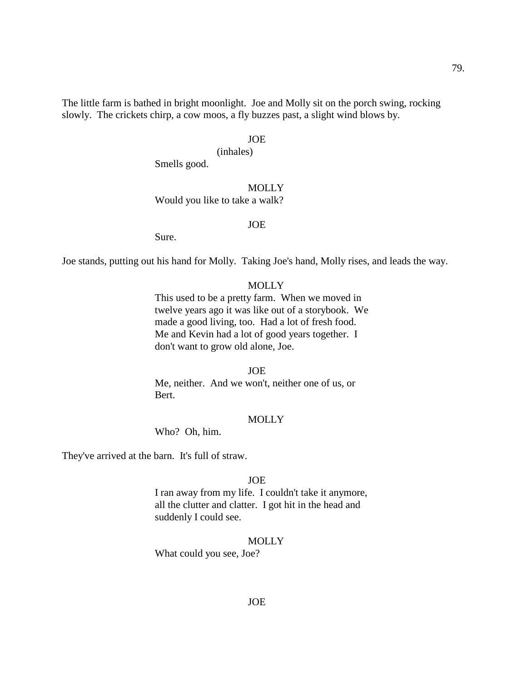The little farm is bathed in bright moonlight. Joe and Molly sit on the porch swing, rocking slowly. The crickets chirp, a cow moos, a fly buzzes past, a slight wind blows by.

#### JOE

(inhales)

Smells good.

#### **MOLLY**

Would you like to take a walk?

#### JOE

Sure.

Joe stands, putting out his hand for Molly. Taking Joe's hand, Molly rises, and leads the way.

### **MOLLY**

This used to be a pretty farm. When we moved in twelve years ago it was like out of a storybook. We made a good living, too. Had a lot of fresh food. Me and Kevin had a lot of good years together. I don't want to grow old alone, Joe.

#### **JOE**

Me, neither. And we won't, neither one of us, or Bert.

#### **MOLLY**

Who? Oh, him.

They've arrived at the barn. It's full of straw.

#### JOE

I ran away from my life. I couldn't take it anymore, all the clutter and clatter. I got hit in the head and suddenly I could see.

## **MOLLY**

What could you see, Joe?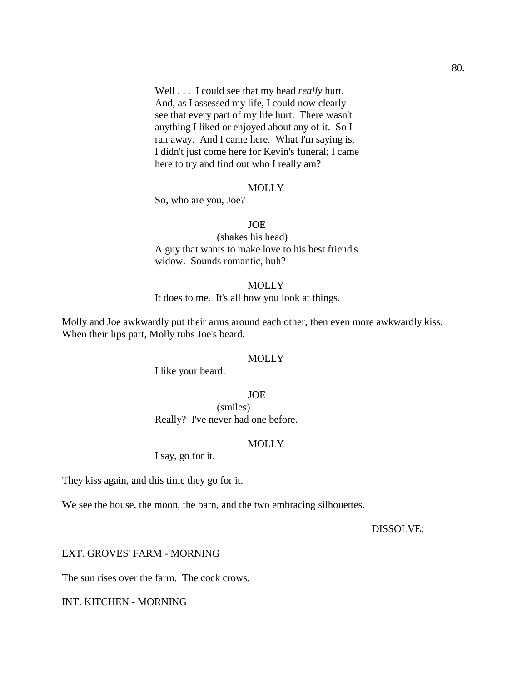Well . . . I could see that my head *really* hurt. And, as I assessed my life, I could now clearly see that every part of my life hurt. There wasn't anything I liked or enjoyed about any of it. So I ran away. And I came here. What I'm saying is, I didn't just come here for Kevin's funeral; I came here to try and find out who I really am?

#### **MOLLY**

So, who are you, Joe?

#### JOE

(shakes his head) A guy that wants to make love to his best friend's widow. Sounds romantic, huh?

## **MOLLY**

It does to me. It's all how you look at things.

Molly and Joe awkwardly put their arms around each other, then even more awkwardly kiss. When their lips part, Molly rubs Joe's beard.

#### **MOLLY**

I like your beard.

#### JOE

(smiles) Really? I've never had one before.

#### **MOLLY**

I say, go for it.

They kiss again, and this time they go for it.

We see the house, the moon, the barn, and the two embracing silhouettes.

DISSOLVE:

## EXT. GROVES' FARM - MORNING

The sun rises over the farm. The cock crows.

INT. KITCHEN - MORNING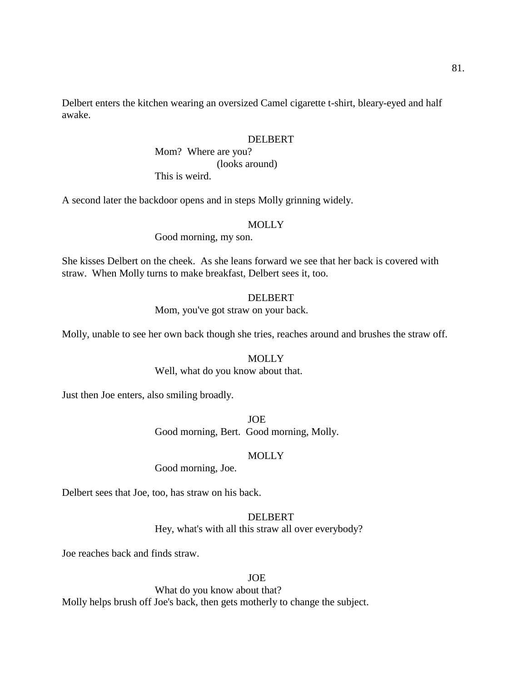Delbert enters the kitchen wearing an oversized Camel cigarette t-shirt, bleary-eyed and half awake.

#### DELBERT

Mom? Where are you? (looks around) This is weird.

A second later the backdoor opens and in steps Molly grinning widely.

#### **MOLLY**

Good morning, my son.

She kisses Delbert on the cheek. As she leans forward we see that her back is covered with straw. When Molly turns to make breakfast, Delbert sees it, too.

## DELBERT

Mom, you've got straw on your back.

Molly, unable to see her own back though she tries, reaches around and brushes the straw off.

#### **MOLLY**

Well, what do you know about that.

Just then Joe enters, also smiling broadly.

JOE Good morning, Bert. Good morning, Molly.

## MOLLY

Good morning, Joe.

Delbert sees that Joe, too, has straw on his back.

DELBERT Hey, what's with all this straw all over everybody?

Joe reaches back and finds straw.

**JOE** 

What do you know about that? Molly helps brush off Joe's back, then gets motherly to change the subject.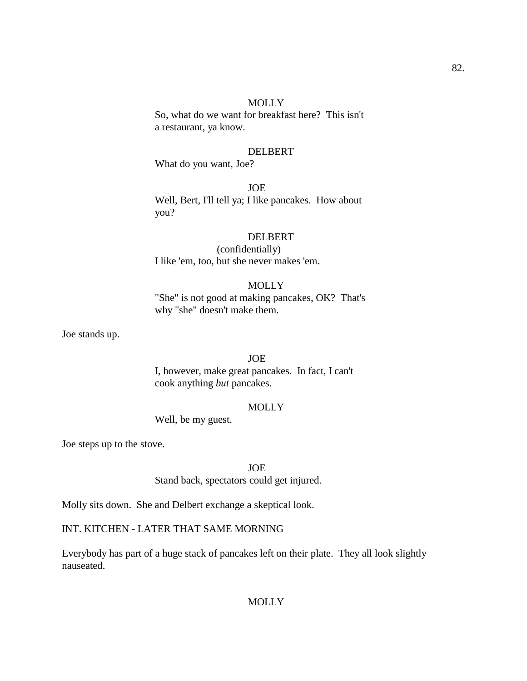So, what do we want for breakfast here? This isn't a restaurant, ya know.

# DELBERT

What do you want, Joe?

JOE Well, Bert, I'll tell ya; I like pancakes. How about you?

## DELBERT

(confidentially) I like 'em, too, but she never makes 'em.

# **MOLLY**

"She" is not good at making pancakes, OK? That's why "she" doesn't make them.

Joe stands up.

## JOE

I, however, make great pancakes. In fact, I can't cook anything *but* pancakes.

## **MOLLY**

Well, be my guest.

Joe steps up to the stove.

JOE

Stand back, spectators could get injured.

Molly sits down. She and Delbert exchange a skeptical look.

INT. KITCHEN - LATER THAT SAME MORNING

Everybody has part of a huge stack of pancakes left on their plate. They all look slightly nauseated.

# MOLLY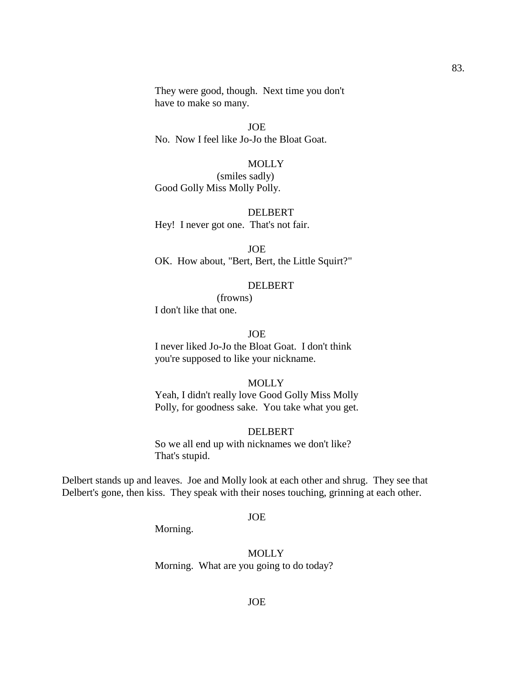They were good, though. Next time you don't have to make so many.

JOE No. Now I feel like Jo-Jo the Bloat Goat.

# **MOLLY**

(smiles sadly) Good Golly Miss Molly Polly.

DELBERT Hey! I never got one. That's not fair.

JOE OK. How about, "Bert, Bert, the Little Squirt?"

## DELBERT

(frowns) I don't like that one.

JOE

I never liked Jo-Jo the Bloat Goat. I don't think you're supposed to like your nickname.

## **MOLLY**

Yeah, I didn't really love Good Golly Miss Molly Polly, for goodness sake. You take what you get.

#### DELBERT

So we all end up with nicknames we don't like? That's stupid.

Delbert stands up and leaves. Joe and Molly look at each other and shrug. They see that Delbert's gone, then kiss. They speak with their noses touching, grinning at each other.

#### JOE

Morning.

**MOLLY** Morning. What are you going to do today?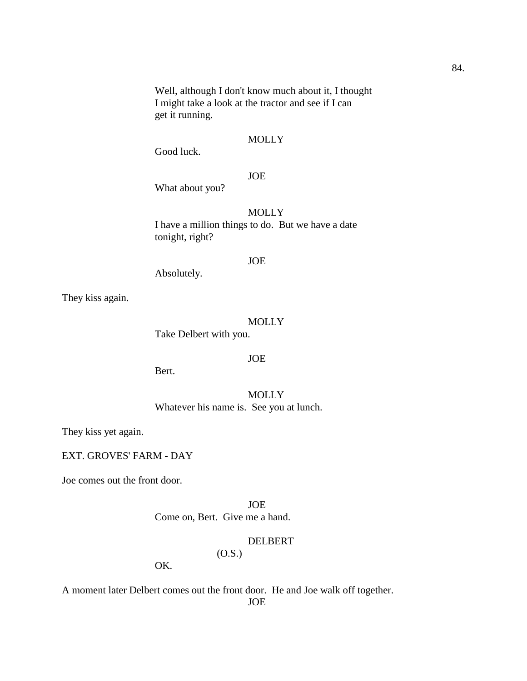Well, although I don't know much about it, I thought I might take a look at the tractor and see if I can get it running.

### **MOLLY**

Good luck.

# JOE

What about you?

# **MOLLY**

I have a million things to do. But we have a date tonight, right?

#### JOE

Absolutely.

They kiss again.

## **MOLLY**

Take Delbert with you.

#### JOE

Bert.

**MOLLY** Whatever his name is. See you at lunch.

They kiss yet again.

# EXT. GROVES' FARM - DAY

Joe comes out the front door.

JOE Come on, Bert. Give me a hand.

# DELBERT

(O.S.)

OK.

A moment later Delbert comes out the front door. He and Joe walk off together.

JOE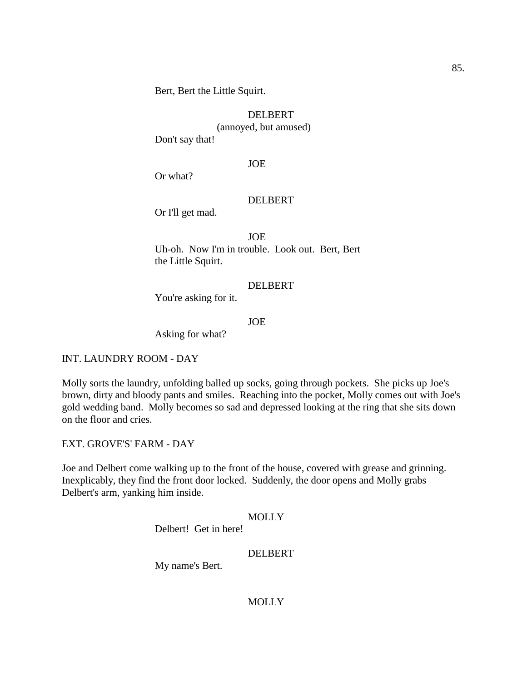Bert, Bert the Little Squirt.

## DELBERT

(annoyed, but amused)

Don't say that!

## JOE

Or what?

## DELBERT

Or I'll get mad.

JOE Uh-oh. Now I'm in trouble. Look out. Bert, Bert the Little Squirt.

# DELBERT

You're asking for it.

#### JOE

Asking for what?

INT. LAUNDRY ROOM - DAY

Molly sorts the laundry, unfolding balled up socks, going through pockets. She picks up Joe's brown, dirty and bloody pants and smiles. Reaching into the pocket, Molly comes out with Joe's gold wedding band. Molly becomes so sad and depressed looking at the ring that she sits down on the floor and cries.

EXT. GROVE'S' FARM - DAY

Joe and Delbert come walking up to the front of the house, covered with grease and grinning. Inexplicably, they find the front door locked. Suddenly, the door opens and Molly grabs Delbert's arm, yanking him inside.

## MOLLY

Delbert! Get in here!

# DELBERT

My name's Bert.

MOLLY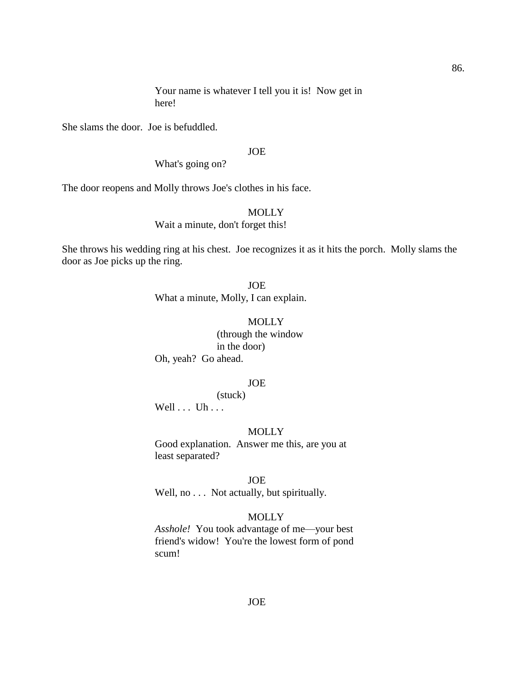She slams the door. Joe is befuddled.

## JOE

What's going on?

The door reopens and Molly throws Joe's clothes in his face.

**MOLLY** Wait a minute, don't forget this!

She throws his wedding ring at his chest. Joe recognizes it as it hits the porch. Molly slams the door as Joe picks up the ring.

> JOE What a minute, Molly, I can explain.

**MOLLY** (through the window in the door) Oh, yeah? Go ahead.

# JOE

(stuck) Well  $\dots$  Uh $\dots$ 

## **MOLLY**

Good explanation. Answer me this, are you at least separated?

JOE

Well, no . . . Not actually, but spiritually.

# **MOLLY**

*Asshole!* You took advantage of me—your best friend's widow! You're the lowest form of pond scum!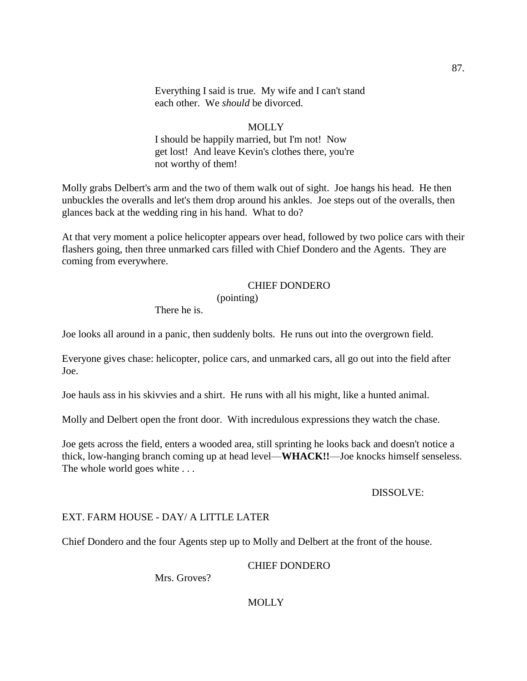Everything I said is true. My wife and I can't stand each other. We *should* be divorced.

**MOLLY** I should be happily married, but I'm not! Now get lost! And leave Kevin's clothes there, you're not worthy of them!

Molly grabs Delbert's arm and the two of them walk out of sight. Joe hangs his head. He then unbuckles the overalls and let's them drop around his ankles. Joe steps out of the overalls, then glances back at the wedding ring in his hand. What to do?

At that very moment a police helicopter appears over head, followed by two police cars with their flashers going, then three unmarked cars filled with Chief Dondero and the Agents. They are coming from everywhere.

## CHIEF DONDERO

(pointing)

There he is.

Joe looks all around in a panic, then suddenly bolts. He runs out into the overgrown field.

Everyone gives chase: helicopter, police cars, and unmarked cars, all go out into the field after Joe.

Joe hauls ass in his skivvies and a shirt. He runs with all his might, like a hunted animal.

Molly and Delbert open the front door. With incredulous expressions they watch the chase.

Joe gets across the field, enters a wooded area, still sprinting he looks back and doesn't notice a thick, low-hanging branch coming up at head level—**WHACK!!**—Joe knocks himself senseless. The whole world goes white . . .

## DISSOLVE:

## EXT. FARM HOUSE - DAY/ A LITTLE LATER

Chief Dondero and the four Agents step up to Molly and Delbert at the front of the house.

## CHIEF DONDERO

Mrs. Groves?

## **MOLLY**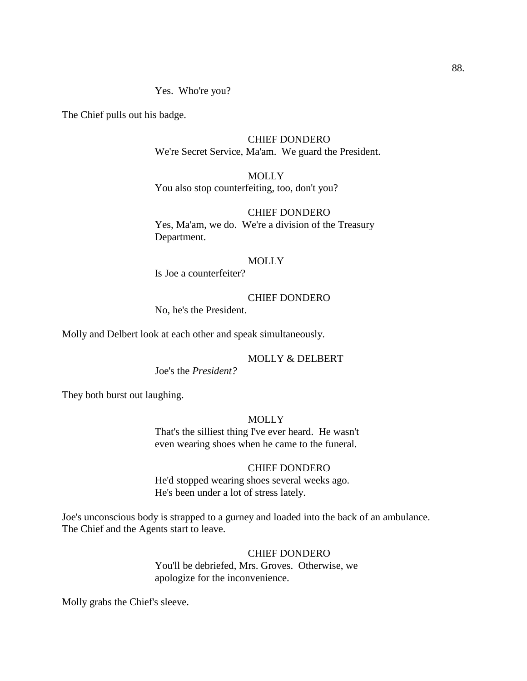Yes. Who're you?

The Chief pulls out his badge.

CHIEF DONDERO We're Secret Service, Ma'am. We guard the President.

**MOLLY** You also stop counterfeiting, too, don't you?

CHIEF DONDERO Yes, Ma'am, we do. We're a division of the Treasury Department.

#### **MOLLY**

Is Joe a counterfeiter?

## CHIEF DONDERO

No, he's the President.

Molly and Delbert look at each other and speak simultaneously.

MOLLY & DELBERT

Joe's the *President?*

They both burst out laughing.

**MOLLY** 

That's the silliest thing I've ever heard. He wasn't even wearing shoes when he came to the funeral.

## CHIEF DONDERO

He'd stopped wearing shoes several weeks ago. He's been under a lot of stress lately.

Joe's unconscious body is strapped to a gurney and loaded into the back of an ambulance. The Chief and the Agents start to leave.

# CHIEF DONDERO

You'll be debriefed, Mrs. Groves. Otherwise, we apologize for the inconvenience.

Molly grabs the Chief's sleeve.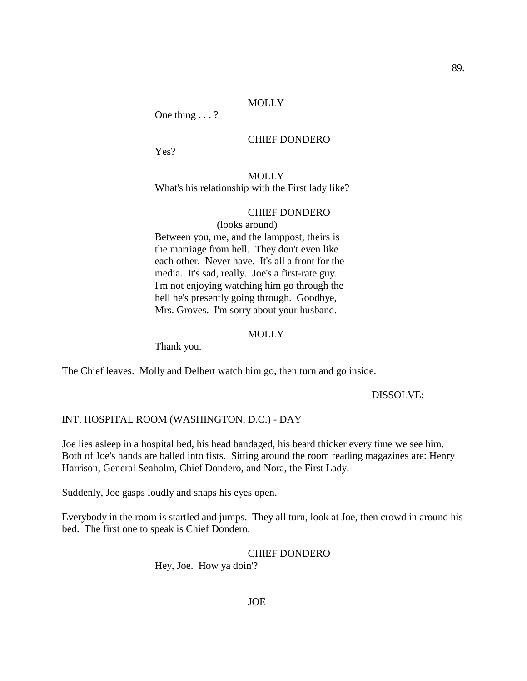#### **MOLLY**

One thing . . . ?

## CHIEF DONDERO

Yes?

## **MOLLY** What's his relationship with the First lady like?

# CHIEF DONDERO

(looks around) Between you, me, and the lamppost, theirs is the marriage from hell. They don't even like each other. Never have. It's all a front for the media. It's sad, really. Joe's a first-rate guy. I'm not enjoying watching him go through the hell he's presently going through. Goodbye, Mrs. Groves. I'm sorry about your husband.

#### **MOLLY**

Thank you.

The Chief leaves. Molly and Delbert watch him go, then turn and go inside.

#### DISSOLVE:

#### INT. HOSPITAL ROOM (WASHINGTON, D.C.) - DAY

Joe lies asleep in a hospital bed, his head bandaged, his beard thicker every time we see him. Both of Joe's hands are balled into fists. Sitting around the room reading magazines are: Henry Harrison, General Seaholm, Chief Dondero, and Nora, the First Lady.

Suddenly, Joe gasps loudly and snaps his eyes open.

Everybody in the room is startled and jumps. They all turn, look at Joe, then crowd in around his bed. The first one to speak is Chief Dondero.

> CHIEF DONDERO Hey, Joe. How ya doin'?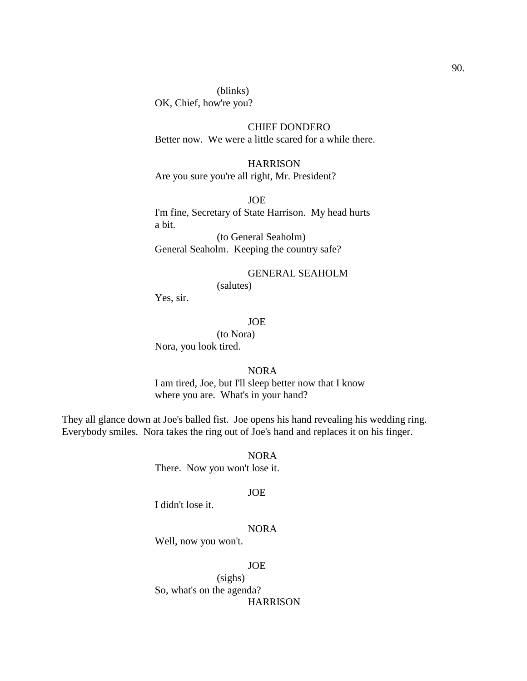(blinks) OK, Chief, how're you?

# CHIEF DONDERO Better now. We were a little scared for a while there.

**HARRISON** Are you sure you're all right, Mr. President?

JOE I'm fine, Secretary of State Harrison. My head hurts a bit. (to General Seaholm)

General Seaholm. Keeping the country safe?

## GENERAL SEAHOLM

(salutes)

Yes, sir.

## JOE

(to Nora) Nora, you look tired.

# NORA

I am tired, Joe, but I'll sleep better now that I know where you are. What's in your hand?

They all glance down at Joe's balled fist. Joe opens his hand revealing his wedding ring. Everybody smiles. Nora takes the ring out of Joe's hand and replaces it on his finger.

NORA

There. Now you won't lose it.

## JOE

I didn't lose it.

## NORA

Well, now you won't.

#### JOE

(sighs) So, what's on the agenda? **HARRISON**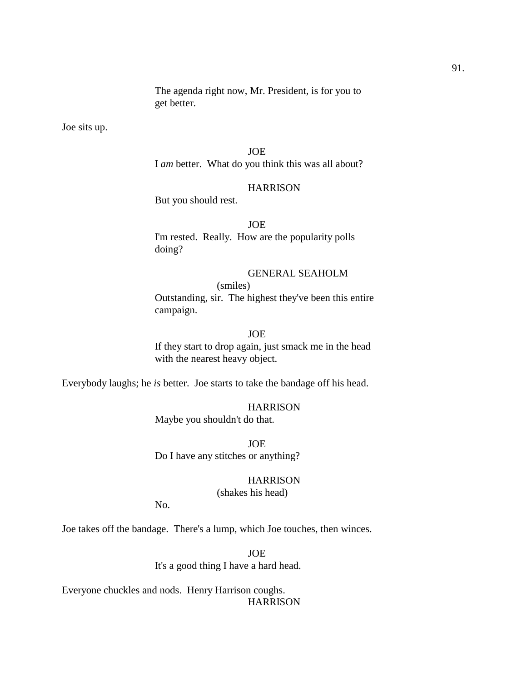The agenda right now, Mr. President, is for you to get better.

Joe sits up.

# JOE

I *am* better. What do you think this was all about?

## **HARRISON**

But you should rest.

JOE

I'm rested. Really. How are the popularity polls doing?

## GENERAL SEAHOLM

(smiles) Outstanding, sir. The highest they've been this entire campaign.

#### JOE

If they start to drop again, just smack me in the head with the nearest heavy object.

Everybody laughs; he *is* better. Joe starts to take the bandage off his head.

## **HARRISON**

Maybe you shouldn't do that.

JOE Do I have any stitches or anything?

#### **HARRISON**

(shakes his head)

No.

Joe takes off the bandage. There's a lump, which Joe touches, then winces.

JOE It's a good thing I have a hard head.

Everyone chuckles and nods. Henry Harrison coughs. **HARRISON**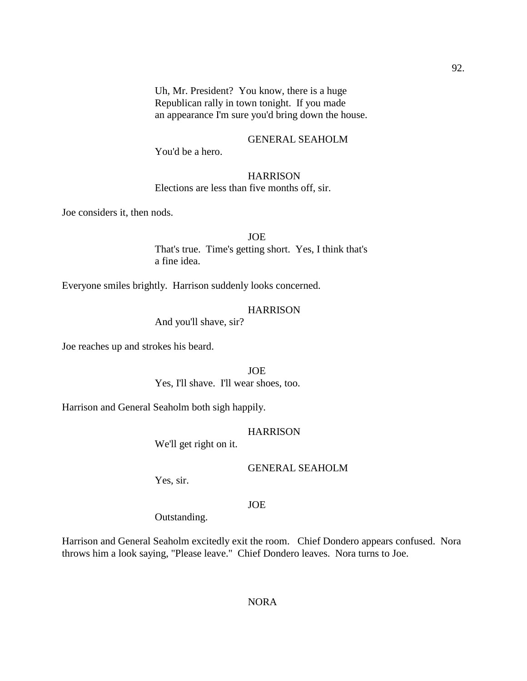Uh, Mr. President? You know, there is a huge Republican rally in town tonight. If you made an appearance I'm sure you'd bring down the house.

## GENERAL SEAHOLM

You'd be a hero.

# **HARRISON**

Elections are less than five months off, sir.

Joe considers it, then nods.

JOE That's true. Time's getting short. Yes, I think that's a fine idea.

Everyone smiles brightly. Harrison suddenly looks concerned.

**HARRISON** 

And you'll shave, sir?

Joe reaches up and strokes his beard.

JOE

Yes, I'll shave. I'll wear shoes, too.

Harrison and General Seaholm both sigh happily.

#### **HARRISON**

We'll get right on it.

GENERAL SEAHOLM

Yes, sir.

#### JOE

Outstanding.

Harrison and General Seaholm excitedly exit the room. Chief Dondero appears confused. Nora throws him a look saying, "Please leave." Chief Dondero leaves. Nora turns to Joe.

NORA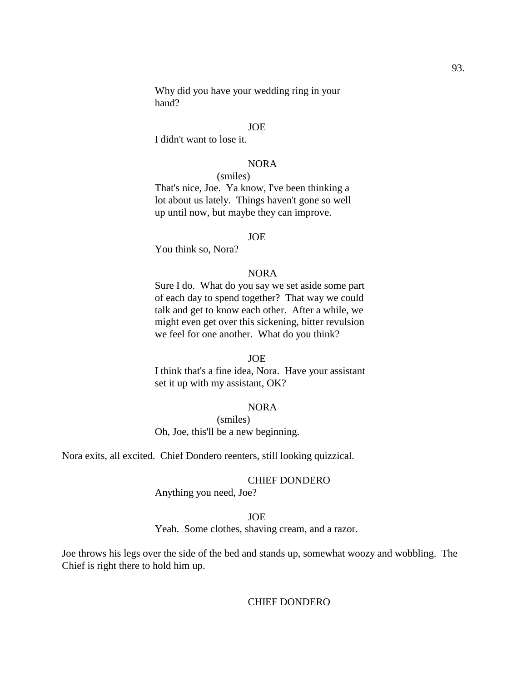Why did you have your wedding ring in your hand?

#### JOE

I didn't want to lose it.

## NORA

## (smiles)

That's nice, Joe. Ya know, I've been thinking a lot about us lately. Things haven't gone so well up until now, but maybe they can improve.

#### JOE

You think so, Nora?

## NORA

Sure I do. What do you say we set aside some part of each day to spend together? That way we could talk and get to know each other. After a while, we might even get over this sickening, bitter revulsion we feel for one another. What do you think?

#### **JOE**

I think that's a fine idea, Nora. Have your assistant set it up with my assistant, OK?

# NORA

(smiles) Oh, Joe, this'll be a new beginning.

Nora exits, all excited. Chief Dondero reenters, still looking quizzical.

#### CHIEF DONDERO

Anything you need, Joe?

# JOE

Yeah. Some clothes, shaving cream, and a razor.

Joe throws his legs over the side of the bed and stands up, somewhat woozy and wobbling. The Chief is right there to hold him up.

### CHIEF DONDERO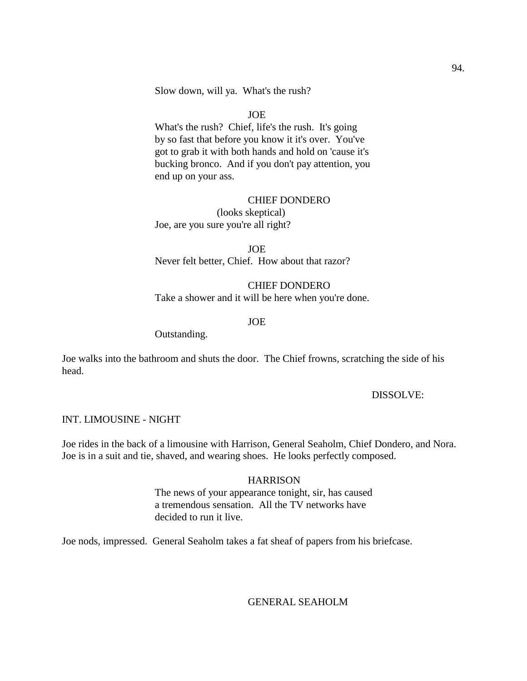Slow down, will ya. What's the rush?

## JOE

What's the rush? Chief, life's the rush. It's going by so fast that before you know it it's over. You've got to grab it with both hands and hold on 'cause it's bucking bronco. And if you don't pay attention, you end up on your ass.

#### CHIEF DONDERO

(looks skeptical) Joe, are you sure you're all right?

**JOE** Never felt better, Chief. How about that razor?

CHIEF DONDERO Take a shower and it will be here when you're done.

JOE

Outstanding.

Joe walks into the bathroom and shuts the door. The Chief frowns, scratching the side of his head.

DISSOLVE:

### INT. LIMOUSINE - NIGHT

Joe rides in the back of a limousine with Harrison, General Seaholm, Chief Dondero, and Nora. Joe is in a suit and tie, shaved, and wearing shoes. He looks perfectly composed.

#### HARRISON

The news of your appearance tonight, sir, has caused a tremendous sensation. All the TV networks have decided to run it live.

Joe nods, impressed. General Seaholm takes a fat sheaf of papers from his briefcase.

GENERAL SEAHOLM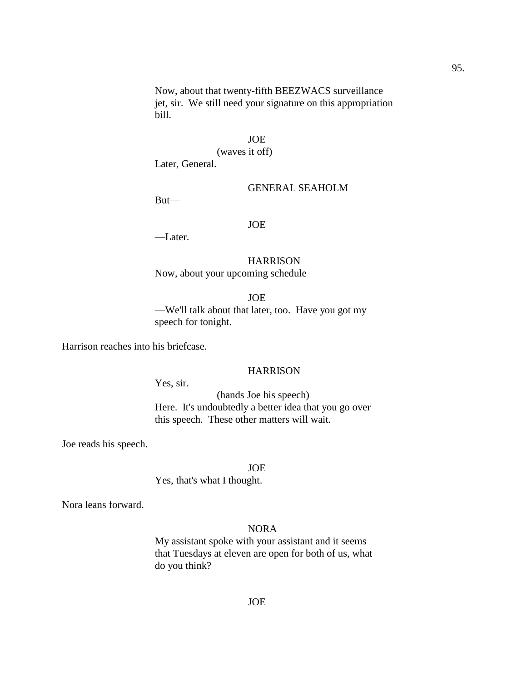Now, about that twenty-fifth BEEZWACS surveillance jet, sir. We still need your signature on this appropriation bill.

# JOE

(waves it off)

Later, General.

### GENERAL SEAHOLM

But—

JOE

—Later.

# **HARRISON**

Now, about your upcoming schedule—

JOE

—We'll talk about that later, too. Have you got my speech for tonight.

Harrison reaches into his briefcase.

#### **HARRISON**

Yes, sir.

(hands Joe his speech) Here. It's undoubtedly a better idea that you go over this speech. These other matters will wait.

Joe reads his speech.

JOE

Yes, that's what I thought.

Nora leans forward.

## NORA

My assistant spoke with your assistant and it seems that Tuesdays at eleven are open for both of us, what do you think?

95.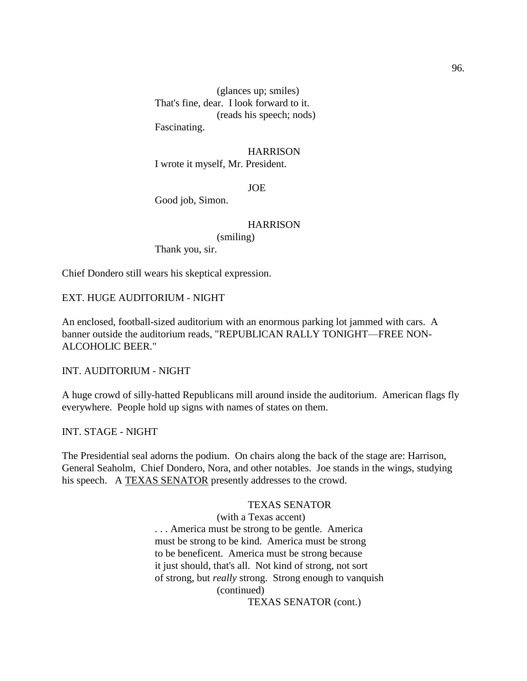(glances up; smiles) That's fine, dear. I look forward to it. (reads his speech; nods) Fascinating.

# **HARRISON**

I wrote it myself, Mr. President.

JOE

Good job, Simon.

### **HARRISON**

(smiling) Thank you, sir.

Chief Dondero still wears his skeptical expression.

EXT. HUGE AUDITORIUM - NIGHT

An enclosed, football-sized auditorium with an enormous parking lot jammed with cars. A banner outside the auditorium reads, "REPUBLICAN RALLY TONIGHT—FREE NON-ALCOHOLIC BEER."

INT. AUDITORIUM - NIGHT

A huge crowd of silly-hatted Republicans mill around inside the auditorium. American flags fly everywhere. People hold up signs with names of states on them.

INT. STAGE - NIGHT

The Presidential seal adorns the podium. On chairs along the back of the stage are: Harrison, General Seaholm, Chief Dondero, Nora, and other notables. Joe stands in the wings, studying his speech. A TEXAS SENATOR presently addresses to the crowd.

TEXAS SENATOR

(with a Texas accent) . . . America must be strong to be gentle. America must be strong to be kind. America must be strong to be beneficent. America must be strong because it just should, that's all. Not kind of strong, not sort of strong, but *really* strong. Strong enough to vanquish (continued) TEXAS SENATOR (cont.)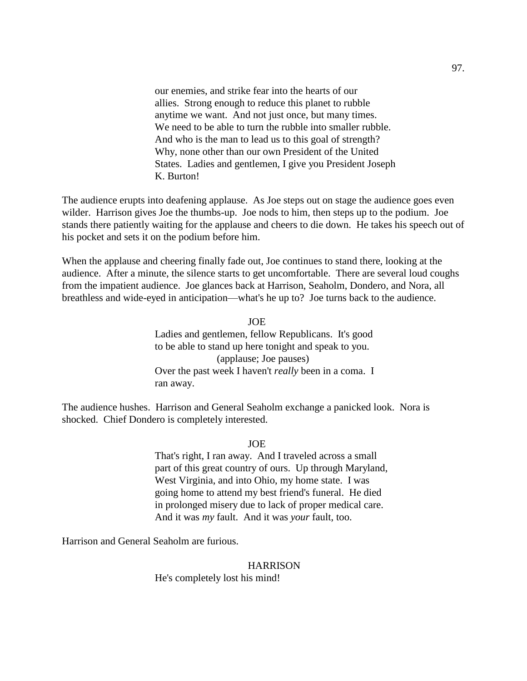our enemies, and strike fear into the hearts of our allies. Strong enough to reduce this planet to rubble anytime we want. And not just once, but many times. We need to be able to turn the rubble into smaller rubble. And who is the man to lead us to this goal of strength? Why, none other than our own President of the United States. Ladies and gentlemen, I give you President Joseph K. Burton!

The audience erupts into deafening applause. As Joe steps out on stage the audience goes even wilder. Harrison gives Joe the thumbs-up. Joe nods to him, then steps up to the podium. Joe stands there patiently waiting for the applause and cheers to die down. He takes his speech out of his pocket and sets it on the podium before him.

When the applause and cheering finally fade out, Joe continues to stand there, looking at the audience. After a minute, the silence starts to get uncomfortable. There are several loud coughs from the impatient audience. Joe glances back at Harrison, Seaholm, Dondero, and Nora, all breathless and wide-eyed in anticipation—what's he up to? Joe turns back to the audience.

> JOE Ladies and gentlemen, fellow Republicans. It's good to be able to stand up here tonight and speak to you. (applause; Joe pauses) Over the past week I haven't *really* been in a coma. I ran away.

The audience hushes. Harrison and General Seaholm exchange a panicked look. Nora is shocked. Chief Dondero is completely interested.

JOE

That's right, I ran away. And I traveled across a small part of this great country of ours. Up through Maryland, West Virginia, and into Ohio, my home state. I was going home to attend my best friend's funeral. He died in prolonged misery due to lack of proper medical care. And it was *my* fault. And it was *your* fault, too.

Harrison and General Seaholm are furious.

**HARRISON** 

He's completely lost his mind!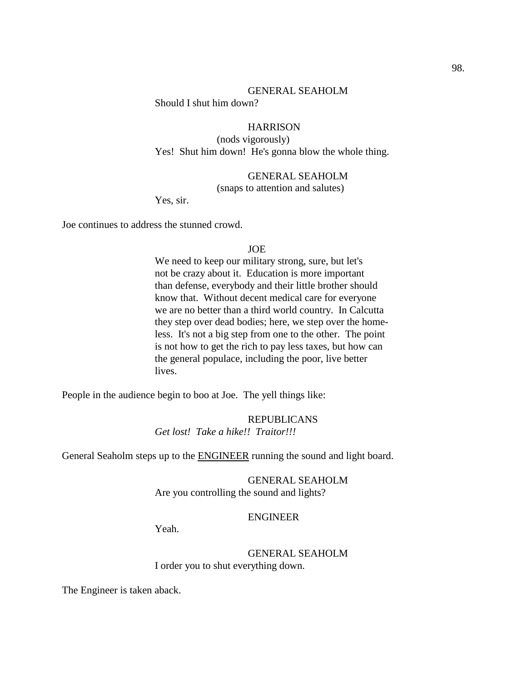### GENERAL SEAHOLM

Should I shut him down?

# **HARRISON**

(nods vigorously) Yes! Shut him down! He's gonna blow the whole thing.

## GENERAL SEAHOLM

(snaps to attention and salutes)

Yes, sir.

Joe continues to address the stunned crowd.

#### JOE

We need to keep our military strong, sure, but let's not be crazy about it. Education is more important than defense, everybody and their little brother should know that. Without decent medical care for everyone we are no better than a third world country. In Calcutta they step over dead bodies; here, we step over the homeless. It's not a big step from one to the other. The point is not how to get the rich to pay less taxes, but how can the general populace, including the poor, live better lives.

People in the audience begin to boo at Joe. The yell things like:

## REPUBLICANS

*Get lost! Take a hike!! Traitor!!!*

General Seaholm steps up to the ENGINEER running the sound and light board.

GENERAL SEAHOLM Are you controlling the sound and lights?

## ENGINEER

Yeah.

GENERAL SEAHOLM I order you to shut everything down.

The Engineer is taken aback.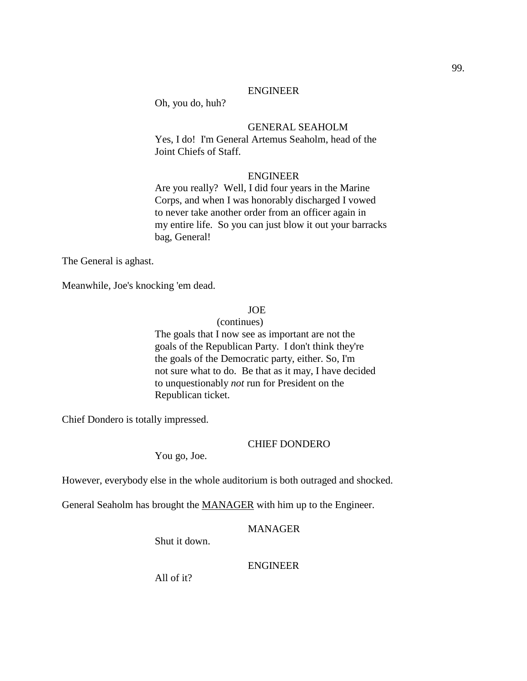#### ENGINEER

Oh, you do, huh?

# GENERAL SEAHOLM

Yes, I do! I'm General Artemus Seaholm, head of the Joint Chiefs of Staff.

### ENGINEER

Are you really? Well, I did four years in the Marine Corps, and when I was honorably discharged I vowed to never take another order from an officer again in my entire life. So you can just blow it out your barracks bag, General!

The General is aghast.

Meanwhile, Joe's knocking 'em dead.

## JOE

(continues)

The goals that I now see as important are not the goals of the Republican Party. I don't think they're the goals of the Democratic party, either. So, I'm not sure what to do. Be that as it may, I have decided to unquestionably *not* run for President on the Republican ticket.

Chief Dondero is totally impressed.

#### CHIEF DONDERO

You go, Joe.

However, everybody else in the whole auditorium is both outraged and shocked.

General Seaholm has brought the MANAGER with him up to the Engineer.

#### MANAGER

Shut it down.

#### ENGINEER

All of it?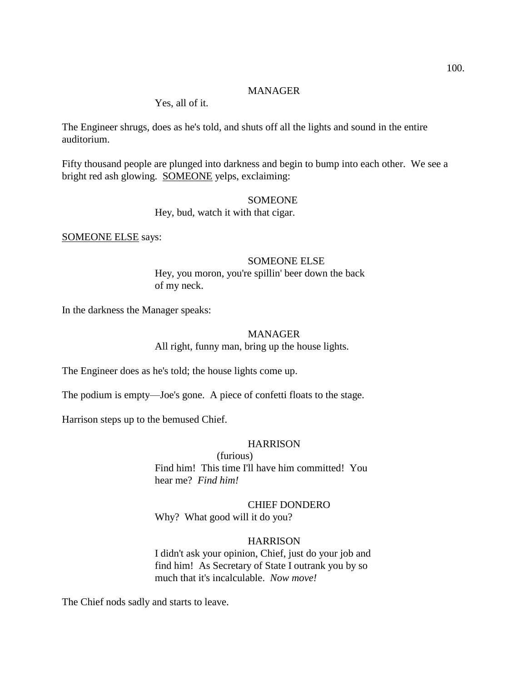## MANAGER

Yes, all of it.

The Engineer shrugs, does as he's told, and shuts off all the lights and sound in the entire auditorium.

Fifty thousand people are plunged into darkness and begin to bump into each other. We see a bright red ash glowing. SOMEONE yelps, exclaiming:

### **SOMEONE**

Hey, bud, watch it with that cigar.

SOMEONE ELSE says:

# SOMEONE ELSE

Hey, you moron, you're spillin' beer down the back of my neck.

In the darkness the Manager speaks:

#### MANAGER

All right, funny man, bring up the house lights.

The Engineer does as he's told; the house lights come up.

The podium is empty—Joe's gone. A piece of confetti floats to the stage.

Harrison steps up to the bemused Chief.

### HARRISON

(furious) Find him! This time I'll have him committed! You

hear me? *Find him!*

CHIEF DONDERO

Why? What good will it do you?

## **HARRISON**

I didn't ask your opinion, Chief, just do your job and find him! As Secretary of State I outrank you by so much that it's incalculable. *Now move!*

The Chief nods sadly and starts to leave.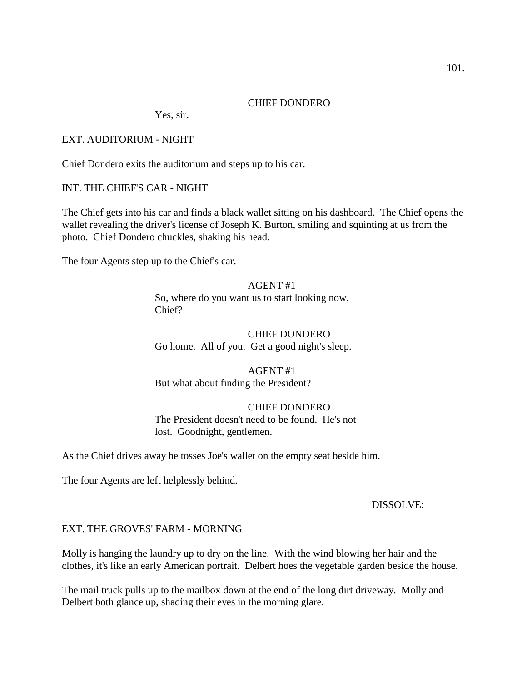#### CHIEF DONDERO

Yes, sir.

## EXT. AUDITORIUM - NIGHT

Chief Dondero exits the auditorium and steps up to his car.

### INT. THE CHIEF'S CAR - NIGHT

The Chief gets into his car and finds a black wallet sitting on his dashboard. The Chief opens the wallet revealing the driver's license of Joseph K. Burton, smiling and squinting at us from the photo. Chief Dondero chuckles, shaking his head.

The four Agents step up to the Chief's car.

# AGENT #1

So, where do you want us to start looking now, Chief?

CHIEF DONDERO Go home. All of you. Get a good night's sleep.

AGENT #1 But what about finding the President?

## CHIEF DONDERO

The President doesn't need to be found. He's not lost. Goodnight, gentlemen.

As the Chief drives away he tosses Joe's wallet on the empty seat beside him.

The four Agents are left helplessly behind.

#### DISSOLVE:

## EXT. THE GROVES' FARM - MORNING

Molly is hanging the laundry up to dry on the line. With the wind blowing her hair and the clothes, it's like an early American portrait. Delbert hoes the vegetable garden beside the house.

The mail truck pulls up to the mailbox down at the end of the long dirt driveway. Molly and Delbert both glance up, shading their eyes in the morning glare.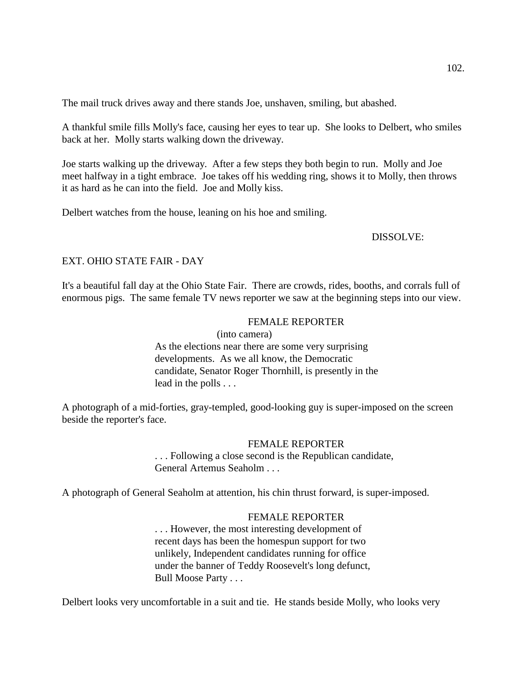The mail truck drives away and there stands Joe, unshaven, smiling, but abashed.

A thankful smile fills Molly's face, causing her eyes to tear up. She looks to Delbert, who smiles back at her. Molly starts walking down the driveway.

Joe starts walking up the driveway. After a few steps they both begin to run. Molly and Joe meet halfway in a tight embrace. Joe takes off his wedding ring, shows it to Molly, then throws it as hard as he can into the field. Joe and Molly kiss.

Delbert watches from the house, leaning on his hoe and smiling.

# DISSOLVE:

# EXT. OHIO STATE FAIR - DAY

It's a beautiful fall day at the Ohio State Fair. There are crowds, rides, booths, and corrals full of enormous pigs. The same female TV news reporter we saw at the beginning steps into our view.

## FEMALE REPORTER

(into camera) As the elections near there are some very surprising developments. As we all know, the Democratic candidate, Senator Roger Thornhill, is presently in the lead in the polls . . .

A photograph of a mid-forties, gray-templed, good-looking guy is super-imposed on the screen beside the reporter's face.

## FEMALE REPORTER

. . . Following a close second is the Republican candidate, General Artemus Seaholm . . .

A photograph of General Seaholm at attention, his chin thrust forward, is super-imposed.

# FEMALE REPORTER

. . . However, the most interesting development of recent days has been the homespun support for two unlikely, Independent candidates running for office under the banner of Teddy Roosevelt's long defunct, Bull Moose Party . . .

Delbert looks very uncomfortable in a suit and tie. He stands beside Molly, who looks very